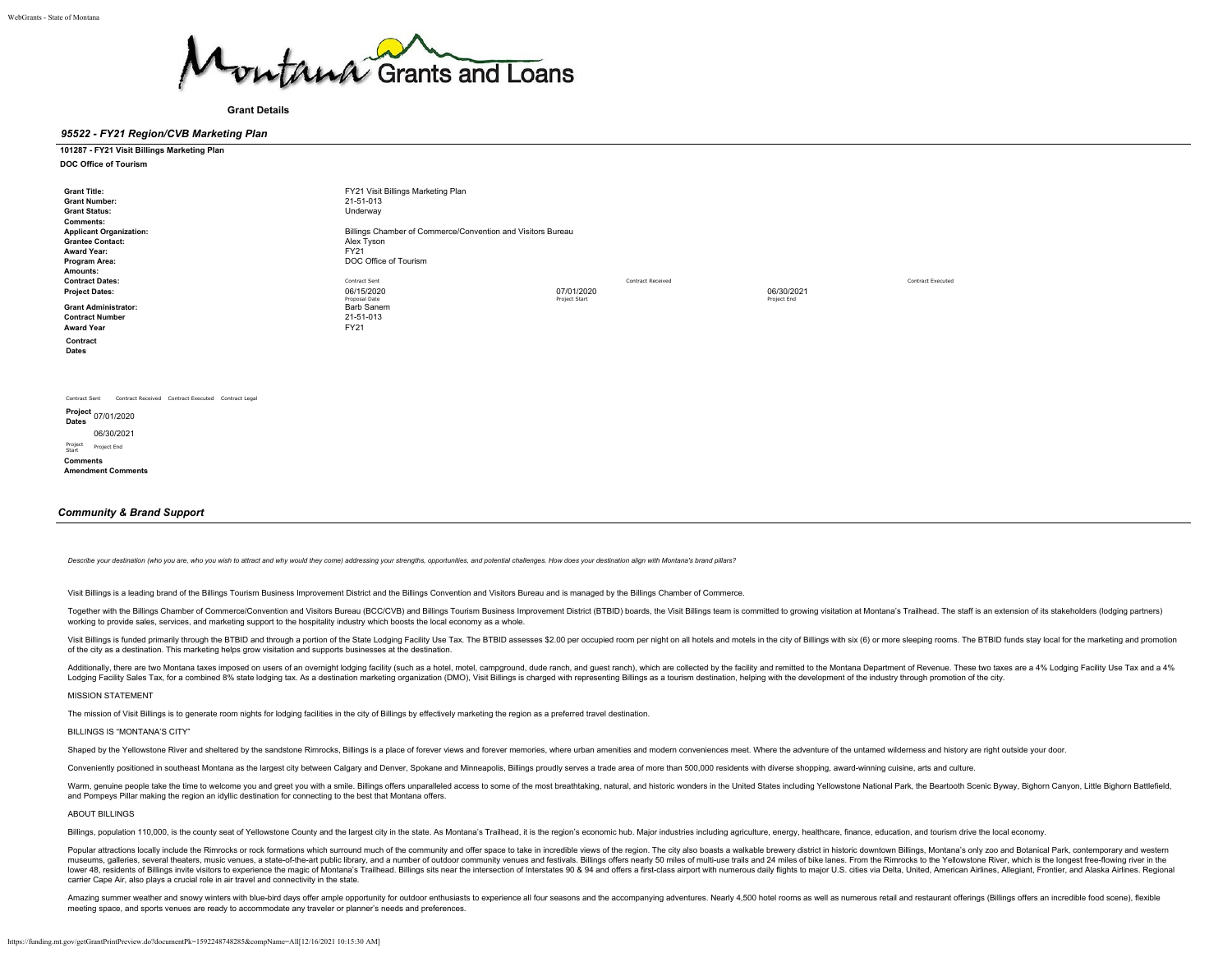

**Grant Details**

# *95522 - FY21 Region/CVB Marketing Plan*

# **101287 - FY21 Visit Billings Marketing Plan**

**DOC Office of Tourism**

| <b>Grant Title:</b><br><b>Grant Number:</b><br><b>Grant Status:</b><br><b>Comments:</b><br><b>Applicant Organization:</b><br><b>Grantee Contact:</b> | FY21 Visit Billings Marketing Plan<br>21-51-013<br>Underway<br>Billings Chamber of Commerce/Convention and Visitors Bureau<br>Alex Tyson |                          |             |                   |
|------------------------------------------------------------------------------------------------------------------------------------------------------|------------------------------------------------------------------------------------------------------------------------------------------|--------------------------|-------------|-------------------|
| <b>Award Year:</b>                                                                                                                                   | FY21                                                                                                                                     |                          |             |                   |
| Program Area:                                                                                                                                        | DOC Office of Tourism                                                                                                                    |                          |             |                   |
| Amounts:<br><b>Contract Dates:</b>                                                                                                                   | Contract Sent                                                                                                                            | <b>Contract Received</b> |             | Contract Executed |
| <b>Project Dates:</b>                                                                                                                                | 06/15/2020                                                                                                                               | 07/01/2020               | 06/30/2021  |                   |
| <b>Grant Administrator:</b><br><b>Contract Number</b><br><b>Award Year</b>                                                                           | Proposal Date<br>Barb Sanem<br>21-51-013<br>FY21                                                                                         | Project Start            | Project End |                   |
| Contract<br><b>Dates</b>                                                                                                                             |                                                                                                                                          |                          |             |                   |
|                                                                                                                                                      |                                                                                                                                          |                          |             |                   |
| Contract Received Contract Executed Contract Legal<br>Contract Sent                                                                                  |                                                                                                                                          |                          |             |                   |
| Project 07/01/2020<br><b>Dates</b>                                                                                                                   |                                                                                                                                          |                          |             |                   |
| 06/30/2021                                                                                                                                           |                                                                                                                                          |                          |             |                   |

*Community & Brand Support*

Project Start Project End **Comments Amendment Comments**

Describe your destination (who you are, who you wish to attract and why would they come) addressing your strengths, opportunities, and potential challenges. How does your destination align with Montana's brand pillars?

Visit Billings is a leading brand of the Billings Tourism Business Improvement District and the Billings Convention and Visitors Bureau and is managed by the Billings Chamber of Commerce.

Together with the Billings Chamber of Commerce/Convention and Visitors Bureau (BCC/CVB) and Billings Tourism Business Improvement District (BTBID) boards, the Visit Billings team is committed to growing visitation at Monta working to provide sales, services, and marketing support to the hospitality industry which boosts the local economy as a whole.

Visit Billings is funded primarily through the BTBID and through a portion of the State Lodging Facility Use Tax. The BTBID assesses \$2.00 per occupied room per night on all hotels and motels in the city of Billings with s of the city as a destination. This marketing helps grow visitation and supports businesses at the destination.

Additionally, there are two Montana taxes imposed on users of an overnight lodging facility (such as a hotel, motel, campground, dude ranch, and guest ranch), which are collected by the facility and remitted to the Montana Lodging Facility Sales Tax, for a combined 8% state lodging tax. As a destination marketing organization (DMO), Visit Billings is charged with representing Billings as a tourism destination, helping with the development of

# MISSION STATEMENT

The mission of Visit Billings is to generate room nights for lodging facilities in the city of Billings by effectively marketing the region as a preferred travel destination.

# BILLINGS IS "MONTANA'S CITY"

Shaped by the Yellowstone River and sheltered by the sandstone Rimrocks, Billings is a place of forever views and forever memories, where urban amenities and modern conveniences meet. Where the adventure of the untamed wil

Conveniently positioned in southeast Montana as the largest city between Calgary and Denver, Spokane and Minneapolis, Billings proudly serves a trade area of more than 500,000 residents with diverse shopping, award-winning

Warm, genuine people take the time to welcome you and greet you with a smile. Billings offers unparalleled access to some of the most breathtaking, natural, and historic wonders in the United States including Yellowstone N and Pompeys Pillar making the region an idyllic destination for connecting to the best that Montana offers.

ABOUT BILLINGS

Billings, population 110,000, is the county seat of Yellowstone County and the largest city in the state. As Montana's Trailhead, it is the region's economic hub. Major industries including agriculture, energy, healthcare,

Popular attractions locally include the Rimrocks or rock formations which surround much of the community and offer space to take in incredible views of the region. The city also boasts a walkable brewery district in histor museums, galleries, several theaters, music venues, a state-of-the-art public library, and a number of outdoor community venues and festivals. Billings offers nearly 50 miles of multi-use trails and 24 miles of bike lanes. lower 48, residents of Billings invite visitors to experience the magic of Montana's Trailhead. Billings sits near the intersection of Interstates 90 & 94 and offers a first-class airport with numerous daily flights to maj carrier Cape Air, also plays a crucial role in air travel and connectivity in the state.

Amazing summer weather and snowy winters with blue-bird days offer ample opportunity for outdoor enthusiasts to experience all four seasons and the accompanying adventures. Nearly 4,500 hotel rooms as well as numerous reta meeting space, and sports venues are ready to accommodate any traveler or planner's needs and preferences.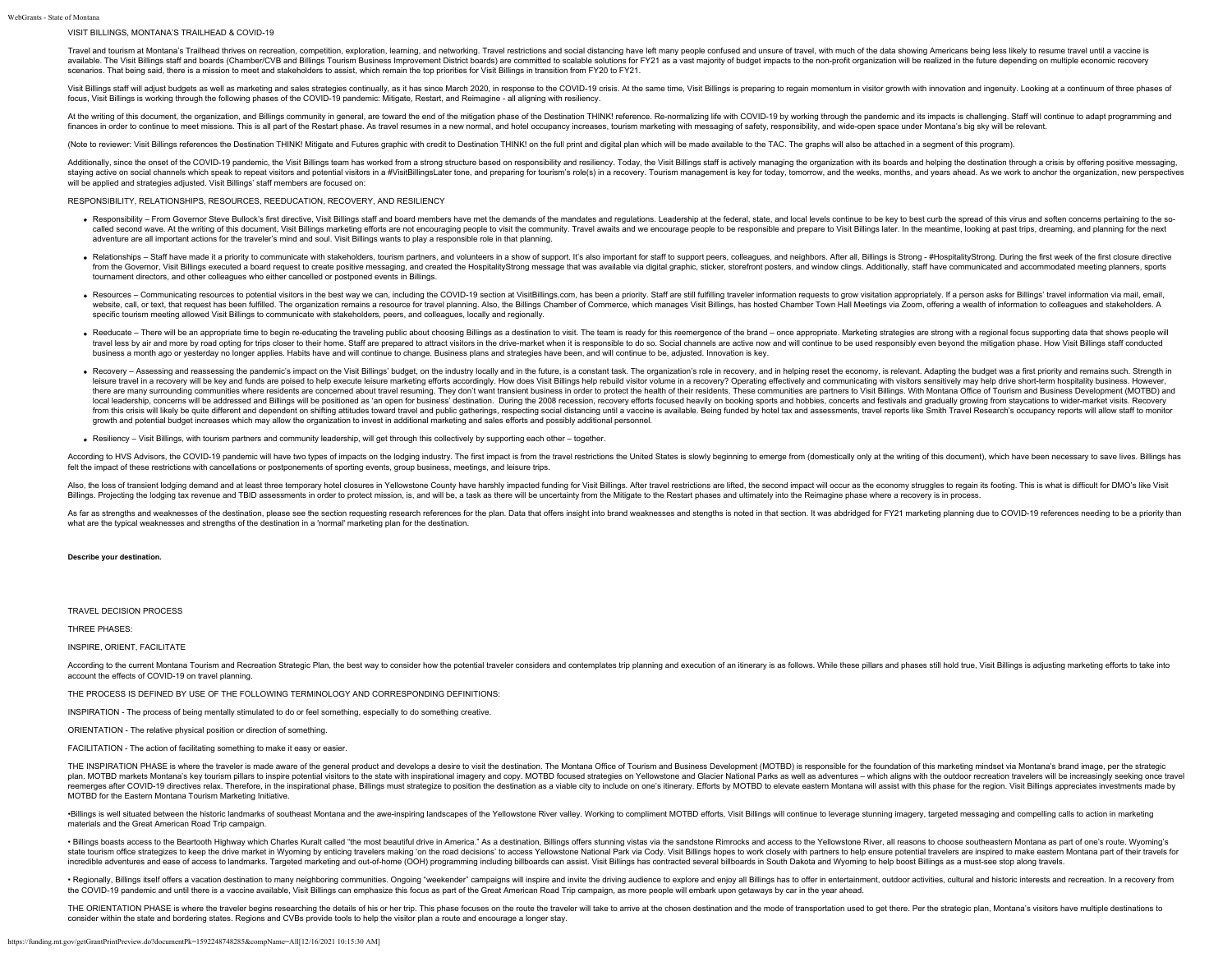# VISIT BILLINGS, MONTANA'S TRAILHEAD & COVID-19

Travel and tourism at Montana's Trailhead thrives on recreation, competition, exploration, learning, and networking. Travel restrictions and social distancing have left many people confused and unsure of travel, with much available. The Visit Billings staff and boards (Chamber/CVB and Billings Tourism Business Improvement District boards) are committed to scalable solutions for FY21 as a vast majority of budget impacts to the non-profit org scenarios. That being said, there is a mission to meet and stakeholders to assist, which remain the top priorities for Visit Billings in transition from FY20 to FY21.

Visit Billings staff will adjust budgets as well as marketing and sales strategies continually, as it has since March 2020, in response to the COVID-19 crisis. At the same time, Visit Billings is preparing to regain moment focus, Visit Billings is working through the following phases of the COVID-19 pandemic: Mitigate, Restart, and Reimagine - all aligning with resiliency.

At the writing of this document, the organization, and Billings community in general, are toward the end of the mitigation phase of the Destination THINK! reference. Re-normalizing life with COVID-19 by working through the finances in order to continue to meet missions. This is all part of the Restart phase. As travel resumes in a new normal, and hotel occupancy increases, tourism marketing with messaging of safety, responsibility, and wide-

(Note to reviewer: Visit Billings references the Destination THINK! Mitigate and Futures graphic with credit to Destination THINK! on the full print and digital plan which will be made available to the TAC. The graphs will

Additionally, since the onset of the COVID-19 pandemic, the Visit Billings team has worked from a strong structure based on responsibility and resiliency. Today, the Visit Billings staff is actively managing the organizati staying active on social channels which speak to repeat visitors and potential visitors in a #Visitors in a #Visitors in a #Visitoris in a #VisitorillingsLater tone, and preparing for tourism's role(s) in a recovery. Touri will be applied and strategies adjusted. Visit Billings' staff members are focused on:

# RESPONSIBILITY, RELATIONSHIPS, RESOURCES, REEDUCATION, RECOVERY, AND RESILIENCY

- . Responsibility From Governor Steve Bullock's first directive, Visit Billings staff and board members have met the demands of the mandates and regulations. Leadership at the federal, state, and local levels continue to called second wave. At the writing of this document, Visit Billings marketing efforts are not encouraging people to visit the community. Travel awaits and we encourage people to be responsible and prepare to Visit Billings adventure are all important actions for the traveler's mind and soul. Visit Billings wants to play a responsible role in that planning.
- . Relationships Staff have made it a priority to communicate with stakeholders, tourism partners, and volunteers in a show of support. It's also important for staff to support peers, colleagues, and neighbors. After all, from the Governor, Visit Billings executed a board request to create positive messaging, and created the HospitalityStrong message that was available via digital graphic, sticker, storefront posters, and window clings. Add tournament directors, and other colleagues who either cancelled or postponed events in Billings.
- . Resources Communicating resources to potential visitors in the best way we can, including the COVID-19 section at VisitBillings.com, has been a priority. Staff are still fulfilling traveler information requests to grow website, call, or text, that request has been fulfilled. The organization remains a resource for travel planning. Also, the Billings Chamber of Commerce, which manages Visit Billings, has hosted Chamber Town Hall Meetings specific tourism meeting allowed Visit Billings to communicate with stakeholders, peers, and colleagues, locally and regionally.
- . Reeducate There will be an appropriate time to begin re-educating the traveling public about choosing Billings as a destination to visit. The team is ready for this reemergence of the brand once appropriate. Marketin travel less by air and more by road opting for trips closer to their home. Staff are prepared to attract visitors in the drive-market when it is responsible to do so. Social channels are active now and will continue to be business a month ago or yesterday no longer applies. Habits have and will continue to change. Business plans and strategies have been, and will continue to be, adjusted. Innovation is key.
- Recovery Assessing and reassessing the pandemic's impact on the Visit Billings' budget, on the industry locally and in the future, is a constant task. The organization's role in recovery, and in helping reset the econo leisure travel in a recovery will be key and funds are poised to help execute leisure marketing efforts accordingly. How does Visit Billings help rebuild visitor volume in a recovery? Operating effectively and communicatin there are many surrounding communities where residents are concerned about travel resuming. They don't want transient business in order to protect the health of their residents. These communities are partners to Visit Bill local leadership, concerns will be addressed and Billings will be positioned as 'an open for business' destination. During the 2008 recession, recovery efforts focused heavily on booking sports and hobbies, concerts and fe from this crisis will likely be quite different and dependent on shifting attitudes toward travel and public gatherings, respecting social distancing until a vaccine is available. Being funded by hotel tax and assessments, growth and potential budget increases which may allow the organization to invest in additional marketing and sales efforts and possibly additional personnel.
- Resiliency Visit Billings, with tourism partners and community leadership, will get through this collectively by supporting each other together.

According to HVS Advisors, the COVID-19 pandemic will have two types of impacts on the lodging industry. The first impact is from the travel restrictions the United States is slowly beginning to emerge from (domestically o felt the impact of these restrictions with cancellations or postponements of sporting events, group business, meetings, and leisure trips.

Also, the loss of transient lodging demand and at least three temporary hotel closures in Yellowstone County have harshly impacted funding for Visit Billings. After travel restrictions are lifted, the second impact will oc Billings. Projecting the lodging tax revenue and TBID assessments in order to protect mission, is, and will be, a task as there will be uncertainty from the Mitigate to the Restart phases and ultimately into the Reimagine

As far as strengths and weaknesses of the destination, please see the section requesting research references for the plan. Data that offers insight into brand weaknesses and stengths is noted in that section. It was abdrid what are the typical weaknesses and strengths of the destination in a 'normal' marketing plan for the destination.

#### **Describe your destination.**

## TRAVEL DECISION PROCESS

THREE PHASES:

# INSPIRE, ORIENT, FACILITATE

According to the current Montana Tourism and Recreation Strategic Plan, the best way to consider how the potential traveler considers and contemplates trip planning and execution of an itinerary is as follows. While these account the effects of COVID-19 on travel planning.

THE PROCESS IS DEFINED BY USE OF THE FOLLOWING TERMINOLOGY AND CORRESPONDING DEFINITIONS:

INSPIRATION - The process of being mentally stimulated to do or feel something, especially to do something creative.

ORIENTATION - The relative physical position or direction of something.

FACILITATION - The action of facilitating something to make it easy or easier.

THE INSPIRATION PHASE is where the traveler is made aware of the general product and develops a desire to visit the destination. The Montana Office of Tourism and Business Development (MOTBD) is responsible for the foundat plan. MOTBD markets Montana's key tourism pillars to inspire potential visitors to the state with inspirational imagery and copy. MOTBD focused strategies on Yellowstone and Glacier National Parks as well as adventures - w reemerges after COVID-19 directives relax. Therefore, in the inspirational phase, Billings must strategize to position the destination as a viable city to include on one's itinerary. Efforts by MOTBD to elevate eastern Mon MOTBD for the Eastern Montana Tourism Marketing Initiative.

·Billings is well situated between the historic landmarks of southeast Montana and the awe-inspiring landscapes of the Yellowstone River valley. Working to compliment MOTBD efforts, Visit Billings will continue to leverage materials and the Great American Road Trip campaign.

. Billings boasts access to the Beartooth Highway which Charles Kuralt called "the most beautiful drive in America." As a destination, Billings offers stunning vistas via the sandstone Rimrocks and access to the Yellowston state tourism office strategizes to keep the drive market in Wyoming by enticing travelers making 'on the road decisions' to access Yellowstone National Park via Cody. Visit Billings hopes to work closely with partners to incredible adventures and ease of access to landmarks. Targeted marketing and out-of-home (OOH) programming including billboards can assist. Visit Billings has contracted several billboards in South Dakota and Wyoming to h

· Regionally, Billings itself offers a vacation destination to many neighboring communities. Ongoing "weekender" campaigns will inspire and invite the driving audience to explore and enjoy all Billings has to offer in ente the COVID-19 pandemic and until there is a vaccine available, Visit Billings can emphasize this focus as part of the Great American Road Trip campaign, as more people will embark upon getaways by car in the year ahead.

THE ORIENTATION PHASE is where the traveler begins researching the details of his or her trip. This phase focuses on the route the traveler will take to arrive at the chosen destination and the mode of transportation used consider within the state and bordering states. Regions and CVBs provide tools to help the visitor plan a route and encourage a longer stay.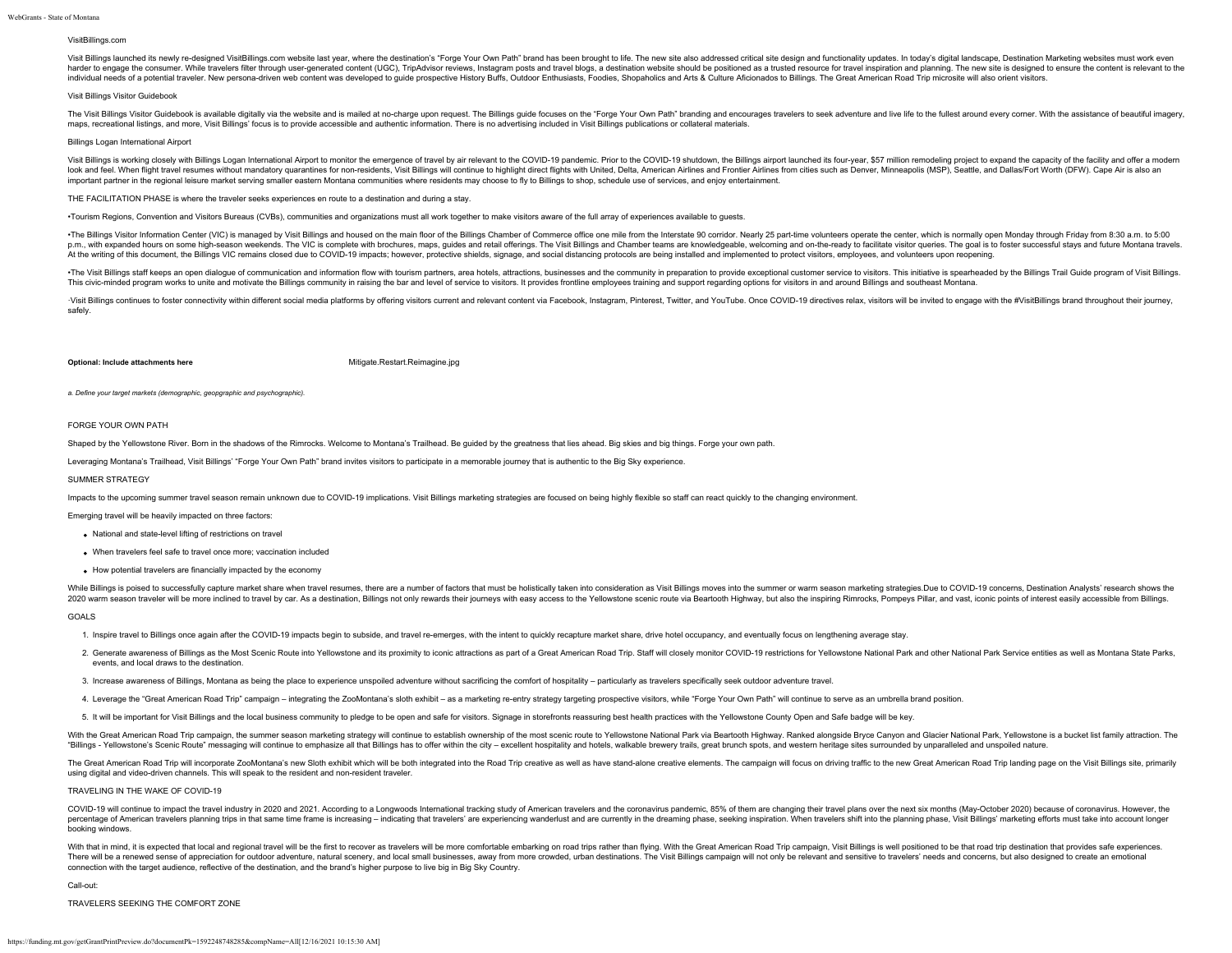# VisitBillings.com

Visit Billings launched its newly re-designed VisitBillings.com website last year, where the destination's "Forge Your Own Path" brand has been brought to life. The new site also addressed critical site design and function harder to engage the consumer. While travelers filter through user-generated content (UGC). TripAdvisor reviews, Instagram posts and travel blogs, a destination website should be positioned as a trusted resource for travel individual needs of a potential traveler. New persona-driven web content was developed to quide prospective History Buffs. Outdoor Enthusiasts. Foodies, Shopaholics and Arts & Culture Aficionados to Billings. The Great Ame

# Visit Billings Visitor Guidebook

The Visit Billings Visitor Guidebook is available digitally via the website and is mailed at no-charge upon request. The Billings quide focuses on the "Forge Your Own Path" branding and encourages travelers to seek adventu maps, recreational listings, and more, Visit Billings' focus is to provide accessible and authentic information. There is no advertising included in Visit Billings publications or collateral materials.

## Billings Logan International Airport

Visit Billings is working closely with Billings Logan International Airport to monitor the emergence of travel by air relevant to the COVID-19 pandemic. Prior to the COVID-19 shutdown, the Billings airport launched its fou look and feel. When flight travel resumes without mandatory quarantines for non-residents, Visit Billings will continue to highlight direct flights with United, Delta, American Airlines and Frontier Airlines from cities su important partner in the regional leisure market serving smaller eastern Montana communities where residents may choose to fly to Billings to shop, schedule use of services, and enjoy entertainment.

#### THE FACILITATION PHASE is where the traveler seeks experiences en route to a destination and during a stay.

•Tourism Regions, Convention and Visitors Bureaus (CVBs), communities and organizations must all work together to make visitors aware of the full array of experiences available to guests.

. The Billings Visitor Information Center (VIC) is managed by Visit Billings and housed on the main floor of the Billings Chamber of Commerce office one mile from the Interstate 90 corridor. Nearly 25 part-time volunteers p.m., with expanded hours on some high-season weekends. The VIC is complete with brochures, maps, guides and retail offerings. The Visit Billings and Chamber teams are knowledgeable, welcoming and on-the-ready to facilitat At the writing of this document, the Billings VIC remains closed due to COVID-19 impacts; however, protective shields, signage, and social distancing protocols are being installed and implemented to protect visitors, emplo

. The Visit Billings staff keeps an open dialogue of communication and information flow with tourism partners, area hotels, attractions, businesses and the community in preparation to provide exceptional customer service t This civic-minded program works to unite and motivate the Billings community in raising the bar and level of service to visitors. It provides frontline employees training and support regarding options for visitors in and a

Visit Billings continues to foster connectivity within different social media platforms by offering visitors current and relevant content via Facebook, Instagram, Pinterest, Twitter, and YouTube. Once COVID-19 directives r safely.

# **Optional: Include attachments here** [Mitigate.Restart.Reimagine.jpg](https://funding.mt.gov/fileDownload.jsp?filename=1588363672353_Mitigate.Restart.Reimagine.jpg)

*a. Define your target markets (demographic, geopgraphic and psychographic).*

# FORGE YOUR OWN PATH

Shaped by the Yellowstone River. Born in the shadows of the Rimrocks. Welcome to Montana's Trailhead. Be guided by the greatness that lies ahead. Big skies and big things. Forge your own path.

Leveraging Montana's Trailhead, Visit Billings' "Forge Your Own Path" brand invites visitors to participate in a memorable journey that is authentic to the Big Sky experience.

#### SUMMER STRATEGY

Impacts to the upcoming summer travel season remain unknown due to COVID-19 implications. Visit Billings marketing strategies are focused on being highly flexible so staff can react quickly to the changing environment.

Emerging travel will be heavily impacted on three factors:

- National and state-level lifting of restrictions on travel
- When travelers feel safe to travel once more; vaccination included
- How potential travelers are financially impacted by the economy

While Billings is poised to successfully capture market share when travel resumes, there are a number of factors that must be holistically taken into consideration as Visit Billings moves into the summer or warm season mar 2020 warm season traveler will be more inclined to travel by car. As a destination, Billings not only rewards their journeys with easy access to the Yellowstone scenic route via Beartooth Highway, but also the inspiring Ri

GOALS

1. Inspire travel to Billings once again after the COVID-19 impacts begin to subside, and travel re-emerges, with the intent to quickly recapture market share, drive hotel occupancy, and eventually focus on lengthening ave

- 2. Generate awareness of Billings as the Most Scenic Route into Yellowstone and its proximity to iconic attractions as part of a Great American Road Trip. Staff will closely monitor COVID-19 restrictions for Yellowstone Na events, and local draws to the destination.
- 3. Increase awareness of Billings, Montana as being the place to experience unspoiled adventure without sacrificing the comfort of hospitality particularly as travelers specifically seek outdoor adventure travel.
- 4. Leverage the "Great American Road Trip" campaign integrating the ZooMontana's sloth exhibit as a marketing re-entry strategy targeting prospective visitors, while "Forge Your Own Path" will continue to serve as an u
- 5. It will be important for Visit Billings and the local business community to pledge to be open and safe for visitors. Signage in storefronts reassuring best health practices with the Yellowstone County Open and Safe badg

With the Great American Road Trip campaign, the summer season marketing strategy will continue to establish ownership of the most scenic route to Yellowstone National Park via Beartooth Highway. Ranked alongside Bryce Cany "Billings - Yellowstone's Scenic Route" messaging will continue to emphasize all that Billings has to offer within the city - excellent hospitality and hotels, walkable brewery trails, great brunch spots, and western herit

The Great American Road Trip will incorporate ZooMontana's new Sloth exhibit which will be both integrated into the Road Trip creative as well as have stand-alone creative elements. The campaign will focus on driving traff using digital and video-driven channels. This will speak to the resident and non-resident traveler.

TRAVELING IN THE WAKE OF COVID-19

COVID-19 will continue to impact the travel industry in 2020 and 2021. According to a Longwoods International tracking study of American travelers and the coronavirus pandemic, 85% of them are changing their travel plans o percentage of American travelers planning trips in that same time frame is increasing - indicating that travelers' are experiencing wanderlust and are currently in the dreaming phase, seeking inspiration. When travelers sh booking windows.

With that in mind, it is expected that local and regional travel will be the first to recover as travelers will be more comfortable embarking on road trips rather than flying. With the Great American Road Trip campaign, Vi There will be a renewed sense of appreciation for outdoor adventure, natural scenery, and local small businesses, away from more crowded, urban destinations. The Visit Billings campaign will not only be relevant and sensit connection with the target audience, reflective of the destination, and the brand's higher purpose to live big in Big Sky Country.

Call-out:

#### TRAVELERS SEEKING THE COMFORT ZONE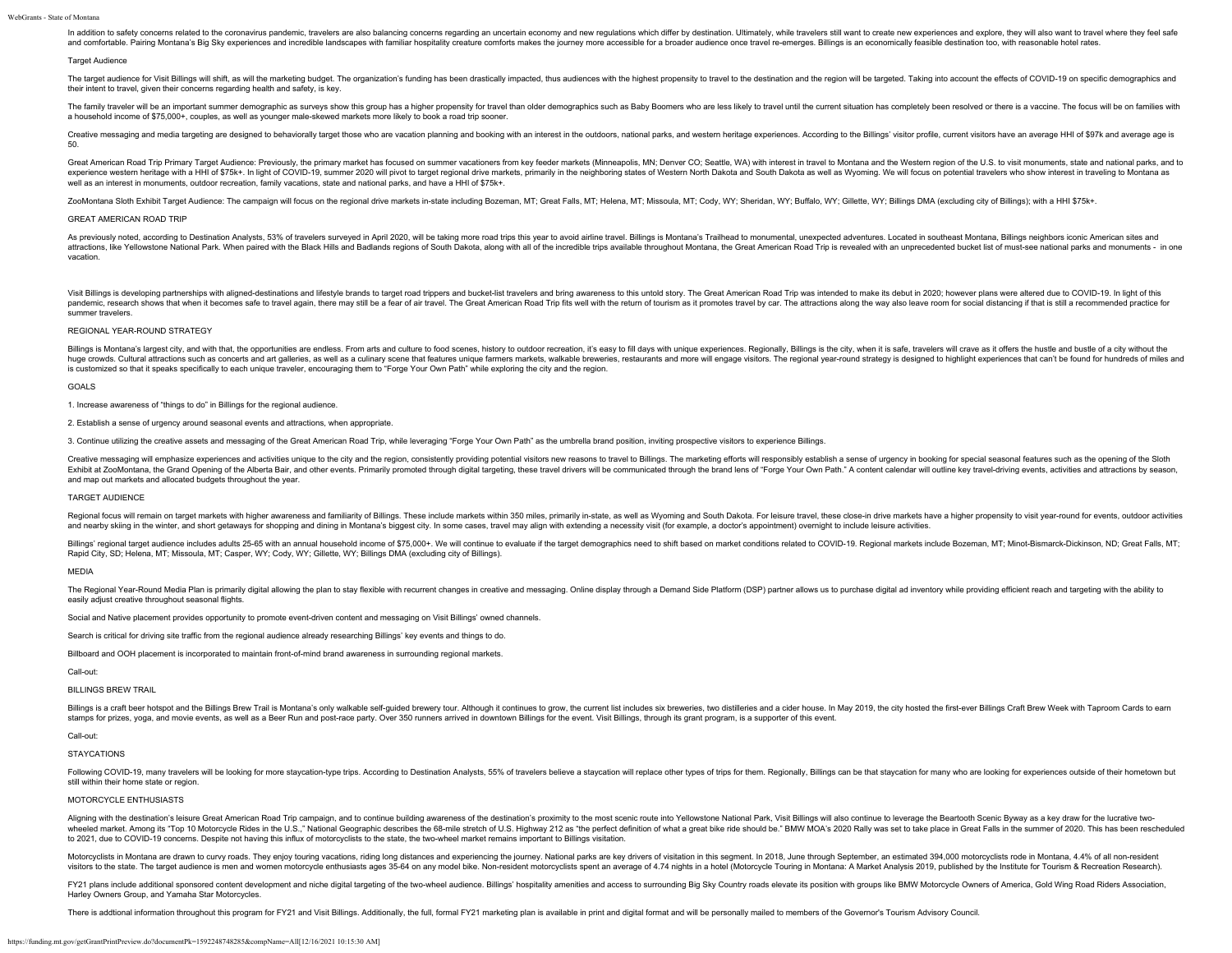In addition to safety concerns related to the coronavirus pandemic, travelers are also balancing concerns regarding an uncertain economy and new regulations which differ by destination. Ultimately, while travelers still wa and comfortable. Pairing Montana's Big Sky experiences and incredible landscapes with familiar hospitality creature comforts makes the iourney more accessible for a broader audience once travel re-emerges. Billings is an e

#### Target Audience

The target audience for Visit Billings will shift, as will the marketing budget. The organization's funding has been drastically impacted, thus audiences with the highest propensity to travel to the destination and the reg their intent to travel, given their concerns regarding health and safety, is key.

The family traveler will be an important summer demographic as surveys show this group has a higher propensity for travel than older demographics such as Baby Boomers who are less likely to travel until the current situati a household income of \$75,000+, couples, as well as younger male-skewed markets more likely to book a road trip sooner.

Creative messaging and media targeting are designed to behaviorally target those who are vacation planning and booking with an interest in the outdoors, national parks, and western heritage experiences. According to the Bi 50.

Great American Road Trip Primary Target Audience: Previously, the primary market has focused on summer vacationers from key feeder markets (Minneapolis, MN; Denver CO; Seattle, WA) with interest in travel to Montana and th experience western heritage with a HHI of \$75k+. In light of COVID-19, summer 2020 will pivot to target regional drive markets, primarily in the neighboring states of Western North Dakota and South Dakota as well as Wyomin well as an interest in monuments, outdoor recreation, family vacations, state and national parks, and have a HHI of \$75k+.

ZooMontana Sloth Exhibit Target Audience: The campaign will focus on the regional drive markets in-state including Bozeman, MT; Great Falls, MT; Helena, MT; Cody, WY; Sheridan, WY; Bulfalo, WY; Gillette, WY; Billings DMA (

# GREAT AMERICAN ROAD TRIP

As previously noted, according to Destination Analysts, 53% of travelers surveyed in April 2020, will be taking more road trips this year to avoid airline travel. Billings is Montana's Trailhead to monumental, unexpected a attractions, like Yellowstone National Park. When paired with the Black Hills and Badlands regions of South Dakota, along with all of the incredible trips available throughout Montana, the Great American Road Trip is revea vacation.

Visit Billings is developing partnerships with aligned-destinations and lifestyle brands to target road trippers and bucket-list travelers and bring awareness to this untold story. The Great American Road Trip was intended pandemic, research shows that when it becomes safe to travel again, there may still be a fear of air travel. The Great American Road Trip fits well with the return of tourism as it promotes travel by car. The attractions a summer travelers.

# REGIONAL YEAR-ROUND STRATEGY

Billings is Montana's largest city, and with that, the opportunities are endless. From arts and culture to food scenes, history to outdoor recreation, it's easy to fill days with unique experiences. Regionally, Billings is huge crowds. Cultural attractions such as concerts and art galleries, as well as a culinary scene that features unique farmers markets, walkable breweries, restaurants and more will engage visitors. The regional year-round is customized so that it speaks specifically to each unique traveler, encouraging them to "Forge Your Own Path" while exploring the city and the region.

# GOALS

1. Increase awareness of "things to do" in Billings for the regional audience.

2. Establish a sense of urgency around seasonal events and attractions, when appropriate.

3. Continue utilizing the creative assets and messaging of the Great American Road Trip, while leveraging "Forge Your Own Path" as the umbrella brand position, inviting prospective visitors to experience Billings.

Creative messaging will emphasize experiences and activities unique to the city and the region, consistently providing potential visitors new reasons to travel to Billings. The marketing efforts will responsibly establish Exhibit at ZooMontana, the Grand Opening of the Alberta Bair, and other events. Primarily promoted through digital targeting, these travel drivers will be communicated through the brand lens of "Forge Your Own Path." A con and map out markets and allocated budgets throughout the year.

# TARGET AUDIENCE

Regional focus will remain on target markets with higher awareness and familiarity of Billings. These include markets within 350 miles, primarily in-state, as well as Wyoming and South Dakota. For leisure travel, these clo and nearby skiing in the winter, and short getaways for shopping and dining in Montana's biggest city. In some cases, travel may align with extending a necessity visit (for example, a doctor's appointment) overnight to inc

Billings' regional target audience includes adults 25-65 with an annual household income of \$75,000+. We will continue to evaluate if the target demographics need to shift based on market conditions related to COVID-19. Re Rapid City, SD; Helena, MT; Missoula, MT; Casper, WY; Cody, WY; Gillette, WY; Billings DMA (excluding city of Billings).

#### MEDIA

The Regional Year-Round Media Plan is primarily digital allowing the plan to stay flexible with recurrent changes in creative and messaging. Online display through a Demand Side Platform (DSP) partner allows us to purchase easily adjust creative throughout seasonal flights.

Social and Native placement provides opportunity to promote event-driven content and messaging on Visit Billings' owned channels.

Search is critical for driving site traffic from the regional audience already researching Billings' key events and things to do.

Billboard and OOH placement is incorporated to maintain front-of-mind brand awareness in surrounding regional markets.

# Call-out:

BILLINGS BREW TRAIL

Billings is a craft beer hotspot and the Billings Brew Trail is Montana's only walkable self-quided brewery tour. Although it continues to grow, the current list includes six breweries, two distilleries and a cider house. stamps for prizes, yoga, and movie events, as well as a Beer Run and post-race party. Over 350 runners arrived in downtown Billings for the event. Visit Billings, through its grant program, is a supporter of this event.

# Call-out:

# **STAYCATIONS**

Following COVID-19, many travelers will be looking for more staycation-type trips. According to Destination Analysts, 55% of travelers believe a staycation will replace other types of trips for them. Regionally, Billings c still within their home state or region.

# MOTORCYCLE ENTHUSIASTS

Aligning with the destination's leisure Great American Road Trip campaign, and to continue building awareness of the destination's proximity to the most scenic route into Yellowstone National Park, Visit Billings will also wheeled market. Among its "Top 10 Motorcycle Rides in the U.S.," National Geographic describes the 68-mile stretch of U.S. Highway 212 as "the perfect definition of what a great bike ride should be." BMW MOA's 2020 Rally w to 2021, due to COVID-19 concerns. Despite not having this influx of motorcyclists to the state, the two-wheel market remains important to Billings visitation.

Motorcyclists in Montana are drawn to curvy roads. They enjoy touring vacations, riding long distances and experiencing the journey. National parks are key drivers of visitation in this segment. In 2018, June through Septe visitors to the state. The target audience is men and women motorcycle enthusiasts ages 35-64 on any model bike. Non-resident motorcyclists spent an average of 4.74 nights in a hotel (Motorcycle Touring in Montana: A Marke

FY21 plans include additional sponsored content development and niche digital targeting of the two-wheel audience. Billings' hospitality amenities and access to surrounding Big Sky Country roads elevate its position with g Harley Owners Group, and Yamaha Star Motorcycles.

There is addtional information throughout this program for FY21 and Visit Billings. Additionally, the full, formal FY21 marketing plan is available in print and digital format and will be personally mailed to members of th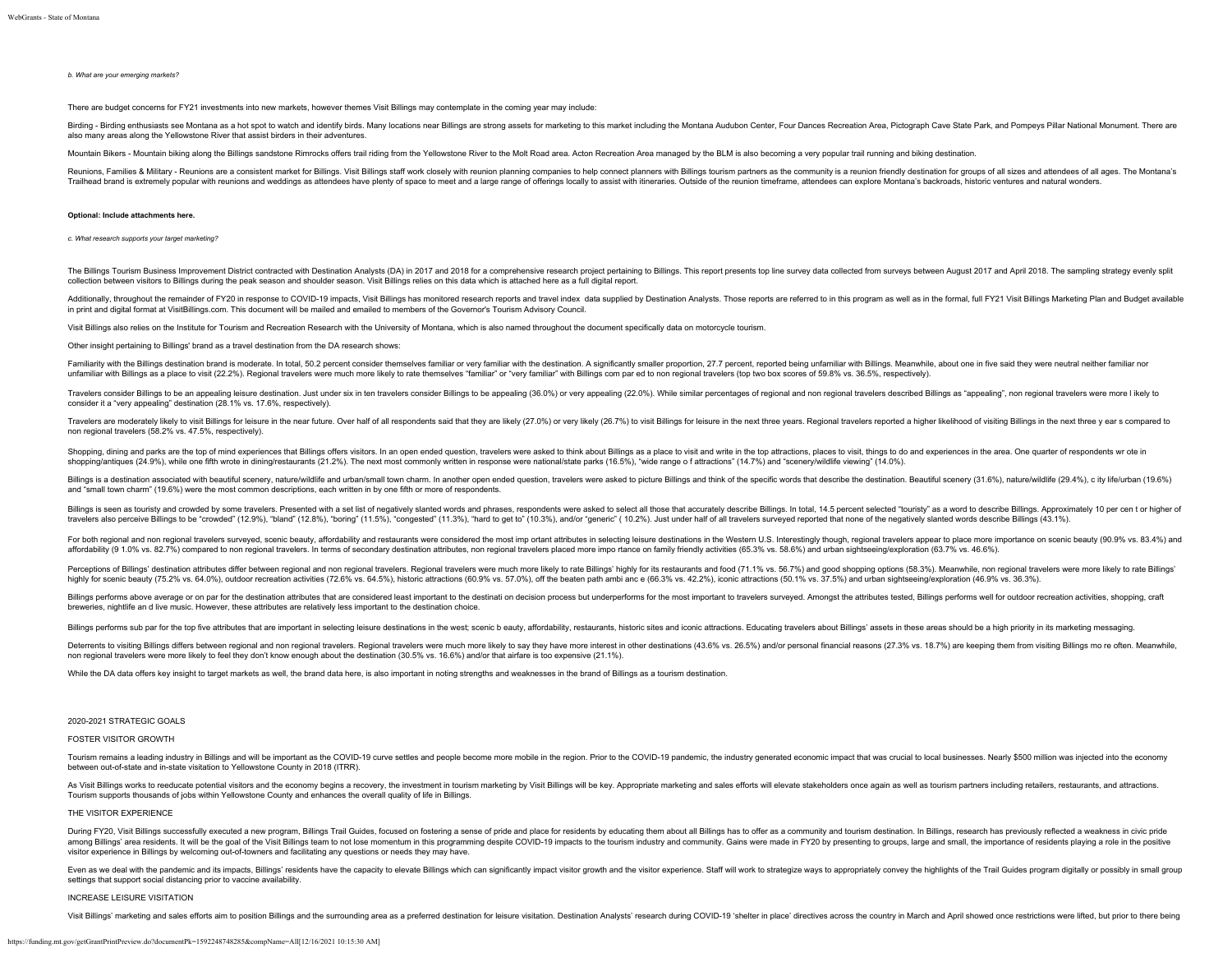#### *b. What are your emerging markets?*

There are budget concerns for FY21 investments into new markets, however themes Visit Billings may contemplate in the coming year may include:

Birding - Birding enthusiasts see Montana as a hot spot to watch and identify birds. Many locations near Billings are strong assets for marketing to this market including the Montana Audubon Center. Four Dances Recreation also many areas along the Yellowstone River that assist birders in their adventures.

Mountain Bikers - Mountain biking along the Billings sandstone Rimrocks offers trail riding from the Yellowstone River to the Molt Road area. Acton Recreation Area managed by the BLM is also becoming a very popular trail r

Reunions, Families & Military - Reunions are a consistent market for Billings. Visit Billings staff work closely with reunion planning companies to help connect planners with Billings tourism partners as the community is a Trailhead brand is extremely popular with reunions and weddings as attendees have plenty of space to meet and a large range of offerings locally to assist with itineraries. Outside of the reunion timeframe, attendees can e

#### **Optional: Include attachments here.**

*c. What research supports your target marketing?*

The Billings Tourism Business Improvement District contracted with Destination Analysts (DA) in 2017 and 2018 for a comprehensive research project pertaining to Billings. This report presents too line survey data collected collection between visitors to Billings during the peak season and shoulder season. Visit Billings relies on this data which is attached here as a full digital report.

Additionally, throughout the remainder of FY20 in response to COVID-19 impacts. Visit Billings has monitored research reports and travel index data supplied by Destination Analysts. Those reports are referred to in this pr in print and digital format at VisitBillings.com. This document will be mailed and emailed to members of the Governor's Tourism Advisory Council.

Visit Billings also relies on the Institute for Tourism and Recreation Research with the University of Montana, which is also named throughout the document specifically data on motorcycle tourism.

Other insight pertaining to Billings' brand as a travel destination from the DA research shows:

Familiarity with the Billings destination brand is moderate. In total, 50.2 percent consider themselves familiar or very familiar with the destination. A significantly smaller proportion, 27.7 percent, reported being unfam unfamiliar with Billings as a place to visit (22.2%). Regional travelers were much more likely to rate themselves "familiar" or "very familiar" with Billings com par ed to non regional travelers (top two box scores of 59.8

Travelers consider Billings to be an appealing leisure destination. Just under six in ten travelers consider Billings to be appealing (36.0%) or very appealing (22.0%). While similar percentages of regional and non regiona consider it a "very appealing" destination (28.1% vs. 17.6%, respectively).

Travelers are moderately likely to visit Billings for leisure in the near future. Over half of all respondents said that they are likely (27.0%) or very likely (28.7%) to visit Billings for leisure in the near half or lise non regional travelers (58.2% vs. 47.5%, respectively).

Shopping, dining and parks are the top of mind experiences that Billings offers visitors. In an open ended question, travelers were asked to think about Billings as a place to visit and write in the top attractions, places shopping/antiques (24.9%), while one fifth wrote in dining/restaurants (21.2%). The next most commonly written in response were national/state parks (16.5%), "wide range of attractions" (14.7%) and "scenery/wildlife viewin

Billings is a destination associated with beautiful scenery, nature/wildlife and urban/small town charm. In another open ended question, travelers were asked to picture Billings and think of the specific words that describ and "small town charm" (19.6%) were the most common descriptions, each written in by one fifth or more of respondents.

Billings is seen as touristy and crowded by some travelers. Presented with a set list of negatively slanted words and phrases, respondents were asked to select all those that accurately describe Billings. In total, 14,5 pe travelers also perceive Billings to be "crowded" (12.9%), "bland" (12.8%), "boring" (11.5%), "congested" (11.3%), "hard to get to" (10.3%), and/or "generic" (10.2%). Just under half of all travelers surveyed reported that

For both regional and non regional travelers surveyed, scenic beauty, affordability and restaurants were considered the most imp ortant attributes in selecting leisure destinations in the Western U.S. Interestingly though, affordability (9 1.0% vs. 82.7%) compared to non regional travelers. In terms of secondary destination attributes, non regional travelers placed more impo rtance on family friendly activities (65.3% vs. 58.6%) and urban si

Perceptions of Billings' destination attributes differ between regional and non regional travelers. Regional travelers were much more likely to rate Billings' highly for its restaurants and food (71.1% ys. 56.7%) and good highly for scenic beauty (75.2% vs. 64.0%), outdoor recreation activities (72.6% vs. 64.5%), historic attractions (60.9% vs. 57.0%), off the beaten path ambi anc e (66.3% vs. 42.2%), iconic attractions (50.1% vs. 37.5%) an

Billings performs above average or on par for the destination attributes that are considered least important to the destination decision process but underperforms for the most important to travelers surveyed. Amongst the a breweries, nightlife an d live music. However, these attributes are relatively less important to the destination choice.

Billings performs sub par for the top five attributes that are important in selecting leisure destinations in the west; scenic b eauty, affordability, restaurants, historic sites and iconic attractions. Educating travelers

Deterrents to visiting Billings differs between regional and non regional travelers. Regional travelers. Regional travelers were much more likely to say they have more interest in other destinations (43.6% vs. 26.5%) and/o non regional travelers were more likely to feel they don't know enough about the destination (30.5% vs. 16.6%) and/or that airfare is too expensive (21.1%).

While the DA data offers key insight to target markets as well, the brand data here, is also important in noting strengths and weaknesses in the brand of Billings as a tourism destination.

# 2020-2021 STRATEGIC GOALS

# FOSTER VISITOR GROWTH

Tourism remains a leading industry in Billings and will be important as the COVID-19 curve settles and people become more mobile in the region. Prior to the COVID-19 pandemic, the industry generated economic impact that wa between out-of-state and in-state visitation to Yellowstone County in 2018 (ITRR).

As Visit Billings works to reeducate potential visitors and the economy begins a recovery, the investment in tourism marketing by Visit Billings will be key. Appropriate marketing and sales efforts will elevate stakeholder Tourism supports thousands of jobs within Yellowstone County and enhances the overall quality of life in Billings.

# THE VISITOR EXPERIENCE

During FY20, Visit Billings successfully executed a new program, Billings Trail Guides, focused on fostering a sense of pride and place for residents by educating them about all Billings has to offer as a community and tou among Billings' area residents. It will be the goal of the Visit Billings team to not lose momentum in this programming despite COVID-19 impacts to the tourism industry and community. Gains were made in FY20 by presenting visitor experience in Billings by welcoming out-of-towners and facilitating any questions or needs they may have.

Even as we deal with the pandemic and its impacts, Billings' residents have the capacity to elevate Billings which can significantly impact visitor growth and the visitor experience. Staff will work to strategize ways to a settings that support social distancing prior to vaccine availability.

# INCREASE LEISURE VISITATION

Visit Billings' marketing and sales efforts aim to position Billings and the surrounding area as a preferred destination for leisure visitation. Destination Analysts' research during COVID-19 'shelter in place' directives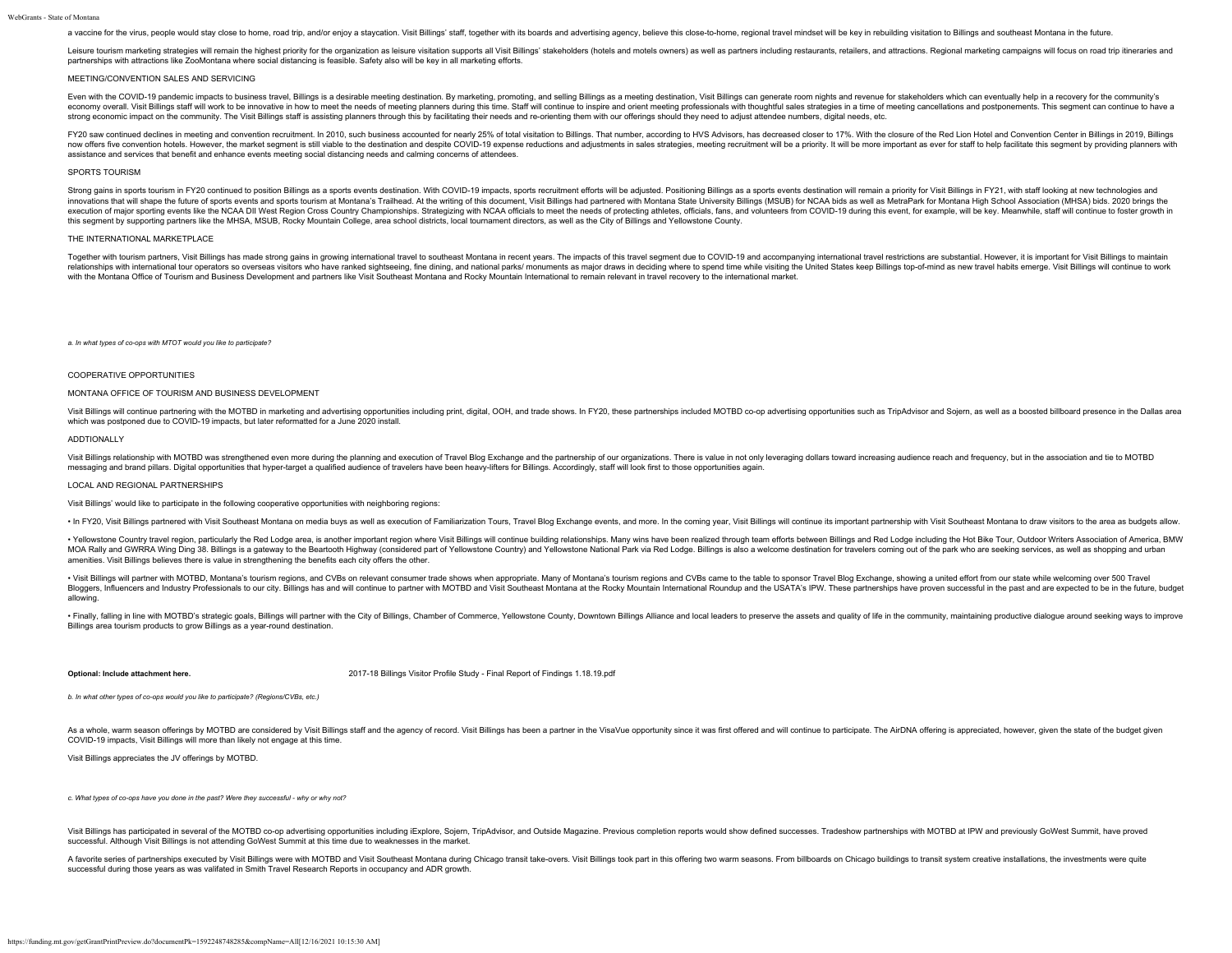a vaccine for the virus, people would stay close to home, road trip, and/or enjoy a staycation. Visit Billings' staff, together with its boards and advertising agency, believe this close-to-home, regional travel mindset wi

Leisure tourism marketing strategies will remain the highest priority for the organization as leisure visitation supports all Visit Billings' stakeholders (hotels and motels owners) as well as partners including restaurant partnerships with attractions like ZooMontana where social distancing is feasible. Safety also will be key in all marketing efforts.

# MEETING/CONVENTION SALES AND SERVICING

Even with the COVID-19 pandemic impacts to business travel. Billings is a desirable meeting destination. By marketing, promoting, and selling Billings as a meeting destination, Visit Billings can generate room nights and r economy overall. Visit Billings staff will work to be innovative in how to meet the needs of meeting planners during this time. Staff will continue to inspire and orient meeting professionals with thoughtful sales strategi strong economic impact on the community. The Visit Billings staff is assisting planners through this by facilitating their needs and re-orienting them with our offerings should they need to adjust attendee numbers, digital

FY20 saw continued declines in meeting and convention recruitment. In 2010, such business accounted for nearly 25% of total visitation to Billings. That number, according to HVS Advisors, has decreased closer to 17%. With now offers five convention hotels. However, the market segment is still viable to the destination and despite COVID-19 expense reductions and adjustments in sales strategies, meeting recruitment will be a priority. It will assistance and services that benefit and enhance events meeting social distancing needs and calming concerns of attendees.

## SPORTS TOURISM

Strong gains in sports tourism in FY20 continued to position Billings as a sports events destination. With COVID-19 impacts, sports recruitment efforts will be adjusted. Positioning Billings as a sports events destination innovations that will shape the future of sports events and sports tourism at Montana's Trailhead. At the writing of this document, Visit Billings had partnered with Montana State University Billings (MSUB) for NCAA bids a execution of major sporting events like the NCAA DII West Region Cross Country Championships. Strategizing with NCAA officials to meet the needs of protecting athletes, officials, fans, and volunteers from COVID-19 during this segment by supporting partners like the MHSA, MSUB, Rocky Mountain College, area school districts, local tournament directors, as well as the City of Billings and Yellowstone County.

## THE INTERNATIONAL MARKETPLACE

Together with tourism partners, Visit Billings has made strong gains in growing international travel to southeast Montana in recent years. The impacts of this travel segment due to COVID-19 and accompanying international t relationships with international tour operators so overseas visitors who have ranked sightseeing, fine dining, and national parks/ monuments as major draws in deciding where to spend time while visiting the United States k with the Montana Office of Tourism and Business Development and partners like Visit Southeast Montana and Rocky Mountain International to remain relevant in travel recovery to the international market.

*a. In what types of co-ops with MTOT would you like to participate?*

## COOPERATIVE OPPORTUNITIES

#### MONTANA OFFICE OF TOURISM AND BUSINESS DEVELOPMENT

Visit Billings will continue partnering with the MOTBD in marketing and advertising opportunities including print, digital, OOH, and trade shows. In FY20, these partnerships included MOTBD co-op advertising opportunities s which was postponed due to COVID-19 impacts, but later reformatted for a June 2020 install.

# ADDTIONALLY

Visit Billings relationship with MOTBD was strengthened even more during the planning and execution of Travel Blog Exchange and the partnership of our organizations. There is value in not only leveraging dollars toward inc messaging and brand pillars. Digital opportunities that hyper-target a qualified audience of travelers have been heavy-lifters for Billings. Accordingly, staff will look first to those opportunities again.

## LOCAL AND REGIONAL PARTNERSHIPS

Visit Billings' would like to participate in the following cooperative opportunities with neighboring regions:

. In FY20, Visit Billings partnered with Visit Southeast Montana on media buys as well as execution of Familiarization Tours, Travel Blog Exchange events, and more. In the coming year, Visit Billings will continue its impo

. Yellowstone Country travel region, particularly the Red Lodge area, is another important region where Visit Billings will continue building relationships. Many wins have been realized through team efforts between Billing MOA Rally and GWRRA Wing Ding 38. Billings is a gateway to the Beartooth Highway (considered part of Yellowstone Country) and Yellowstone National Park via Red Lodge. Billings is also a welcome destination for travelers co amenities. Visit Billings believes there is value in strengthening the benefits each city offers the other.

. Visit Billings will partner with MOTBD, Montana's tourism regions, and CVBs on relevant consumer trade shows when appropriate. Many of Montana's tourism regions and CVBs came to the table to sponsor Travel Blog Exchange, Bloggers, influencers and Industry Professionals to our city. Billings has and will continue to partner with MOTBD and Visit Southeast Montana at the Rocky Mountain International Roundup and the USATA's IPW. These partners allowing.

· Finally, falling in line with MOTBD's strategic goals, Billings will partner with the City of Billings, Chamber of Commerce, Yellowstone County, Downtown Billings Alliance and local leaders to preserve the assets and qua Billings area tourism products to grow Billings as a year-round destination.

**Optional: Include attachment here.** [2017-18 Billings Visitor Profile Study - Final Report of Findings 1.18.19.pdf](https://funding.mt.gov/fileDownload.jsp?filename=1588365590203_2017-18+Billings+Visitor+Profile+Study+-+Final+Report+of+Findings+1.18.19.pdf)

*b. In what other types of co-ops would you like to participate? (Regions/CVBs, etc.)*

As a whole, warm season offerings by MOTBD are considered by Visit Billings staff and the agency of record. Visit Billings has been a partner in the VisalVue opportunity since it was first offered and will continue to part COVID-19 impacts, Visit Billings will more than likely not engage at this time.

Visit Billings appreciates the JV offerings by MOTBD.

*c. What types of co-ops have you done in the past? Were they successful - why or why not?*

Visit Billings has participated in several of the MOTBD co-op advertising opportunities including iExplore, Sojern, TripAdvisor, and Outside Magazine. Previous completion reports would show defined successes. Tradeshow par successful. Although Visit Billings is not attending GoWest Summit at this time due to weaknesses in the market.

A favorite series of partnerships executed by Visit Billings were with MOTBD and Visit Southeast Montana during Chicago transit take-overs. Visit Billings took part in this offering two warm seasons. From billboards on Chi successful during those years as was valifated in Smith Travel Research Reports in occupancy and ADR growth.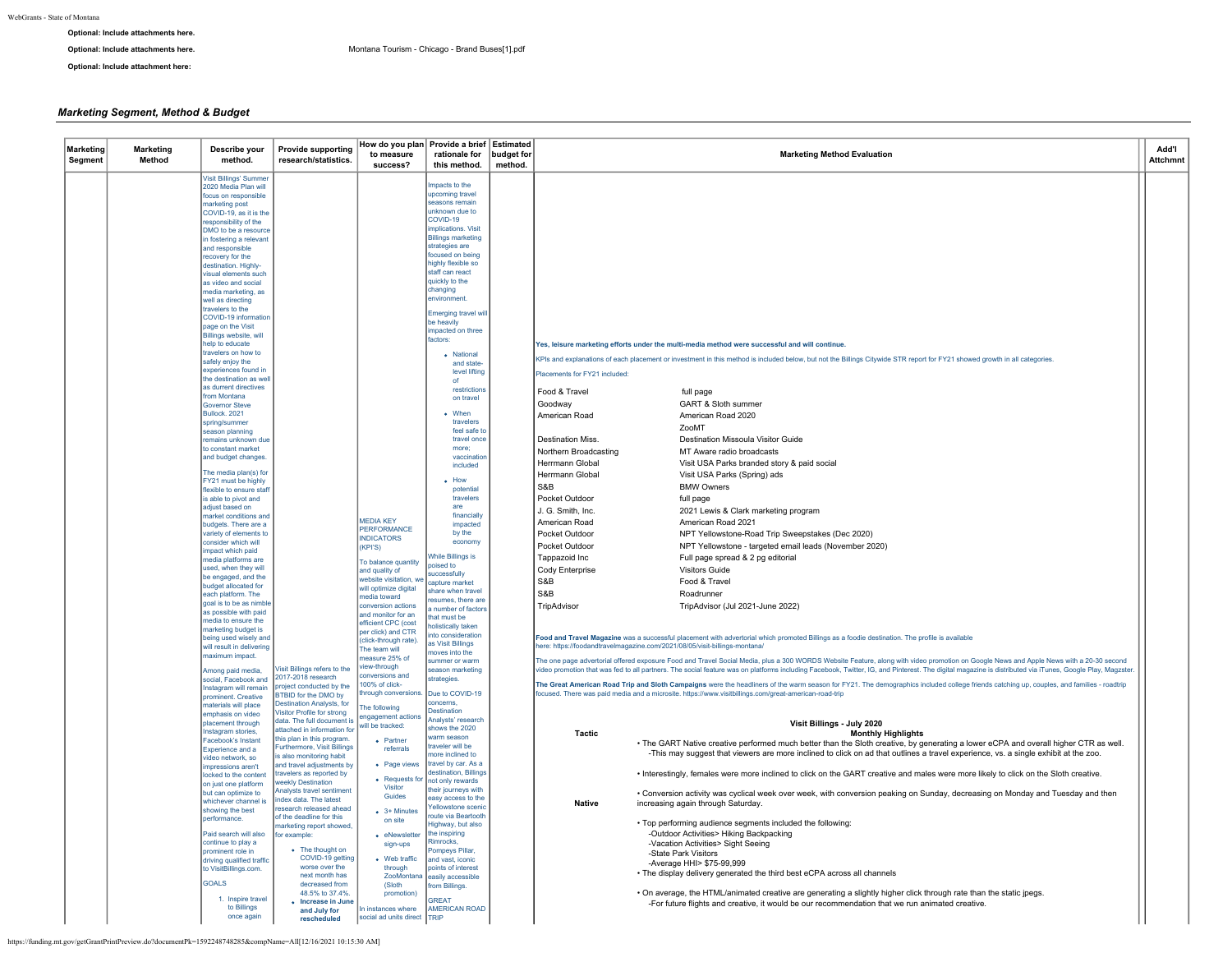# **Optional: Include attachments here.**

**Optional: Include attachment here:**

# *Marketing Segment, Method & Budget*

| <b>Visit Billings' Summer</b><br>Impacts to the<br>2020 Media Plan will<br>upcoming travel<br>focus on responsible<br>easons remair<br>narketing post<br>unknown due to<br>COVID-19, as it is the<br>COVID-19<br>responsibility of the<br>implications. Visit<br>DMO to be a resource<br><b>Billings marketing</b><br>in fostering a relevant<br>strategies are<br>and responsible<br>focused on being<br>recovery for the<br>highly flexible so<br>destination. Highly-<br>staff can react<br>visual elements such<br>quickly to the<br>as video and social<br>changing<br>media marketing, as<br>environment<br>well as directing<br>travelers to the<br><b>Emerging travel wil</b><br>COVID-19 information<br>be heavily<br>page on the Visit<br>impacted on three<br>Billings website, will<br>factors:<br>help to educate<br>Yes, leisure marketing efforts under the multi-media method were successful and will continue.<br>travelers on how to<br>• National<br>KPIs and explanations of each placement or investment in this method is included below, but not the Billings Citywide STR report for FY21 showed growth in all categories.<br>safely enjoy the<br>and state-<br>experiences found in<br>level lifting<br>Placements for FY21 included:<br>the destination as well<br>as durrent directives<br>restrictions<br>Food & Travel<br>full page<br>from Montana<br>on travel<br>Goodway<br>GART & Sloth summer<br><b>Governor Steve</b><br>$\bullet$ When<br>Bullock. 2021<br>American Road<br>American Road 2020<br>travelers<br>spring/summer<br>ZooMT<br>feel safe to<br>season planning<br>Destination Missoula Visitor Guide<br>travel once<br>Destination Miss.<br>remains unknown due<br>to constant market<br>more:<br>Northern Broadcasting<br>MT Aware radio broadcasts<br>and budget changes.<br>vaccination<br>Herrmann Global<br>Visit USA Parks branded story & paid social<br>included<br>The media plan(s) for<br>Herrmann Global<br>Visit USA Parks (Spring) ads<br>FY21 must be highly<br>$-$ How<br>S&B<br><b>BMW Owners</b><br>flexible to ensure staff<br>potential<br>travelers<br>Pocket Outdoor<br>is able to pivot and<br>full page<br>adjust based on<br>are<br>J. G. Smith, Inc.<br>2021 Lewis & Clark marketing program<br>financially<br>market conditions and<br>MEDIA KEY<br>American Road 2021<br>American Road<br>impacted<br>budgets. There are a<br>PERFORMANCE<br>variety of elements to<br>by the<br>Pocket Outdoor<br>NPT Yellowstone-Road Trip Sweepstakes (Dec 2020)<br><b>NDICATORS</b><br>consider which will<br>economy<br>Pocket Outdoor<br>NPT Yellowstone - targeted email leads (November 2020)<br>(KPI'S)<br>impact which paid<br><b>While Billings is</b><br>Full page spread & 2 pg editorial<br>Tappazoid Inc<br>media platforms are<br>To balance quantity<br>poised to<br>used, when they will<br>Cody Enterprise<br><b>Visitors Guide</b><br>and quality of<br>uccessfully<br>be engaged, and the<br>ebsite visitation, we<br>S&B<br>Food & Travel<br>capture market<br>budget allocated for<br>will optimize digital<br>thare when travel<br>S&B<br>Roadrunner<br>each platform. The<br>hawat sihen<br>esumes, there are<br>goal is to be as nimble<br>onversion actions<br>TripAdvisor<br>TripAdvisor (Jul 2021-June 2022)<br>number of factors<br>as possible with paid<br>and monitor for an<br>hat must be<br>media to ensure the<br><b>efficient CPC</b> (cost<br>holistically taken<br>marketing budget is<br>per click) and CTR<br>nto consideration<br>Food and Travel Magazine was a successful placement with advertorial which promoted Billings as a foodie destination. The profile is available<br>being used wisely and<br>click-through rate).<br>as Visit Billings<br>here: https://foodandtravelmagazine.com/2021/08/05/visit-billings-montana/<br>will result in delivering<br>he team will<br>noves into the<br>maximum impact.<br>neasure 25% of<br>immer or warm<br>The one page advertorial offered exposure Food and Travel Social Media, plus a 300 WORDS Website Feature, along with video promotion on Google News and Apple News with a 20-30 second<br>iew-through<br>Visit Billings refers to the<br>video promotion that was fed to all partners. The social feature was on platforms including Facebook, Twitter, IG, and Pinterest. The digital magazine is distributed via iTunes, Google Play, Magzster<br>season marketing<br>Among paid media.<br>onversions and<br>2017-2018 research<br>strategies.<br>social. Facebook and<br>100% of click-<br>The Great American Road Trip and Sloth Campaigns were the headliners of the warm season for FY21. The demographics included college friends catching up, couples, and families - roadtrip<br>project conducted by the<br>Instagram will remain<br>hrough conversions.<br>Due to COVID-19<br>focused. There was paid media and a microsite. https://www.visitbillings.com/great-american-road-trip<br><b>BTBID</b> for the DMO by<br>prominent. Creative<br>concerns,<br><b>Destination Analysts, for</b><br>materials will place<br>he following<br><b>Destination</b><br>Visitor Profile for strong<br>emphasis on video<br>ngagement actions<br>Analysts' research<br>data. The full document is<br>Visit Billings - July 2020<br>placement through<br>vill be tracked:<br>hows the 2020<br>attached in information for<br>Instagram stories,<br>Tactic<br><b>Monthly Highlights</b><br>warm season<br>this plan in this program.<br>• Partner<br>Facebook's Instant<br>. The GART Native creative performed much better than the Sloth creative, by generating a lower eCPA and overall higher CTR as well.<br>traveler will be<br><b>Furthermore, Visit Billings</b><br>Experience and a<br>referrals<br>-This may suggest that viewers are more inclined to click on ad that outlines a travel experience, vs. a single exhibit at the zoo.<br>nore inclined to<br>is also monitoring habit<br>video network, so<br>travel by car. As a<br>• Page views<br>and travel adjustments by<br>impressions aren't<br>travelers as reported by<br>destination, Billings<br>• Interestingly, females were more inclined to click on the GART creative and males were more likely to click on the Sloth creative.<br>locked to the content<br>• Requests for<br>not only rewards<br>weekly Destination<br>on just one platform<br>Visitor<br>their journeys with<br><b>Analysts travel sentiment</b><br>but can optimize to<br>. Conversion activity was cyclical week over week, with conversion peaking on Sunday, decreasing on Monday and Tuesday and then<br>Guides<br>easy access to the<br>index data. The latest<br>whichever channel is<br><b>Native</b><br>increasing again through Saturday.<br>Yellowstone scenic<br>research released ahead<br>showing the best<br>$\bullet$ 3+ Minutes<br>route via Beartooth<br>of the deadline for this<br>performance.<br>on site<br>• Top performing audience segments included the following:<br>Highway, but also<br>marketing report showed,<br>-Outdoor Activities> Hiking Backpacking<br>the inspiring<br>Paid search will also<br>for example<br>• eNewsletter<br>Rimrocks.<br>continue to play a<br>-Vacation Activities> Sight Seeing<br>sign-ups<br>• The thought on<br>ompeys Pillar<br>prominent role in<br>-State Park Visitors<br>COVID-19 getting<br>• Web traffic<br>driving qualified traffic<br>and vast, iconic<br>-Average HHI> \$75-99,999<br>worse over the<br>through<br>to VisitBillings.com.<br>noints of interest<br>. The display delivery generated the third best eCPA across all channels<br>next month has<br>ZooMontana easily accessible<br><b>GOALS</b><br>decreased from<br>(Sloth<br>from Billings.<br>48.5% to 37.4%<br>. On average, the HTML/animated creative are generating a slightly higher click through rate than the static jpegs.<br>promotion)<br>1. Inspire travel<br>GREAT<br>• Increase in June<br>-For future flights and creative, it would be our recommendation that we run animated creative.<br>to Billings<br>instances where<br><b>AMERICAN ROAD</b><br>and July for<br>once again<br>social ad units direct TRIP<br>rescheduled | Marketing<br>Segment | <b>Marketing</b><br>Method | Describe your<br>method. | <b>Provide supporting</b><br>research/statistics. | How do you plan Provide a brief Estimated<br>to measure<br>success? | rationale for<br>this method. | budget for<br>method. | <b>Marketing Method Evaluation</b> | Add'l<br><b>Attchmnt</b> |
|----------------------------------------------------------------------------------------------------------------------------------------------------------------------------------------------------------------------------------------------------------------------------------------------------------------------------------------------------------------------------------------------------------------------------------------------------------------------------------------------------------------------------------------------------------------------------------------------------------------------------------------------------------------------------------------------------------------------------------------------------------------------------------------------------------------------------------------------------------------------------------------------------------------------------------------------------------------------------------------------------------------------------------------------------------------------------------------------------------------------------------------------------------------------------------------------------------------------------------------------------------------------------------------------------------------------------------------------------------------------------------------------------------------------------------------------------------------------------------------------------------------------------------------------------------------------------------------------------------------------------------------------------------------------------------------------------------------------------------------------------------------------------------------------------------------------------------------------------------------------------------------------------------------------------------------------------------------------------------------------------------------------------------------------------------------------------------------------------------------------------------------------------------------------------------------------------------------------------------------------------------------------------------------------------------------------------------------------------------------------------------------------------------------------------------------------------------------------------------------------------------------------------------------------------------------------------------------------------------------------------------------------------------------------------------------------------------------------------------------------------------------------------------------------------------------------------------------------------------------------------------------------------------------------------------------------------------------------------------------------------------------------------------------------------------------------------------------------------------------------------------------------------------------------------------------------------------------------------------------------------------------------------------------------------------------------------------------------------------------------------------------------------------------------------------------------------------------------------------------------------------------------------------------------------------------------------------------------------------------------------------------------------------------------------------------------------------------------------------------------------------------------------------------------------------------------------------------------------------------------------------------------------------------------------------------------------------------------------------------------------------------------------------------------------------------------------------------------------------------------------------------------------------------------------------------------------------------------------------------------------------------------------------------------------------------------------------------------------------------------------------------------------------------------------------------------------------------------------------------------------------------------------------------------------------------------------------------------------------------------------------------------------------------------------------------------------------------------------------------------------------------------------------------------------------------------------------------------------------------------------------------------------------------------------------------------------------------------------------------------------------------------------------------------------------------------------------------------------------------------------------------------------------------------------------------------------------------------------------------------------------------------------------------------------------------------------------------------------------------------------------------------------------------------------------------------------------------------------------------------------------------------------------------------------------------------------------------------------------------------------------------------------------------------------------------------------------------------------------------------------------------------------------------------------------------------------------------------------------------------------------------------------------------------------------------------------------------------------------------------------------------------------------------------------------------------------------------------------------------------------------------------------------------------------------------------------------------------------------------------------------------------------------------------------------------------------------------------------------------------------------------------------------------------------------------------------------------------------------------------------------------------------------------------------------------------------------------------------------------------------------------------------------------------------------------------------------------------------------------------------------------------------------------------------------------------------------------------------------------------------------------------------------------------------------------------------------------------------------------------------------------------------------------------------------------------------------------------------------------------------------------------------------------------------------------------------------------------------------------------------------------------------------------------------------------------------------------------------------------------------------------------------------------------------------------------------------------------------------------------------------------------------------------------------------------------------------------------------------------------------------------------------------------------------------------------------------------------------------------------------------------------------------------------------------------------------------------------------------------------------------------------------------------------------------------------------------------------------------------------------------------------------------------------------------------------------------------------------------------------------------------------------------------------------------------------------------|----------------------|----------------------------|--------------------------|---------------------------------------------------|---------------------------------------------------------------------|-------------------------------|-----------------------|------------------------------------|--------------------------|
|                                                                                                                                                                                                                                                                                                                                                                                                                                                                                                                                                                                                                                                                                                                                                                                                                                                                                                                                                                                                                                                                                                                                                                                                                                                                                                                                                                                                                                                                                                                                                                                                                                                                                                                                                                                                                                                                                                                                                                                                                                                                                                                                                                                                                                                                                                                                                                                                                                                                                                                                                                                                                                                                                                                                                                                                                                                                                                                                                                                                                                                                                                                                                                                                                                                                                                                                                                                                                                                                                                                                                                                                                                                                                                                                                                                                                                                                                                                                                                                                                                                                                                                                                                                                                                                                                                                                                                                                                                                                                                                                                                                                                                                                                                                                                                                                                                                                                                                                                                                                                                                                                                                                                                                                                                                                                                                                                                                                                                                                                                                                                                                                                                                                                                                                                                                                                                                                                                                                                                                                                                                                                                                                                                                                                                                                                                                                                                                                                                                                                                                                                                                                                                                                                                                                                                                                                                                                                                                                                                                                                                                                                                                                                                                                                                                                                                                                                                                                                                                                                                                                                                                                                                                                                                                                                                                                                                                                                                                                                                                                                                                                                                                                                                                                          |                      |                            |                          |                                                   |                                                                     |                               |                       |                                    |                          |
|                                                                                                                                                                                                                                                                                                                                                                                                                                                                                                                                                                                                                                                                                                                                                                                                                                                                                                                                                                                                                                                                                                                                                                                                                                                                                                                                                                                                                                                                                                                                                                                                                                                                                                                                                                                                                                                                                                                                                                                                                                                                                                                                                                                                                                                                                                                                                                                                                                                                                                                                                                                                                                                                                                                                                                                                                                                                                                                                                                                                                                                                                                                                                                                                                                                                                                                                                                                                                                                                                                                                                                                                                                                                                                                                                                                                                                                                                                                                                                                                                                                                                                                                                                                                                                                                                                                                                                                                                                                                                                                                                                                                                                                                                                                                                                                                                                                                                                                                                                                                                                                                                                                                                                                                                                                                                                                                                                                                                                                                                                                                                                                                                                                                                                                                                                                                                                                                                                                                                                                                                                                                                                                                                                                                                                                                                                                                                                                                                                                                                                                                                                                                                                                                                                                                                                                                                                                                                                                                                                                                                                                                                                                                                                                                                                                                                                                                                                                                                                                                                                                                                                                                                                                                                                                                                                                                                                                                                                                                                                                                                                                                                                                                                                                                          |                      |                            |                          |                                                   |                                                                     |                               |                       |                                    |                          |
|                                                                                                                                                                                                                                                                                                                                                                                                                                                                                                                                                                                                                                                                                                                                                                                                                                                                                                                                                                                                                                                                                                                                                                                                                                                                                                                                                                                                                                                                                                                                                                                                                                                                                                                                                                                                                                                                                                                                                                                                                                                                                                                                                                                                                                                                                                                                                                                                                                                                                                                                                                                                                                                                                                                                                                                                                                                                                                                                                                                                                                                                                                                                                                                                                                                                                                                                                                                                                                                                                                                                                                                                                                                                                                                                                                                                                                                                                                                                                                                                                                                                                                                                                                                                                                                                                                                                                                                                                                                                                                                                                                                                                                                                                                                                                                                                                                                                                                                                                                                                                                                                                                                                                                                                                                                                                                                                                                                                                                                                                                                                                                                                                                                                                                                                                                                                                                                                                                                                                                                                                                                                                                                                                                                                                                                                                                                                                                                                                                                                                                                                                                                                                                                                                                                                                                                                                                                                                                                                                                                                                                                                                                                                                                                                                                                                                                                                                                                                                                                                                                                                                                                                                                                                                                                                                                                                                                                                                                                                                                                                                                                                                                                                                                                                          |                      |                            |                          |                                                   |                                                                     |                               |                       |                                    |                          |
|                                                                                                                                                                                                                                                                                                                                                                                                                                                                                                                                                                                                                                                                                                                                                                                                                                                                                                                                                                                                                                                                                                                                                                                                                                                                                                                                                                                                                                                                                                                                                                                                                                                                                                                                                                                                                                                                                                                                                                                                                                                                                                                                                                                                                                                                                                                                                                                                                                                                                                                                                                                                                                                                                                                                                                                                                                                                                                                                                                                                                                                                                                                                                                                                                                                                                                                                                                                                                                                                                                                                                                                                                                                                                                                                                                                                                                                                                                                                                                                                                                                                                                                                                                                                                                                                                                                                                                                                                                                                                                                                                                                                                                                                                                                                                                                                                                                                                                                                                                                                                                                                                                                                                                                                                                                                                                                                                                                                                                                                                                                                                                                                                                                                                                                                                                                                                                                                                                                                                                                                                                                                                                                                                                                                                                                                                                                                                                                                                                                                                                                                                                                                                                                                                                                                                                                                                                                                                                                                                                                                                                                                                                                                                                                                                                                                                                                                                                                                                                                                                                                                                                                                                                                                                                                                                                                                                                                                                                                                                                                                                                                                                                                                                                                                          |                      |                            |                          |                                                   |                                                                     |                               |                       |                                    |                          |
|                                                                                                                                                                                                                                                                                                                                                                                                                                                                                                                                                                                                                                                                                                                                                                                                                                                                                                                                                                                                                                                                                                                                                                                                                                                                                                                                                                                                                                                                                                                                                                                                                                                                                                                                                                                                                                                                                                                                                                                                                                                                                                                                                                                                                                                                                                                                                                                                                                                                                                                                                                                                                                                                                                                                                                                                                                                                                                                                                                                                                                                                                                                                                                                                                                                                                                                                                                                                                                                                                                                                                                                                                                                                                                                                                                                                                                                                                                                                                                                                                                                                                                                                                                                                                                                                                                                                                                                                                                                                                                                                                                                                                                                                                                                                                                                                                                                                                                                                                                                                                                                                                                                                                                                                                                                                                                                                                                                                                                                                                                                                                                                                                                                                                                                                                                                                                                                                                                                                                                                                                                                                                                                                                                                                                                                                                                                                                                                                                                                                                                                                                                                                                                                                                                                                                                                                                                                                                                                                                                                                                                                                                                                                                                                                                                                                                                                                                                                                                                                                                                                                                                                                                                                                                                                                                                                                                                                                                                                                                                                                                                                                                                                                                                                                          |                      |                            |                          |                                                   |                                                                     |                               |                       |                                    |                          |
|                                                                                                                                                                                                                                                                                                                                                                                                                                                                                                                                                                                                                                                                                                                                                                                                                                                                                                                                                                                                                                                                                                                                                                                                                                                                                                                                                                                                                                                                                                                                                                                                                                                                                                                                                                                                                                                                                                                                                                                                                                                                                                                                                                                                                                                                                                                                                                                                                                                                                                                                                                                                                                                                                                                                                                                                                                                                                                                                                                                                                                                                                                                                                                                                                                                                                                                                                                                                                                                                                                                                                                                                                                                                                                                                                                                                                                                                                                                                                                                                                                                                                                                                                                                                                                                                                                                                                                                                                                                                                                                                                                                                                                                                                                                                                                                                                                                                                                                                                                                                                                                                                                                                                                                                                                                                                                                                                                                                                                                                                                                                                                                                                                                                                                                                                                                                                                                                                                                                                                                                                                                                                                                                                                                                                                                                                                                                                                                                                                                                                                                                                                                                                                                                                                                                                                                                                                                                                                                                                                                                                                                                                                                                                                                                                                                                                                                                                                                                                                                                                                                                                                                                                                                                                                                                                                                                                                                                                                                                                                                                                                                                                                                                                                                                          |                      |                            |                          |                                                   |                                                                     |                               |                       |                                    |                          |
|                                                                                                                                                                                                                                                                                                                                                                                                                                                                                                                                                                                                                                                                                                                                                                                                                                                                                                                                                                                                                                                                                                                                                                                                                                                                                                                                                                                                                                                                                                                                                                                                                                                                                                                                                                                                                                                                                                                                                                                                                                                                                                                                                                                                                                                                                                                                                                                                                                                                                                                                                                                                                                                                                                                                                                                                                                                                                                                                                                                                                                                                                                                                                                                                                                                                                                                                                                                                                                                                                                                                                                                                                                                                                                                                                                                                                                                                                                                                                                                                                                                                                                                                                                                                                                                                                                                                                                                                                                                                                                                                                                                                                                                                                                                                                                                                                                                                                                                                                                                                                                                                                                                                                                                                                                                                                                                                                                                                                                                                                                                                                                                                                                                                                                                                                                                                                                                                                                                                                                                                                                                                                                                                                                                                                                                                                                                                                                                                                                                                                                                                                                                                                                                                                                                                                                                                                                                                                                                                                                                                                                                                                                                                                                                                                                                                                                                                                                                                                                                                                                                                                                                                                                                                                                                                                                                                                                                                                                                                                                                                                                                                                                                                                                                                          |                      |                            |                          |                                                   |                                                                     |                               |                       |                                    |                          |
|                                                                                                                                                                                                                                                                                                                                                                                                                                                                                                                                                                                                                                                                                                                                                                                                                                                                                                                                                                                                                                                                                                                                                                                                                                                                                                                                                                                                                                                                                                                                                                                                                                                                                                                                                                                                                                                                                                                                                                                                                                                                                                                                                                                                                                                                                                                                                                                                                                                                                                                                                                                                                                                                                                                                                                                                                                                                                                                                                                                                                                                                                                                                                                                                                                                                                                                                                                                                                                                                                                                                                                                                                                                                                                                                                                                                                                                                                                                                                                                                                                                                                                                                                                                                                                                                                                                                                                                                                                                                                                                                                                                                                                                                                                                                                                                                                                                                                                                                                                                                                                                                                                                                                                                                                                                                                                                                                                                                                                                                                                                                                                                                                                                                                                                                                                                                                                                                                                                                                                                                                                                                                                                                                                                                                                                                                                                                                                                                                                                                                                                                                                                                                                                                                                                                                                                                                                                                                                                                                                                                                                                                                                                                                                                                                                                                                                                                                                                                                                                                                                                                                                                                                                                                                                                                                                                                                                                                                                                                                                                                                                                                                                                                                                                                          |                      |                            |                          |                                                   |                                                                     |                               |                       |                                    |                          |
|                                                                                                                                                                                                                                                                                                                                                                                                                                                                                                                                                                                                                                                                                                                                                                                                                                                                                                                                                                                                                                                                                                                                                                                                                                                                                                                                                                                                                                                                                                                                                                                                                                                                                                                                                                                                                                                                                                                                                                                                                                                                                                                                                                                                                                                                                                                                                                                                                                                                                                                                                                                                                                                                                                                                                                                                                                                                                                                                                                                                                                                                                                                                                                                                                                                                                                                                                                                                                                                                                                                                                                                                                                                                                                                                                                                                                                                                                                                                                                                                                                                                                                                                                                                                                                                                                                                                                                                                                                                                                                                                                                                                                                                                                                                                                                                                                                                                                                                                                                                                                                                                                                                                                                                                                                                                                                                                                                                                                                                                                                                                                                                                                                                                                                                                                                                                                                                                                                                                                                                                                                                                                                                                                                                                                                                                                                                                                                                                                                                                                                                                                                                                                                                                                                                                                                                                                                                                                                                                                                                                                                                                                                                                                                                                                                                                                                                                                                                                                                                                                                                                                                                                                                                                                                                                                                                                                                                                                                                                                                                                                                                                                                                                                                                                          |                      |                            |                          |                                                   |                                                                     |                               |                       |                                    |                          |
|                                                                                                                                                                                                                                                                                                                                                                                                                                                                                                                                                                                                                                                                                                                                                                                                                                                                                                                                                                                                                                                                                                                                                                                                                                                                                                                                                                                                                                                                                                                                                                                                                                                                                                                                                                                                                                                                                                                                                                                                                                                                                                                                                                                                                                                                                                                                                                                                                                                                                                                                                                                                                                                                                                                                                                                                                                                                                                                                                                                                                                                                                                                                                                                                                                                                                                                                                                                                                                                                                                                                                                                                                                                                                                                                                                                                                                                                                                                                                                                                                                                                                                                                                                                                                                                                                                                                                                                                                                                                                                                                                                                                                                                                                                                                                                                                                                                                                                                                                                                                                                                                                                                                                                                                                                                                                                                                                                                                                                                                                                                                                                                                                                                                                                                                                                                                                                                                                                                                                                                                                                                                                                                                                                                                                                                                                                                                                                                                                                                                                                                                                                                                                                                                                                                                                                                                                                                                                                                                                                                                                                                                                                                                                                                                                                                                                                                                                                                                                                                                                                                                                                                                                                                                                                                                                                                                                                                                                                                                                                                                                                                                                                                                                                                                          |                      |                            |                          |                                                   |                                                                     |                               |                       |                                    |                          |
|                                                                                                                                                                                                                                                                                                                                                                                                                                                                                                                                                                                                                                                                                                                                                                                                                                                                                                                                                                                                                                                                                                                                                                                                                                                                                                                                                                                                                                                                                                                                                                                                                                                                                                                                                                                                                                                                                                                                                                                                                                                                                                                                                                                                                                                                                                                                                                                                                                                                                                                                                                                                                                                                                                                                                                                                                                                                                                                                                                                                                                                                                                                                                                                                                                                                                                                                                                                                                                                                                                                                                                                                                                                                                                                                                                                                                                                                                                                                                                                                                                                                                                                                                                                                                                                                                                                                                                                                                                                                                                                                                                                                                                                                                                                                                                                                                                                                                                                                                                                                                                                                                                                                                                                                                                                                                                                                                                                                                                                                                                                                                                                                                                                                                                                                                                                                                                                                                                                                                                                                                                                                                                                                                                                                                                                                                                                                                                                                                                                                                                                                                                                                                                                                                                                                                                                                                                                                                                                                                                                                                                                                                                                                                                                                                                                                                                                                                                                                                                                                                                                                                                                                                                                                                                                                                                                                                                                                                                                                                                                                                                                                                                                                                                                                          |                      |                            |                          |                                                   |                                                                     |                               |                       |                                    |                          |
|                                                                                                                                                                                                                                                                                                                                                                                                                                                                                                                                                                                                                                                                                                                                                                                                                                                                                                                                                                                                                                                                                                                                                                                                                                                                                                                                                                                                                                                                                                                                                                                                                                                                                                                                                                                                                                                                                                                                                                                                                                                                                                                                                                                                                                                                                                                                                                                                                                                                                                                                                                                                                                                                                                                                                                                                                                                                                                                                                                                                                                                                                                                                                                                                                                                                                                                                                                                                                                                                                                                                                                                                                                                                                                                                                                                                                                                                                                                                                                                                                                                                                                                                                                                                                                                                                                                                                                                                                                                                                                                                                                                                                                                                                                                                                                                                                                                                                                                                                                                                                                                                                                                                                                                                                                                                                                                                                                                                                                                                                                                                                                                                                                                                                                                                                                                                                                                                                                                                                                                                                                                                                                                                                                                                                                                                                                                                                                                                                                                                                                                                                                                                                                                                                                                                                                                                                                                                                                                                                                                                                                                                                                                                                                                                                                                                                                                                                                                                                                                                                                                                                                                                                                                                                                                                                                                                                                                                                                                                                                                                                                                                                                                                                                                                          |                      |                            |                          |                                                   |                                                                     |                               |                       |                                    |                          |
|                                                                                                                                                                                                                                                                                                                                                                                                                                                                                                                                                                                                                                                                                                                                                                                                                                                                                                                                                                                                                                                                                                                                                                                                                                                                                                                                                                                                                                                                                                                                                                                                                                                                                                                                                                                                                                                                                                                                                                                                                                                                                                                                                                                                                                                                                                                                                                                                                                                                                                                                                                                                                                                                                                                                                                                                                                                                                                                                                                                                                                                                                                                                                                                                                                                                                                                                                                                                                                                                                                                                                                                                                                                                                                                                                                                                                                                                                                                                                                                                                                                                                                                                                                                                                                                                                                                                                                                                                                                                                                                                                                                                                                                                                                                                                                                                                                                                                                                                                                                                                                                                                                                                                                                                                                                                                                                                                                                                                                                                                                                                                                                                                                                                                                                                                                                                                                                                                                                                                                                                                                                                                                                                                                                                                                                                                                                                                                                                                                                                                                                                                                                                                                                                                                                                                                                                                                                                                                                                                                                                                                                                                                                                                                                                                                                                                                                                                                                                                                                                                                                                                                                                                                                                                                                                                                                                                                                                                                                                                                                                                                                                                                                                                                                                          |                      |                            |                          |                                                   |                                                                     |                               |                       |                                    |                          |
|                                                                                                                                                                                                                                                                                                                                                                                                                                                                                                                                                                                                                                                                                                                                                                                                                                                                                                                                                                                                                                                                                                                                                                                                                                                                                                                                                                                                                                                                                                                                                                                                                                                                                                                                                                                                                                                                                                                                                                                                                                                                                                                                                                                                                                                                                                                                                                                                                                                                                                                                                                                                                                                                                                                                                                                                                                                                                                                                                                                                                                                                                                                                                                                                                                                                                                                                                                                                                                                                                                                                                                                                                                                                                                                                                                                                                                                                                                                                                                                                                                                                                                                                                                                                                                                                                                                                                                                                                                                                                                                                                                                                                                                                                                                                                                                                                                                                                                                                                                                                                                                                                                                                                                                                                                                                                                                                                                                                                                                                                                                                                                                                                                                                                                                                                                                                                                                                                                                                                                                                                                                                                                                                                                                                                                                                                                                                                                                                                                                                                                                                                                                                                                                                                                                                                                                                                                                                                                                                                                                                                                                                                                                                                                                                                                                                                                                                                                                                                                                                                                                                                                                                                                                                                                                                                                                                                                                                                                                                                                                                                                                                                                                                                                                                          |                      |                            |                          |                                                   |                                                                     |                               |                       |                                    |                          |
|                                                                                                                                                                                                                                                                                                                                                                                                                                                                                                                                                                                                                                                                                                                                                                                                                                                                                                                                                                                                                                                                                                                                                                                                                                                                                                                                                                                                                                                                                                                                                                                                                                                                                                                                                                                                                                                                                                                                                                                                                                                                                                                                                                                                                                                                                                                                                                                                                                                                                                                                                                                                                                                                                                                                                                                                                                                                                                                                                                                                                                                                                                                                                                                                                                                                                                                                                                                                                                                                                                                                                                                                                                                                                                                                                                                                                                                                                                                                                                                                                                                                                                                                                                                                                                                                                                                                                                                                                                                                                                                                                                                                                                                                                                                                                                                                                                                                                                                                                                                                                                                                                                                                                                                                                                                                                                                                                                                                                                                                                                                                                                                                                                                                                                                                                                                                                                                                                                                                                                                                                                                                                                                                                                                                                                                                                                                                                                                                                                                                                                                                                                                                                                                                                                                                                                                                                                                                                                                                                                                                                                                                                                                                                                                                                                                                                                                                                                                                                                                                                                                                                                                                                                                                                                                                                                                                                                                                                                                                                                                                                                                                                                                                                                                                          |                      |                            |                          |                                                   |                                                                     |                               |                       |                                    |                          |
|                                                                                                                                                                                                                                                                                                                                                                                                                                                                                                                                                                                                                                                                                                                                                                                                                                                                                                                                                                                                                                                                                                                                                                                                                                                                                                                                                                                                                                                                                                                                                                                                                                                                                                                                                                                                                                                                                                                                                                                                                                                                                                                                                                                                                                                                                                                                                                                                                                                                                                                                                                                                                                                                                                                                                                                                                                                                                                                                                                                                                                                                                                                                                                                                                                                                                                                                                                                                                                                                                                                                                                                                                                                                                                                                                                                                                                                                                                                                                                                                                                                                                                                                                                                                                                                                                                                                                                                                                                                                                                                                                                                                                                                                                                                                                                                                                                                                                                                                                                                                                                                                                                                                                                                                                                                                                                                                                                                                                                                                                                                                                                                                                                                                                                                                                                                                                                                                                                                                                                                                                                                                                                                                                                                                                                                                                                                                                                                                                                                                                                                                                                                                                                                                                                                                                                                                                                                                                                                                                                                                                                                                                                                                                                                                                                                                                                                                                                                                                                                                                                                                                                                                                                                                                                                                                                                                                                                                                                                                                                                                                                                                                                                                                                                                          |                      |                            |                          |                                                   |                                                                     |                               |                       |                                    |                          |
|                                                                                                                                                                                                                                                                                                                                                                                                                                                                                                                                                                                                                                                                                                                                                                                                                                                                                                                                                                                                                                                                                                                                                                                                                                                                                                                                                                                                                                                                                                                                                                                                                                                                                                                                                                                                                                                                                                                                                                                                                                                                                                                                                                                                                                                                                                                                                                                                                                                                                                                                                                                                                                                                                                                                                                                                                                                                                                                                                                                                                                                                                                                                                                                                                                                                                                                                                                                                                                                                                                                                                                                                                                                                                                                                                                                                                                                                                                                                                                                                                                                                                                                                                                                                                                                                                                                                                                                                                                                                                                                                                                                                                                                                                                                                                                                                                                                                                                                                                                                                                                                                                                                                                                                                                                                                                                                                                                                                                                                                                                                                                                                                                                                                                                                                                                                                                                                                                                                                                                                                                                                                                                                                                                                                                                                                                                                                                                                                                                                                                                                                                                                                                                                                                                                                                                                                                                                                                                                                                                                                                                                                                                                                                                                                                                                                                                                                                                                                                                                                                                                                                                                                                                                                                                                                                                                                                                                                                                                                                                                                                                                                                                                                                                                                          |                      |                            |                          |                                                   |                                                                     |                               |                       |                                    |                          |
|                                                                                                                                                                                                                                                                                                                                                                                                                                                                                                                                                                                                                                                                                                                                                                                                                                                                                                                                                                                                                                                                                                                                                                                                                                                                                                                                                                                                                                                                                                                                                                                                                                                                                                                                                                                                                                                                                                                                                                                                                                                                                                                                                                                                                                                                                                                                                                                                                                                                                                                                                                                                                                                                                                                                                                                                                                                                                                                                                                                                                                                                                                                                                                                                                                                                                                                                                                                                                                                                                                                                                                                                                                                                                                                                                                                                                                                                                                                                                                                                                                                                                                                                                                                                                                                                                                                                                                                                                                                                                                                                                                                                                                                                                                                                                                                                                                                                                                                                                                                                                                                                                                                                                                                                                                                                                                                                                                                                                                                                                                                                                                                                                                                                                                                                                                                                                                                                                                                                                                                                                                                                                                                                                                                                                                                                                                                                                                                                                                                                                                                                                                                                                                                                                                                                                                                                                                                                                                                                                                                                                                                                                                                                                                                                                                                                                                                                                                                                                                                                                                                                                                                                                                                                                                                                                                                                                                                                                                                                                                                                                                                                                                                                                                                                          |                      |                            |                          |                                                   |                                                                     |                               |                       |                                    |                          |
|                                                                                                                                                                                                                                                                                                                                                                                                                                                                                                                                                                                                                                                                                                                                                                                                                                                                                                                                                                                                                                                                                                                                                                                                                                                                                                                                                                                                                                                                                                                                                                                                                                                                                                                                                                                                                                                                                                                                                                                                                                                                                                                                                                                                                                                                                                                                                                                                                                                                                                                                                                                                                                                                                                                                                                                                                                                                                                                                                                                                                                                                                                                                                                                                                                                                                                                                                                                                                                                                                                                                                                                                                                                                                                                                                                                                                                                                                                                                                                                                                                                                                                                                                                                                                                                                                                                                                                                                                                                                                                                                                                                                                                                                                                                                                                                                                                                                                                                                                                                                                                                                                                                                                                                                                                                                                                                                                                                                                                                                                                                                                                                                                                                                                                                                                                                                                                                                                                                                                                                                                                                                                                                                                                                                                                                                                                                                                                                                                                                                                                                                                                                                                                                                                                                                                                                                                                                                                                                                                                                                                                                                                                                                                                                                                                                                                                                                                                                                                                                                                                                                                                                                                                                                                                                                                                                                                                                                                                                                                                                                                                                                                                                                                                                                          |                      |                            |                          |                                                   |                                                                     |                               |                       |                                    |                          |
|                                                                                                                                                                                                                                                                                                                                                                                                                                                                                                                                                                                                                                                                                                                                                                                                                                                                                                                                                                                                                                                                                                                                                                                                                                                                                                                                                                                                                                                                                                                                                                                                                                                                                                                                                                                                                                                                                                                                                                                                                                                                                                                                                                                                                                                                                                                                                                                                                                                                                                                                                                                                                                                                                                                                                                                                                                                                                                                                                                                                                                                                                                                                                                                                                                                                                                                                                                                                                                                                                                                                                                                                                                                                                                                                                                                                                                                                                                                                                                                                                                                                                                                                                                                                                                                                                                                                                                                                                                                                                                                                                                                                                                                                                                                                                                                                                                                                                                                                                                                                                                                                                                                                                                                                                                                                                                                                                                                                                                                                                                                                                                                                                                                                                                                                                                                                                                                                                                                                                                                                                                                                                                                                                                                                                                                                                                                                                                                                                                                                                                                                                                                                                                                                                                                                                                                                                                                                                                                                                                                                                                                                                                                                                                                                                                                                                                                                                                                                                                                                                                                                                                                                                                                                                                                                                                                                                                                                                                                                                                                                                                                                                                                                                                                                          |                      |                            |                          |                                                   |                                                                     |                               |                       |                                    |                          |
|                                                                                                                                                                                                                                                                                                                                                                                                                                                                                                                                                                                                                                                                                                                                                                                                                                                                                                                                                                                                                                                                                                                                                                                                                                                                                                                                                                                                                                                                                                                                                                                                                                                                                                                                                                                                                                                                                                                                                                                                                                                                                                                                                                                                                                                                                                                                                                                                                                                                                                                                                                                                                                                                                                                                                                                                                                                                                                                                                                                                                                                                                                                                                                                                                                                                                                                                                                                                                                                                                                                                                                                                                                                                                                                                                                                                                                                                                                                                                                                                                                                                                                                                                                                                                                                                                                                                                                                                                                                                                                                                                                                                                                                                                                                                                                                                                                                                                                                                                                                                                                                                                                                                                                                                                                                                                                                                                                                                                                                                                                                                                                                                                                                                                                                                                                                                                                                                                                                                                                                                                                                                                                                                                                                                                                                                                                                                                                                                                                                                                                                                                                                                                                                                                                                                                                                                                                                                                                                                                                                                                                                                                                                                                                                                                                                                                                                                                                                                                                                                                                                                                                                                                                                                                                                                                                                                                                                                                                                                                                                                                                                                                                                                                                                                          |                      |                            |                          |                                                   |                                                                     |                               |                       |                                    |                          |
|                                                                                                                                                                                                                                                                                                                                                                                                                                                                                                                                                                                                                                                                                                                                                                                                                                                                                                                                                                                                                                                                                                                                                                                                                                                                                                                                                                                                                                                                                                                                                                                                                                                                                                                                                                                                                                                                                                                                                                                                                                                                                                                                                                                                                                                                                                                                                                                                                                                                                                                                                                                                                                                                                                                                                                                                                                                                                                                                                                                                                                                                                                                                                                                                                                                                                                                                                                                                                                                                                                                                                                                                                                                                                                                                                                                                                                                                                                                                                                                                                                                                                                                                                                                                                                                                                                                                                                                                                                                                                                                                                                                                                                                                                                                                                                                                                                                                                                                                                                                                                                                                                                                                                                                                                                                                                                                                                                                                                                                                                                                                                                                                                                                                                                                                                                                                                                                                                                                                                                                                                                                                                                                                                                                                                                                                                                                                                                                                                                                                                                                                                                                                                                                                                                                                                                                                                                                                                                                                                                                                                                                                                                                                                                                                                                                                                                                                                                                                                                                                                                                                                                                                                                                                                                                                                                                                                                                                                                                                                                                                                                                                                                                                                                                                          |                      |                            |                          |                                                   |                                                                     |                               |                       |                                    |                          |
|                                                                                                                                                                                                                                                                                                                                                                                                                                                                                                                                                                                                                                                                                                                                                                                                                                                                                                                                                                                                                                                                                                                                                                                                                                                                                                                                                                                                                                                                                                                                                                                                                                                                                                                                                                                                                                                                                                                                                                                                                                                                                                                                                                                                                                                                                                                                                                                                                                                                                                                                                                                                                                                                                                                                                                                                                                                                                                                                                                                                                                                                                                                                                                                                                                                                                                                                                                                                                                                                                                                                                                                                                                                                                                                                                                                                                                                                                                                                                                                                                                                                                                                                                                                                                                                                                                                                                                                                                                                                                                                                                                                                                                                                                                                                                                                                                                                                                                                                                                                                                                                                                                                                                                                                                                                                                                                                                                                                                                                                                                                                                                                                                                                                                                                                                                                                                                                                                                                                                                                                                                                                                                                                                                                                                                                                                                                                                                                                                                                                                                                                                                                                                                                                                                                                                                                                                                                                                                                                                                                                                                                                                                                                                                                                                                                                                                                                                                                                                                                                                                                                                                                                                                                                                                                                                                                                                                                                                                                                                                                                                                                                                                                                                                                                          |                      |                            |                          |                                                   |                                                                     |                               |                       |                                    |                          |
|                                                                                                                                                                                                                                                                                                                                                                                                                                                                                                                                                                                                                                                                                                                                                                                                                                                                                                                                                                                                                                                                                                                                                                                                                                                                                                                                                                                                                                                                                                                                                                                                                                                                                                                                                                                                                                                                                                                                                                                                                                                                                                                                                                                                                                                                                                                                                                                                                                                                                                                                                                                                                                                                                                                                                                                                                                                                                                                                                                                                                                                                                                                                                                                                                                                                                                                                                                                                                                                                                                                                                                                                                                                                                                                                                                                                                                                                                                                                                                                                                                                                                                                                                                                                                                                                                                                                                                                                                                                                                                                                                                                                                                                                                                                                                                                                                                                                                                                                                                                                                                                                                                                                                                                                                                                                                                                                                                                                                                                                                                                                                                                                                                                                                                                                                                                                                                                                                                                                                                                                                                                                                                                                                                                                                                                                                                                                                                                                                                                                                                                                                                                                                                                                                                                                                                                                                                                                                                                                                                                                                                                                                                                                                                                                                                                                                                                                                                                                                                                                                                                                                                                                                                                                                                                                                                                                                                                                                                                                                                                                                                                                                                                                                                                                          |                      |                            |                          |                                                   |                                                                     |                               |                       |                                    |                          |
|                                                                                                                                                                                                                                                                                                                                                                                                                                                                                                                                                                                                                                                                                                                                                                                                                                                                                                                                                                                                                                                                                                                                                                                                                                                                                                                                                                                                                                                                                                                                                                                                                                                                                                                                                                                                                                                                                                                                                                                                                                                                                                                                                                                                                                                                                                                                                                                                                                                                                                                                                                                                                                                                                                                                                                                                                                                                                                                                                                                                                                                                                                                                                                                                                                                                                                                                                                                                                                                                                                                                                                                                                                                                                                                                                                                                                                                                                                                                                                                                                                                                                                                                                                                                                                                                                                                                                                                                                                                                                                                                                                                                                                                                                                                                                                                                                                                                                                                                                                                                                                                                                                                                                                                                                                                                                                                                                                                                                                                                                                                                                                                                                                                                                                                                                                                                                                                                                                                                                                                                                                                                                                                                                                                                                                                                                                                                                                                                                                                                                                                                                                                                                                                                                                                                                                                                                                                                                                                                                                                                                                                                                                                                                                                                                                                                                                                                                                                                                                                                                                                                                                                                                                                                                                                                                                                                                                                                                                                                                                                                                                                                                                                                                                                                          |                      |                            |                          |                                                   |                                                                     |                               |                       |                                    |                          |
|                                                                                                                                                                                                                                                                                                                                                                                                                                                                                                                                                                                                                                                                                                                                                                                                                                                                                                                                                                                                                                                                                                                                                                                                                                                                                                                                                                                                                                                                                                                                                                                                                                                                                                                                                                                                                                                                                                                                                                                                                                                                                                                                                                                                                                                                                                                                                                                                                                                                                                                                                                                                                                                                                                                                                                                                                                                                                                                                                                                                                                                                                                                                                                                                                                                                                                                                                                                                                                                                                                                                                                                                                                                                                                                                                                                                                                                                                                                                                                                                                                                                                                                                                                                                                                                                                                                                                                                                                                                                                                                                                                                                                                                                                                                                                                                                                                                                                                                                                                                                                                                                                                                                                                                                                                                                                                                                                                                                                                                                                                                                                                                                                                                                                                                                                                                                                                                                                                                                                                                                                                                                                                                                                                                                                                                                                                                                                                                                                                                                                                                                                                                                                                                                                                                                                                                                                                                                                                                                                                                                                                                                                                                                                                                                                                                                                                                                                                                                                                                                                                                                                                                                                                                                                                                                                                                                                                                                                                                                                                                                                                                                                                                                                                                                          |                      |                            |                          |                                                   |                                                                     |                               |                       |                                    |                          |
|                                                                                                                                                                                                                                                                                                                                                                                                                                                                                                                                                                                                                                                                                                                                                                                                                                                                                                                                                                                                                                                                                                                                                                                                                                                                                                                                                                                                                                                                                                                                                                                                                                                                                                                                                                                                                                                                                                                                                                                                                                                                                                                                                                                                                                                                                                                                                                                                                                                                                                                                                                                                                                                                                                                                                                                                                                                                                                                                                                                                                                                                                                                                                                                                                                                                                                                                                                                                                                                                                                                                                                                                                                                                                                                                                                                                                                                                                                                                                                                                                                                                                                                                                                                                                                                                                                                                                                                                                                                                                                                                                                                                                                                                                                                                                                                                                                                                                                                                                                                                                                                                                                                                                                                                                                                                                                                                                                                                                                                                                                                                                                                                                                                                                                                                                                                                                                                                                                                                                                                                                                                                                                                                                                                                                                                                                                                                                                                                                                                                                                                                                                                                                                                                                                                                                                                                                                                                                                                                                                                                                                                                                                                                                                                                                                                                                                                                                                                                                                                                                                                                                                                                                                                                                                                                                                                                                                                                                                                                                                                                                                                                                                                                                                                                          |                      |                            |                          |                                                   |                                                                     |                               |                       |                                    |                          |
|                                                                                                                                                                                                                                                                                                                                                                                                                                                                                                                                                                                                                                                                                                                                                                                                                                                                                                                                                                                                                                                                                                                                                                                                                                                                                                                                                                                                                                                                                                                                                                                                                                                                                                                                                                                                                                                                                                                                                                                                                                                                                                                                                                                                                                                                                                                                                                                                                                                                                                                                                                                                                                                                                                                                                                                                                                                                                                                                                                                                                                                                                                                                                                                                                                                                                                                                                                                                                                                                                                                                                                                                                                                                                                                                                                                                                                                                                                                                                                                                                                                                                                                                                                                                                                                                                                                                                                                                                                                                                                                                                                                                                                                                                                                                                                                                                                                                                                                                                                                                                                                                                                                                                                                                                                                                                                                                                                                                                                                                                                                                                                                                                                                                                                                                                                                                                                                                                                                                                                                                                                                                                                                                                                                                                                                                                                                                                                                                                                                                                                                                                                                                                                                                                                                                                                                                                                                                                                                                                                                                                                                                                                                                                                                                                                                                                                                                                                                                                                                                                                                                                                                                                                                                                                                                                                                                                                                                                                                                                                                                                                                                                                                                                                                                          |                      |                            |                          |                                                   |                                                                     |                               |                       |                                    |                          |
|                                                                                                                                                                                                                                                                                                                                                                                                                                                                                                                                                                                                                                                                                                                                                                                                                                                                                                                                                                                                                                                                                                                                                                                                                                                                                                                                                                                                                                                                                                                                                                                                                                                                                                                                                                                                                                                                                                                                                                                                                                                                                                                                                                                                                                                                                                                                                                                                                                                                                                                                                                                                                                                                                                                                                                                                                                                                                                                                                                                                                                                                                                                                                                                                                                                                                                                                                                                                                                                                                                                                                                                                                                                                                                                                                                                                                                                                                                                                                                                                                                                                                                                                                                                                                                                                                                                                                                                                                                                                                                                                                                                                                                                                                                                                                                                                                                                                                                                                                                                                                                                                                                                                                                                                                                                                                                                                                                                                                                                                                                                                                                                                                                                                                                                                                                                                                                                                                                                                                                                                                                                                                                                                                                                                                                                                                                                                                                                                                                                                                                                                                                                                                                                                                                                                                                                                                                                                                                                                                                                                                                                                                                                                                                                                                                                                                                                                                                                                                                                                                                                                                                                                                                                                                                                                                                                                                                                                                                                                                                                                                                                                                                                                                                                                          |                      |                            |                          |                                                   |                                                                     |                               |                       |                                    |                          |
|                                                                                                                                                                                                                                                                                                                                                                                                                                                                                                                                                                                                                                                                                                                                                                                                                                                                                                                                                                                                                                                                                                                                                                                                                                                                                                                                                                                                                                                                                                                                                                                                                                                                                                                                                                                                                                                                                                                                                                                                                                                                                                                                                                                                                                                                                                                                                                                                                                                                                                                                                                                                                                                                                                                                                                                                                                                                                                                                                                                                                                                                                                                                                                                                                                                                                                                                                                                                                                                                                                                                                                                                                                                                                                                                                                                                                                                                                                                                                                                                                                                                                                                                                                                                                                                                                                                                                                                                                                                                                                                                                                                                                                                                                                                                                                                                                                                                                                                                                                                                                                                                                                                                                                                                                                                                                                                                                                                                                                                                                                                                                                                                                                                                                                                                                                                                                                                                                                                                                                                                                                                                                                                                                                                                                                                                                                                                                                                                                                                                                                                                                                                                                                                                                                                                                                                                                                                                                                                                                                                                                                                                                                                                                                                                                                                                                                                                                                                                                                                                                                                                                                                                                                                                                                                                                                                                                                                                                                                                                                                                                                                                                                                                                                                                          |                      |                            |                          |                                                   |                                                                     |                               |                       |                                    |                          |
|                                                                                                                                                                                                                                                                                                                                                                                                                                                                                                                                                                                                                                                                                                                                                                                                                                                                                                                                                                                                                                                                                                                                                                                                                                                                                                                                                                                                                                                                                                                                                                                                                                                                                                                                                                                                                                                                                                                                                                                                                                                                                                                                                                                                                                                                                                                                                                                                                                                                                                                                                                                                                                                                                                                                                                                                                                                                                                                                                                                                                                                                                                                                                                                                                                                                                                                                                                                                                                                                                                                                                                                                                                                                                                                                                                                                                                                                                                                                                                                                                                                                                                                                                                                                                                                                                                                                                                                                                                                                                                                                                                                                                                                                                                                                                                                                                                                                                                                                                                                                                                                                                                                                                                                                                                                                                                                                                                                                                                                                                                                                                                                                                                                                                                                                                                                                                                                                                                                                                                                                                                                                                                                                                                                                                                                                                                                                                                                                                                                                                                                                                                                                                                                                                                                                                                                                                                                                                                                                                                                                                                                                                                                                                                                                                                                                                                                                                                                                                                                                                                                                                                                                                                                                                                                                                                                                                                                                                                                                                                                                                                                                                                                                                                                                          |                      |                            |                          |                                                   |                                                                     |                               |                       |                                    |                          |
|                                                                                                                                                                                                                                                                                                                                                                                                                                                                                                                                                                                                                                                                                                                                                                                                                                                                                                                                                                                                                                                                                                                                                                                                                                                                                                                                                                                                                                                                                                                                                                                                                                                                                                                                                                                                                                                                                                                                                                                                                                                                                                                                                                                                                                                                                                                                                                                                                                                                                                                                                                                                                                                                                                                                                                                                                                                                                                                                                                                                                                                                                                                                                                                                                                                                                                                                                                                                                                                                                                                                                                                                                                                                                                                                                                                                                                                                                                                                                                                                                                                                                                                                                                                                                                                                                                                                                                                                                                                                                                                                                                                                                                                                                                                                                                                                                                                                                                                                                                                                                                                                                                                                                                                                                                                                                                                                                                                                                                                                                                                                                                                                                                                                                                                                                                                                                                                                                                                                                                                                                                                                                                                                                                                                                                                                                                                                                                                                                                                                                                                                                                                                                                                                                                                                                                                                                                                                                                                                                                                                                                                                                                                                                                                                                                                                                                                                                                                                                                                                                                                                                                                                                                                                                                                                                                                                                                                                                                                                                                                                                                                                                                                                                                                                          |                      |                            |                          |                                                   |                                                                     |                               |                       |                                    |                          |
|                                                                                                                                                                                                                                                                                                                                                                                                                                                                                                                                                                                                                                                                                                                                                                                                                                                                                                                                                                                                                                                                                                                                                                                                                                                                                                                                                                                                                                                                                                                                                                                                                                                                                                                                                                                                                                                                                                                                                                                                                                                                                                                                                                                                                                                                                                                                                                                                                                                                                                                                                                                                                                                                                                                                                                                                                                                                                                                                                                                                                                                                                                                                                                                                                                                                                                                                                                                                                                                                                                                                                                                                                                                                                                                                                                                                                                                                                                                                                                                                                                                                                                                                                                                                                                                                                                                                                                                                                                                                                                                                                                                                                                                                                                                                                                                                                                                                                                                                                                                                                                                                                                                                                                                                                                                                                                                                                                                                                                                                                                                                                                                                                                                                                                                                                                                                                                                                                                                                                                                                                                                                                                                                                                                                                                                                                                                                                                                                                                                                                                                                                                                                                                                                                                                                                                                                                                                                                                                                                                                                                                                                                                                                                                                                                                                                                                                                                                                                                                                                                                                                                                                                                                                                                                                                                                                                                                                                                                                                                                                                                                                                                                                                                                                                          |                      |                            |                          |                                                   |                                                                     |                               |                       |                                    |                          |
|                                                                                                                                                                                                                                                                                                                                                                                                                                                                                                                                                                                                                                                                                                                                                                                                                                                                                                                                                                                                                                                                                                                                                                                                                                                                                                                                                                                                                                                                                                                                                                                                                                                                                                                                                                                                                                                                                                                                                                                                                                                                                                                                                                                                                                                                                                                                                                                                                                                                                                                                                                                                                                                                                                                                                                                                                                                                                                                                                                                                                                                                                                                                                                                                                                                                                                                                                                                                                                                                                                                                                                                                                                                                                                                                                                                                                                                                                                                                                                                                                                                                                                                                                                                                                                                                                                                                                                                                                                                                                                                                                                                                                                                                                                                                                                                                                                                                                                                                                                                                                                                                                                                                                                                                                                                                                                                                                                                                                                                                                                                                                                                                                                                                                                                                                                                                                                                                                                                                                                                                                                                                                                                                                                                                                                                                                                                                                                                                                                                                                                                                                                                                                                                                                                                                                                                                                                                                                                                                                                                                                                                                                                                                                                                                                                                                                                                                                                                                                                                                                                                                                                                                                                                                                                                                                                                                                                                                                                                                                                                                                                                                                                                                                                                                          |                      |                            |                          |                                                   |                                                                     |                               |                       |                                    |                          |
|                                                                                                                                                                                                                                                                                                                                                                                                                                                                                                                                                                                                                                                                                                                                                                                                                                                                                                                                                                                                                                                                                                                                                                                                                                                                                                                                                                                                                                                                                                                                                                                                                                                                                                                                                                                                                                                                                                                                                                                                                                                                                                                                                                                                                                                                                                                                                                                                                                                                                                                                                                                                                                                                                                                                                                                                                                                                                                                                                                                                                                                                                                                                                                                                                                                                                                                                                                                                                                                                                                                                                                                                                                                                                                                                                                                                                                                                                                                                                                                                                                                                                                                                                                                                                                                                                                                                                                                                                                                                                                                                                                                                                                                                                                                                                                                                                                                                                                                                                                                                                                                                                                                                                                                                                                                                                                                                                                                                                                                                                                                                                                                                                                                                                                                                                                                                                                                                                                                                                                                                                                                                                                                                                                                                                                                                                                                                                                                                                                                                                                                                                                                                                                                                                                                                                                                                                                                                                                                                                                                                                                                                                                                                                                                                                                                                                                                                                                                                                                                                                                                                                                                                                                                                                                                                                                                                                                                                                                                                                                                                                                                                                                                                                                                                          |                      |                            |                          |                                                   |                                                                     |                               |                       |                                    |                          |
|                                                                                                                                                                                                                                                                                                                                                                                                                                                                                                                                                                                                                                                                                                                                                                                                                                                                                                                                                                                                                                                                                                                                                                                                                                                                                                                                                                                                                                                                                                                                                                                                                                                                                                                                                                                                                                                                                                                                                                                                                                                                                                                                                                                                                                                                                                                                                                                                                                                                                                                                                                                                                                                                                                                                                                                                                                                                                                                                                                                                                                                                                                                                                                                                                                                                                                                                                                                                                                                                                                                                                                                                                                                                                                                                                                                                                                                                                                                                                                                                                                                                                                                                                                                                                                                                                                                                                                                                                                                                                                                                                                                                                                                                                                                                                                                                                                                                                                                                                                                                                                                                                                                                                                                                                                                                                                                                                                                                                                                                                                                                                                                                                                                                                                                                                                                                                                                                                                                                                                                                                                                                                                                                                                                                                                                                                                                                                                                                                                                                                                                                                                                                                                                                                                                                                                                                                                                                                                                                                                                                                                                                                                                                                                                                                                                                                                                                                                                                                                                                                                                                                                                                                                                                                                                                                                                                                                                                                                                                                                                                                                                                                                                                                                                                          |                      |                            |                          |                                                   |                                                                     |                               |                       |                                    |                          |
|                                                                                                                                                                                                                                                                                                                                                                                                                                                                                                                                                                                                                                                                                                                                                                                                                                                                                                                                                                                                                                                                                                                                                                                                                                                                                                                                                                                                                                                                                                                                                                                                                                                                                                                                                                                                                                                                                                                                                                                                                                                                                                                                                                                                                                                                                                                                                                                                                                                                                                                                                                                                                                                                                                                                                                                                                                                                                                                                                                                                                                                                                                                                                                                                                                                                                                                                                                                                                                                                                                                                                                                                                                                                                                                                                                                                                                                                                                                                                                                                                                                                                                                                                                                                                                                                                                                                                                                                                                                                                                                                                                                                                                                                                                                                                                                                                                                                                                                                                                                                                                                                                                                                                                                                                                                                                                                                                                                                                                                                                                                                                                                                                                                                                                                                                                                                                                                                                                                                                                                                                                                                                                                                                                                                                                                                                                                                                                                                                                                                                                                                                                                                                                                                                                                                                                                                                                                                                                                                                                                                                                                                                                                                                                                                                                                                                                                                                                                                                                                                                                                                                                                                                                                                                                                                                                                                                                                                                                                                                                                                                                                                                                                                                                                                          |                      |                            |                          |                                                   |                                                                     |                               |                       |                                    |                          |
|                                                                                                                                                                                                                                                                                                                                                                                                                                                                                                                                                                                                                                                                                                                                                                                                                                                                                                                                                                                                                                                                                                                                                                                                                                                                                                                                                                                                                                                                                                                                                                                                                                                                                                                                                                                                                                                                                                                                                                                                                                                                                                                                                                                                                                                                                                                                                                                                                                                                                                                                                                                                                                                                                                                                                                                                                                                                                                                                                                                                                                                                                                                                                                                                                                                                                                                                                                                                                                                                                                                                                                                                                                                                                                                                                                                                                                                                                                                                                                                                                                                                                                                                                                                                                                                                                                                                                                                                                                                                                                                                                                                                                                                                                                                                                                                                                                                                                                                                                                                                                                                                                                                                                                                                                                                                                                                                                                                                                                                                                                                                                                                                                                                                                                                                                                                                                                                                                                                                                                                                                                                                                                                                                                                                                                                                                                                                                                                                                                                                                                                                                                                                                                                                                                                                                                                                                                                                                                                                                                                                                                                                                                                                                                                                                                                                                                                                                                                                                                                                                                                                                                                                                                                                                                                                                                                                                                                                                                                                                                                                                                                                                                                                                                                                          |                      |                            |                          |                                                   |                                                                     |                               |                       |                                    |                          |
|                                                                                                                                                                                                                                                                                                                                                                                                                                                                                                                                                                                                                                                                                                                                                                                                                                                                                                                                                                                                                                                                                                                                                                                                                                                                                                                                                                                                                                                                                                                                                                                                                                                                                                                                                                                                                                                                                                                                                                                                                                                                                                                                                                                                                                                                                                                                                                                                                                                                                                                                                                                                                                                                                                                                                                                                                                                                                                                                                                                                                                                                                                                                                                                                                                                                                                                                                                                                                                                                                                                                                                                                                                                                                                                                                                                                                                                                                                                                                                                                                                                                                                                                                                                                                                                                                                                                                                                                                                                                                                                                                                                                                                                                                                                                                                                                                                                                                                                                                                                                                                                                                                                                                                                                                                                                                                                                                                                                                                                                                                                                                                                                                                                                                                                                                                                                                                                                                                                                                                                                                                                                                                                                                                                                                                                                                                                                                                                                                                                                                                                                                                                                                                                                                                                                                                                                                                                                                                                                                                                                                                                                                                                                                                                                                                                                                                                                                                                                                                                                                                                                                                                                                                                                                                                                                                                                                                                                                                                                                                                                                                                                                                                                                                                                          |                      |                            |                          |                                                   |                                                                     |                               |                       |                                    |                          |
|                                                                                                                                                                                                                                                                                                                                                                                                                                                                                                                                                                                                                                                                                                                                                                                                                                                                                                                                                                                                                                                                                                                                                                                                                                                                                                                                                                                                                                                                                                                                                                                                                                                                                                                                                                                                                                                                                                                                                                                                                                                                                                                                                                                                                                                                                                                                                                                                                                                                                                                                                                                                                                                                                                                                                                                                                                                                                                                                                                                                                                                                                                                                                                                                                                                                                                                                                                                                                                                                                                                                                                                                                                                                                                                                                                                                                                                                                                                                                                                                                                                                                                                                                                                                                                                                                                                                                                                                                                                                                                                                                                                                                                                                                                                                                                                                                                                                                                                                                                                                                                                                                                                                                                                                                                                                                                                                                                                                                                                                                                                                                                                                                                                                                                                                                                                                                                                                                                                                                                                                                                                                                                                                                                                                                                                                                                                                                                                                                                                                                                                                                                                                                                                                                                                                                                                                                                                                                                                                                                                                                                                                                                                                                                                                                                                                                                                                                                                                                                                                                                                                                                                                                                                                                                                                                                                                                                                                                                                                                                                                                                                                                                                                                                                                          |                      |                            |                          |                                                   |                                                                     |                               |                       |                                    |                          |
|                                                                                                                                                                                                                                                                                                                                                                                                                                                                                                                                                                                                                                                                                                                                                                                                                                                                                                                                                                                                                                                                                                                                                                                                                                                                                                                                                                                                                                                                                                                                                                                                                                                                                                                                                                                                                                                                                                                                                                                                                                                                                                                                                                                                                                                                                                                                                                                                                                                                                                                                                                                                                                                                                                                                                                                                                                                                                                                                                                                                                                                                                                                                                                                                                                                                                                                                                                                                                                                                                                                                                                                                                                                                                                                                                                                                                                                                                                                                                                                                                                                                                                                                                                                                                                                                                                                                                                                                                                                                                                                                                                                                                                                                                                                                                                                                                                                                                                                                                                                                                                                                                                                                                                                                                                                                                                                                                                                                                                                                                                                                                                                                                                                                                                                                                                                                                                                                                                                                                                                                                                                                                                                                                                                                                                                                                                                                                                                                                                                                                                                                                                                                                                                                                                                                                                                                                                                                                                                                                                                                                                                                                                                                                                                                                                                                                                                                                                                                                                                                                                                                                                                                                                                                                                                                                                                                                                                                                                                                                                                                                                                                                                                                                                                                          |                      |                            |                          |                                                   |                                                                     |                               |                       |                                    |                          |
|                                                                                                                                                                                                                                                                                                                                                                                                                                                                                                                                                                                                                                                                                                                                                                                                                                                                                                                                                                                                                                                                                                                                                                                                                                                                                                                                                                                                                                                                                                                                                                                                                                                                                                                                                                                                                                                                                                                                                                                                                                                                                                                                                                                                                                                                                                                                                                                                                                                                                                                                                                                                                                                                                                                                                                                                                                                                                                                                                                                                                                                                                                                                                                                                                                                                                                                                                                                                                                                                                                                                                                                                                                                                                                                                                                                                                                                                                                                                                                                                                                                                                                                                                                                                                                                                                                                                                                                                                                                                                                                                                                                                                                                                                                                                                                                                                                                                                                                                                                                                                                                                                                                                                                                                                                                                                                                                                                                                                                                                                                                                                                                                                                                                                                                                                                                                                                                                                                                                                                                                                                                                                                                                                                                                                                                                                                                                                                                                                                                                                                                                                                                                                                                                                                                                                                                                                                                                                                                                                                                                                                                                                                                                                                                                                                                                                                                                                                                                                                                                                                                                                                                                                                                                                                                                                                                                                                                                                                                                                                                                                                                                                                                                                                                                          |                      |                            |                          |                                                   |                                                                     |                               |                       |                                    |                          |
|                                                                                                                                                                                                                                                                                                                                                                                                                                                                                                                                                                                                                                                                                                                                                                                                                                                                                                                                                                                                                                                                                                                                                                                                                                                                                                                                                                                                                                                                                                                                                                                                                                                                                                                                                                                                                                                                                                                                                                                                                                                                                                                                                                                                                                                                                                                                                                                                                                                                                                                                                                                                                                                                                                                                                                                                                                                                                                                                                                                                                                                                                                                                                                                                                                                                                                                                                                                                                                                                                                                                                                                                                                                                                                                                                                                                                                                                                                                                                                                                                                                                                                                                                                                                                                                                                                                                                                                                                                                                                                                                                                                                                                                                                                                                                                                                                                                                                                                                                                                                                                                                                                                                                                                                                                                                                                                                                                                                                                                                                                                                                                                                                                                                                                                                                                                                                                                                                                                                                                                                                                                                                                                                                                                                                                                                                                                                                                                                                                                                                                                                                                                                                                                                                                                                                                                                                                                                                                                                                                                                                                                                                                                                                                                                                                                                                                                                                                                                                                                                                                                                                                                                                                                                                                                                                                                                                                                                                                                                                                                                                                                                                                                                                                                                          |                      |                            |                          |                                                   |                                                                     |                               |                       |                                    |                          |
|                                                                                                                                                                                                                                                                                                                                                                                                                                                                                                                                                                                                                                                                                                                                                                                                                                                                                                                                                                                                                                                                                                                                                                                                                                                                                                                                                                                                                                                                                                                                                                                                                                                                                                                                                                                                                                                                                                                                                                                                                                                                                                                                                                                                                                                                                                                                                                                                                                                                                                                                                                                                                                                                                                                                                                                                                                                                                                                                                                                                                                                                                                                                                                                                                                                                                                                                                                                                                                                                                                                                                                                                                                                                                                                                                                                                                                                                                                                                                                                                                                                                                                                                                                                                                                                                                                                                                                                                                                                                                                                                                                                                                                                                                                                                                                                                                                                                                                                                                                                                                                                                                                                                                                                                                                                                                                                                                                                                                                                                                                                                                                                                                                                                                                                                                                                                                                                                                                                                                                                                                                                                                                                                                                                                                                                                                                                                                                                                                                                                                                                                                                                                                                                                                                                                                                                                                                                                                                                                                                                                                                                                                                                                                                                                                                                                                                                                                                                                                                                                                                                                                                                                                                                                                                                                                                                                                                                                                                                                                                                                                                                                                                                                                                                                          |                      |                            |                          |                                                   |                                                                     |                               |                       |                                    |                          |
|                                                                                                                                                                                                                                                                                                                                                                                                                                                                                                                                                                                                                                                                                                                                                                                                                                                                                                                                                                                                                                                                                                                                                                                                                                                                                                                                                                                                                                                                                                                                                                                                                                                                                                                                                                                                                                                                                                                                                                                                                                                                                                                                                                                                                                                                                                                                                                                                                                                                                                                                                                                                                                                                                                                                                                                                                                                                                                                                                                                                                                                                                                                                                                                                                                                                                                                                                                                                                                                                                                                                                                                                                                                                                                                                                                                                                                                                                                                                                                                                                                                                                                                                                                                                                                                                                                                                                                                                                                                                                                                                                                                                                                                                                                                                                                                                                                                                                                                                                                                                                                                                                                                                                                                                                                                                                                                                                                                                                                                                                                                                                                                                                                                                                                                                                                                                                                                                                                                                                                                                                                                                                                                                                                                                                                                                                                                                                                                                                                                                                                                                                                                                                                                                                                                                                                                                                                                                                                                                                                                                                                                                                                                                                                                                                                                                                                                                                                                                                                                                                                                                                                                                                                                                                                                                                                                                                                                                                                                                                                                                                                                                                                                                                                                                          |                      |                            |                          |                                                   |                                                                     |                               |                       |                                    |                          |
|                                                                                                                                                                                                                                                                                                                                                                                                                                                                                                                                                                                                                                                                                                                                                                                                                                                                                                                                                                                                                                                                                                                                                                                                                                                                                                                                                                                                                                                                                                                                                                                                                                                                                                                                                                                                                                                                                                                                                                                                                                                                                                                                                                                                                                                                                                                                                                                                                                                                                                                                                                                                                                                                                                                                                                                                                                                                                                                                                                                                                                                                                                                                                                                                                                                                                                                                                                                                                                                                                                                                                                                                                                                                                                                                                                                                                                                                                                                                                                                                                                                                                                                                                                                                                                                                                                                                                                                                                                                                                                                                                                                                                                                                                                                                                                                                                                                                                                                                                                                                                                                                                                                                                                                                                                                                                                                                                                                                                                                                                                                                                                                                                                                                                                                                                                                                                                                                                                                                                                                                                                                                                                                                                                                                                                                                                                                                                                                                                                                                                                                                                                                                                                                                                                                                                                                                                                                                                                                                                                                                                                                                                                                                                                                                                                                                                                                                                                                                                                                                                                                                                                                                                                                                                                                                                                                                                                                                                                                                                                                                                                                                                                                                                                                                          |                      |                            |                          |                                                   |                                                                     |                               |                       |                                    |                          |
|                                                                                                                                                                                                                                                                                                                                                                                                                                                                                                                                                                                                                                                                                                                                                                                                                                                                                                                                                                                                                                                                                                                                                                                                                                                                                                                                                                                                                                                                                                                                                                                                                                                                                                                                                                                                                                                                                                                                                                                                                                                                                                                                                                                                                                                                                                                                                                                                                                                                                                                                                                                                                                                                                                                                                                                                                                                                                                                                                                                                                                                                                                                                                                                                                                                                                                                                                                                                                                                                                                                                                                                                                                                                                                                                                                                                                                                                                                                                                                                                                                                                                                                                                                                                                                                                                                                                                                                                                                                                                                                                                                                                                                                                                                                                                                                                                                                                                                                                                                                                                                                                                                                                                                                                                                                                                                                                                                                                                                                                                                                                                                                                                                                                                                                                                                                                                                                                                                                                                                                                                                                                                                                                                                                                                                                                                                                                                                                                                                                                                                                                                                                                                                                                                                                                                                                                                                                                                                                                                                                                                                                                                                                                                                                                                                                                                                                                                                                                                                                                                                                                                                                                                                                                                                                                                                                                                                                                                                                                                                                                                                                                                                                                                                                                          |                      |                            |                          |                                                   |                                                                     |                               |                       |                                    |                          |
|                                                                                                                                                                                                                                                                                                                                                                                                                                                                                                                                                                                                                                                                                                                                                                                                                                                                                                                                                                                                                                                                                                                                                                                                                                                                                                                                                                                                                                                                                                                                                                                                                                                                                                                                                                                                                                                                                                                                                                                                                                                                                                                                                                                                                                                                                                                                                                                                                                                                                                                                                                                                                                                                                                                                                                                                                                                                                                                                                                                                                                                                                                                                                                                                                                                                                                                                                                                                                                                                                                                                                                                                                                                                                                                                                                                                                                                                                                                                                                                                                                                                                                                                                                                                                                                                                                                                                                                                                                                                                                                                                                                                                                                                                                                                                                                                                                                                                                                                                                                                                                                                                                                                                                                                                                                                                                                                                                                                                                                                                                                                                                                                                                                                                                                                                                                                                                                                                                                                                                                                                                                                                                                                                                                                                                                                                                                                                                                                                                                                                                                                                                                                                                                                                                                                                                                                                                                                                                                                                                                                                                                                                                                                                                                                                                                                                                                                                                                                                                                                                                                                                                                                                                                                                                                                                                                                                                                                                                                                                                                                                                                                                                                                                                                                          |                      |                            |                          |                                                   |                                                                     |                               |                       |                                    |                          |
|                                                                                                                                                                                                                                                                                                                                                                                                                                                                                                                                                                                                                                                                                                                                                                                                                                                                                                                                                                                                                                                                                                                                                                                                                                                                                                                                                                                                                                                                                                                                                                                                                                                                                                                                                                                                                                                                                                                                                                                                                                                                                                                                                                                                                                                                                                                                                                                                                                                                                                                                                                                                                                                                                                                                                                                                                                                                                                                                                                                                                                                                                                                                                                                                                                                                                                                                                                                                                                                                                                                                                                                                                                                                                                                                                                                                                                                                                                                                                                                                                                                                                                                                                                                                                                                                                                                                                                                                                                                                                                                                                                                                                                                                                                                                                                                                                                                                                                                                                                                                                                                                                                                                                                                                                                                                                                                                                                                                                                                                                                                                                                                                                                                                                                                                                                                                                                                                                                                                                                                                                                                                                                                                                                                                                                                                                                                                                                                                                                                                                                                                                                                                                                                                                                                                                                                                                                                                                                                                                                                                                                                                                                                                                                                                                                                                                                                                                                                                                                                                                                                                                                                                                                                                                                                                                                                                                                                                                                                                                                                                                                                                                                                                                                                                          |                      |                            |                          |                                                   |                                                                     |                               |                       |                                    |                          |
|                                                                                                                                                                                                                                                                                                                                                                                                                                                                                                                                                                                                                                                                                                                                                                                                                                                                                                                                                                                                                                                                                                                                                                                                                                                                                                                                                                                                                                                                                                                                                                                                                                                                                                                                                                                                                                                                                                                                                                                                                                                                                                                                                                                                                                                                                                                                                                                                                                                                                                                                                                                                                                                                                                                                                                                                                                                                                                                                                                                                                                                                                                                                                                                                                                                                                                                                                                                                                                                                                                                                                                                                                                                                                                                                                                                                                                                                                                                                                                                                                                                                                                                                                                                                                                                                                                                                                                                                                                                                                                                                                                                                                                                                                                                                                                                                                                                                                                                                                                                                                                                                                                                                                                                                                                                                                                                                                                                                                                                                                                                                                                                                                                                                                                                                                                                                                                                                                                                                                                                                                                                                                                                                                                                                                                                                                                                                                                                                                                                                                                                                                                                                                                                                                                                                                                                                                                                                                                                                                                                                                                                                                                                                                                                                                                                                                                                                                                                                                                                                                                                                                                                                                                                                                                                                                                                                                                                                                                                                                                                                                                                                                                                                                                                                          |                      |                            |                          |                                                   |                                                                     |                               |                       |                                    |                          |
|                                                                                                                                                                                                                                                                                                                                                                                                                                                                                                                                                                                                                                                                                                                                                                                                                                                                                                                                                                                                                                                                                                                                                                                                                                                                                                                                                                                                                                                                                                                                                                                                                                                                                                                                                                                                                                                                                                                                                                                                                                                                                                                                                                                                                                                                                                                                                                                                                                                                                                                                                                                                                                                                                                                                                                                                                                                                                                                                                                                                                                                                                                                                                                                                                                                                                                                                                                                                                                                                                                                                                                                                                                                                                                                                                                                                                                                                                                                                                                                                                                                                                                                                                                                                                                                                                                                                                                                                                                                                                                                                                                                                                                                                                                                                                                                                                                                                                                                                                                                                                                                                                                                                                                                                                                                                                                                                                                                                                                                                                                                                                                                                                                                                                                                                                                                                                                                                                                                                                                                                                                                                                                                                                                                                                                                                                                                                                                                                                                                                                                                                                                                                                                                                                                                                                                                                                                                                                                                                                                                                                                                                                                                                                                                                                                                                                                                                                                                                                                                                                                                                                                                                                                                                                                                                                                                                                                                                                                                                                                                                                                                                                                                                                                                                          |                      |                            |                          |                                                   |                                                                     |                               |                       |                                    |                          |
|                                                                                                                                                                                                                                                                                                                                                                                                                                                                                                                                                                                                                                                                                                                                                                                                                                                                                                                                                                                                                                                                                                                                                                                                                                                                                                                                                                                                                                                                                                                                                                                                                                                                                                                                                                                                                                                                                                                                                                                                                                                                                                                                                                                                                                                                                                                                                                                                                                                                                                                                                                                                                                                                                                                                                                                                                                                                                                                                                                                                                                                                                                                                                                                                                                                                                                                                                                                                                                                                                                                                                                                                                                                                                                                                                                                                                                                                                                                                                                                                                                                                                                                                                                                                                                                                                                                                                                                                                                                                                                                                                                                                                                                                                                                                                                                                                                                                                                                                                                                                                                                                                                                                                                                                                                                                                                                                                                                                                                                                                                                                                                                                                                                                                                                                                                                                                                                                                                                                                                                                                                                                                                                                                                                                                                                                                                                                                                                                                                                                                                                                                                                                                                                                                                                                                                                                                                                                                                                                                                                                                                                                                                                                                                                                                                                                                                                                                                                                                                                                                                                                                                                                                                                                                                                                                                                                                                                                                                                                                                                                                                                                                                                                                                                                          |                      |                            |                          |                                                   |                                                                     |                               |                       |                                    |                          |
|                                                                                                                                                                                                                                                                                                                                                                                                                                                                                                                                                                                                                                                                                                                                                                                                                                                                                                                                                                                                                                                                                                                                                                                                                                                                                                                                                                                                                                                                                                                                                                                                                                                                                                                                                                                                                                                                                                                                                                                                                                                                                                                                                                                                                                                                                                                                                                                                                                                                                                                                                                                                                                                                                                                                                                                                                                                                                                                                                                                                                                                                                                                                                                                                                                                                                                                                                                                                                                                                                                                                                                                                                                                                                                                                                                                                                                                                                                                                                                                                                                                                                                                                                                                                                                                                                                                                                                                                                                                                                                                                                                                                                                                                                                                                                                                                                                                                                                                                                                                                                                                                                                                                                                                                                                                                                                                                                                                                                                                                                                                                                                                                                                                                                                                                                                                                                                                                                                                                                                                                                                                                                                                                                                                                                                                                                                                                                                                                                                                                                                                                                                                                                                                                                                                                                                                                                                                                                                                                                                                                                                                                                                                                                                                                                                                                                                                                                                                                                                                                                                                                                                                                                                                                                                                                                                                                                                                                                                                                                                                                                                                                                                                                                                                                          |                      |                            |                          |                                                   |                                                                     |                               |                       |                                    |                          |
|                                                                                                                                                                                                                                                                                                                                                                                                                                                                                                                                                                                                                                                                                                                                                                                                                                                                                                                                                                                                                                                                                                                                                                                                                                                                                                                                                                                                                                                                                                                                                                                                                                                                                                                                                                                                                                                                                                                                                                                                                                                                                                                                                                                                                                                                                                                                                                                                                                                                                                                                                                                                                                                                                                                                                                                                                                                                                                                                                                                                                                                                                                                                                                                                                                                                                                                                                                                                                                                                                                                                                                                                                                                                                                                                                                                                                                                                                                                                                                                                                                                                                                                                                                                                                                                                                                                                                                                                                                                                                                                                                                                                                                                                                                                                                                                                                                                                                                                                                                                                                                                                                                                                                                                                                                                                                                                                                                                                                                                                                                                                                                                                                                                                                                                                                                                                                                                                                                                                                                                                                                                                                                                                                                                                                                                                                                                                                                                                                                                                                                                                                                                                                                                                                                                                                                                                                                                                                                                                                                                                                                                                                                                                                                                                                                                                                                                                                                                                                                                                                                                                                                                                                                                                                                                                                                                                                                                                                                                                                                                                                                                                                                                                                                                                          |                      |                            |                          |                                                   |                                                                     |                               |                       |                                    |                          |
|                                                                                                                                                                                                                                                                                                                                                                                                                                                                                                                                                                                                                                                                                                                                                                                                                                                                                                                                                                                                                                                                                                                                                                                                                                                                                                                                                                                                                                                                                                                                                                                                                                                                                                                                                                                                                                                                                                                                                                                                                                                                                                                                                                                                                                                                                                                                                                                                                                                                                                                                                                                                                                                                                                                                                                                                                                                                                                                                                                                                                                                                                                                                                                                                                                                                                                                                                                                                                                                                                                                                                                                                                                                                                                                                                                                                                                                                                                                                                                                                                                                                                                                                                                                                                                                                                                                                                                                                                                                                                                                                                                                                                                                                                                                                                                                                                                                                                                                                                                                                                                                                                                                                                                                                                                                                                                                                                                                                                                                                                                                                                                                                                                                                                                                                                                                                                                                                                                                                                                                                                                                                                                                                                                                                                                                                                                                                                                                                                                                                                                                                                                                                                                                                                                                                                                                                                                                                                                                                                                                                                                                                                                                                                                                                                                                                                                                                                                                                                                                                                                                                                                                                                                                                                                                                                                                                                                                                                                                                                                                                                                                                                                                                                                                                          |                      |                            |                          |                                                   |                                                                     |                               |                       |                                    |                          |
|                                                                                                                                                                                                                                                                                                                                                                                                                                                                                                                                                                                                                                                                                                                                                                                                                                                                                                                                                                                                                                                                                                                                                                                                                                                                                                                                                                                                                                                                                                                                                                                                                                                                                                                                                                                                                                                                                                                                                                                                                                                                                                                                                                                                                                                                                                                                                                                                                                                                                                                                                                                                                                                                                                                                                                                                                                                                                                                                                                                                                                                                                                                                                                                                                                                                                                                                                                                                                                                                                                                                                                                                                                                                                                                                                                                                                                                                                                                                                                                                                                                                                                                                                                                                                                                                                                                                                                                                                                                                                                                                                                                                                                                                                                                                                                                                                                                                                                                                                                                                                                                                                                                                                                                                                                                                                                                                                                                                                                                                                                                                                                                                                                                                                                                                                                                                                                                                                                                                                                                                                                                                                                                                                                                                                                                                                                                                                                                                                                                                                                                                                                                                                                                                                                                                                                                                                                                                                                                                                                                                                                                                                                                                                                                                                                                                                                                                                                                                                                                                                                                                                                                                                                                                                                                                                                                                                                                                                                                                                                                                                                                                                                                                                                                                          |                      |                            |                          |                                                   |                                                                     |                               |                       |                                    |                          |
|                                                                                                                                                                                                                                                                                                                                                                                                                                                                                                                                                                                                                                                                                                                                                                                                                                                                                                                                                                                                                                                                                                                                                                                                                                                                                                                                                                                                                                                                                                                                                                                                                                                                                                                                                                                                                                                                                                                                                                                                                                                                                                                                                                                                                                                                                                                                                                                                                                                                                                                                                                                                                                                                                                                                                                                                                                                                                                                                                                                                                                                                                                                                                                                                                                                                                                                                                                                                                                                                                                                                                                                                                                                                                                                                                                                                                                                                                                                                                                                                                                                                                                                                                                                                                                                                                                                                                                                                                                                                                                                                                                                                                                                                                                                                                                                                                                                                                                                                                                                                                                                                                                                                                                                                                                                                                                                                                                                                                                                                                                                                                                                                                                                                                                                                                                                                                                                                                                                                                                                                                                                                                                                                                                                                                                                                                                                                                                                                                                                                                                                                                                                                                                                                                                                                                                                                                                                                                                                                                                                                                                                                                                                                                                                                                                                                                                                                                                                                                                                                                                                                                                                                                                                                                                                                                                                                                                                                                                                                                                                                                                                                                                                                                                                                          |                      |                            |                          |                                                   |                                                                     |                               |                       |                                    |                          |
|                                                                                                                                                                                                                                                                                                                                                                                                                                                                                                                                                                                                                                                                                                                                                                                                                                                                                                                                                                                                                                                                                                                                                                                                                                                                                                                                                                                                                                                                                                                                                                                                                                                                                                                                                                                                                                                                                                                                                                                                                                                                                                                                                                                                                                                                                                                                                                                                                                                                                                                                                                                                                                                                                                                                                                                                                                                                                                                                                                                                                                                                                                                                                                                                                                                                                                                                                                                                                                                                                                                                                                                                                                                                                                                                                                                                                                                                                                                                                                                                                                                                                                                                                                                                                                                                                                                                                                                                                                                                                                                                                                                                                                                                                                                                                                                                                                                                                                                                                                                                                                                                                                                                                                                                                                                                                                                                                                                                                                                                                                                                                                                                                                                                                                                                                                                                                                                                                                                                                                                                                                                                                                                                                                                                                                                                                                                                                                                                                                                                                                                                                                                                                                                                                                                                                                                                                                                                                                                                                                                                                                                                                                                                                                                                                                                                                                                                                                                                                                                                                                                                                                                                                                                                                                                                                                                                                                                                                                                                                                                                                                                                                                                                                                                                          |                      |                            |                          |                                                   |                                                                     |                               |                       |                                    |                          |
|                                                                                                                                                                                                                                                                                                                                                                                                                                                                                                                                                                                                                                                                                                                                                                                                                                                                                                                                                                                                                                                                                                                                                                                                                                                                                                                                                                                                                                                                                                                                                                                                                                                                                                                                                                                                                                                                                                                                                                                                                                                                                                                                                                                                                                                                                                                                                                                                                                                                                                                                                                                                                                                                                                                                                                                                                                                                                                                                                                                                                                                                                                                                                                                                                                                                                                                                                                                                                                                                                                                                                                                                                                                                                                                                                                                                                                                                                                                                                                                                                                                                                                                                                                                                                                                                                                                                                                                                                                                                                                                                                                                                                                                                                                                                                                                                                                                                                                                                                                                                                                                                                                                                                                                                                                                                                                                                                                                                                                                                                                                                                                                                                                                                                                                                                                                                                                                                                                                                                                                                                                                                                                                                                                                                                                                                                                                                                                                                                                                                                                                                                                                                                                                                                                                                                                                                                                                                                                                                                                                                                                                                                                                                                                                                                                                                                                                                                                                                                                                                                                                                                                                                                                                                                                                                                                                                                                                                                                                                                                                                                                                                                                                                                                                                          |                      |                            |                          |                                                   |                                                                     |                               |                       |                                    |                          |
|                                                                                                                                                                                                                                                                                                                                                                                                                                                                                                                                                                                                                                                                                                                                                                                                                                                                                                                                                                                                                                                                                                                                                                                                                                                                                                                                                                                                                                                                                                                                                                                                                                                                                                                                                                                                                                                                                                                                                                                                                                                                                                                                                                                                                                                                                                                                                                                                                                                                                                                                                                                                                                                                                                                                                                                                                                                                                                                                                                                                                                                                                                                                                                                                                                                                                                                                                                                                                                                                                                                                                                                                                                                                                                                                                                                                                                                                                                                                                                                                                                                                                                                                                                                                                                                                                                                                                                                                                                                                                                                                                                                                                                                                                                                                                                                                                                                                                                                                                                                                                                                                                                                                                                                                                                                                                                                                                                                                                                                                                                                                                                                                                                                                                                                                                                                                                                                                                                                                                                                                                                                                                                                                                                                                                                                                                                                                                                                                                                                                                                                                                                                                                                                                                                                                                                                                                                                                                                                                                                                                                                                                                                                                                                                                                                                                                                                                                                                                                                                                                                                                                                                                                                                                                                                                                                                                                                                                                                                                                                                                                                                                                                                                                                                                          |                      |                            |                          |                                                   |                                                                     |                               |                       |                                    |                          |
|                                                                                                                                                                                                                                                                                                                                                                                                                                                                                                                                                                                                                                                                                                                                                                                                                                                                                                                                                                                                                                                                                                                                                                                                                                                                                                                                                                                                                                                                                                                                                                                                                                                                                                                                                                                                                                                                                                                                                                                                                                                                                                                                                                                                                                                                                                                                                                                                                                                                                                                                                                                                                                                                                                                                                                                                                                                                                                                                                                                                                                                                                                                                                                                                                                                                                                                                                                                                                                                                                                                                                                                                                                                                                                                                                                                                                                                                                                                                                                                                                                                                                                                                                                                                                                                                                                                                                                                                                                                                                                                                                                                                                                                                                                                                                                                                                                                                                                                                                                                                                                                                                                                                                                                                                                                                                                                                                                                                                                                                                                                                                                                                                                                                                                                                                                                                                                                                                                                                                                                                                                                                                                                                                                                                                                                                                                                                                                                                                                                                                                                                                                                                                                                                                                                                                                                                                                                                                                                                                                                                                                                                                                                                                                                                                                                                                                                                                                                                                                                                                                                                                                                                                                                                                                                                                                                                                                                                                                                                                                                                                                                                                                                                                                                                          |                      |                            |                          |                                                   |                                                                     |                               |                       |                                    |                          |
|                                                                                                                                                                                                                                                                                                                                                                                                                                                                                                                                                                                                                                                                                                                                                                                                                                                                                                                                                                                                                                                                                                                                                                                                                                                                                                                                                                                                                                                                                                                                                                                                                                                                                                                                                                                                                                                                                                                                                                                                                                                                                                                                                                                                                                                                                                                                                                                                                                                                                                                                                                                                                                                                                                                                                                                                                                                                                                                                                                                                                                                                                                                                                                                                                                                                                                                                                                                                                                                                                                                                                                                                                                                                                                                                                                                                                                                                                                                                                                                                                                                                                                                                                                                                                                                                                                                                                                                                                                                                                                                                                                                                                                                                                                                                                                                                                                                                                                                                                                                                                                                                                                                                                                                                                                                                                                                                                                                                                                                                                                                                                                                                                                                                                                                                                                                                                                                                                                                                                                                                                                                                                                                                                                                                                                                                                                                                                                                                                                                                                                                                                                                                                                                                                                                                                                                                                                                                                                                                                                                                                                                                                                                                                                                                                                                                                                                                                                                                                                                                                                                                                                                                                                                                                                                                                                                                                                                                                                                                                                                                                                                                                                                                                                                                          |                      |                            |                          |                                                   |                                                                     |                               |                       |                                    |                          |
|                                                                                                                                                                                                                                                                                                                                                                                                                                                                                                                                                                                                                                                                                                                                                                                                                                                                                                                                                                                                                                                                                                                                                                                                                                                                                                                                                                                                                                                                                                                                                                                                                                                                                                                                                                                                                                                                                                                                                                                                                                                                                                                                                                                                                                                                                                                                                                                                                                                                                                                                                                                                                                                                                                                                                                                                                                                                                                                                                                                                                                                                                                                                                                                                                                                                                                                                                                                                                                                                                                                                                                                                                                                                                                                                                                                                                                                                                                                                                                                                                                                                                                                                                                                                                                                                                                                                                                                                                                                                                                                                                                                                                                                                                                                                                                                                                                                                                                                                                                                                                                                                                                                                                                                                                                                                                                                                                                                                                                                                                                                                                                                                                                                                                                                                                                                                                                                                                                                                                                                                                                                                                                                                                                                                                                                                                                                                                                                                                                                                                                                                                                                                                                                                                                                                                                                                                                                                                                                                                                                                                                                                                                                                                                                                                                                                                                                                                                                                                                                                                                                                                                                                                                                                                                                                                                                                                                                                                                                                                                                                                                                                                                                                                                                                          |                      |                            |                          |                                                   |                                                                     |                               |                       |                                    |                          |
|                                                                                                                                                                                                                                                                                                                                                                                                                                                                                                                                                                                                                                                                                                                                                                                                                                                                                                                                                                                                                                                                                                                                                                                                                                                                                                                                                                                                                                                                                                                                                                                                                                                                                                                                                                                                                                                                                                                                                                                                                                                                                                                                                                                                                                                                                                                                                                                                                                                                                                                                                                                                                                                                                                                                                                                                                                                                                                                                                                                                                                                                                                                                                                                                                                                                                                                                                                                                                                                                                                                                                                                                                                                                                                                                                                                                                                                                                                                                                                                                                                                                                                                                                                                                                                                                                                                                                                                                                                                                                                                                                                                                                                                                                                                                                                                                                                                                                                                                                                                                                                                                                                                                                                                                                                                                                                                                                                                                                                                                                                                                                                                                                                                                                                                                                                                                                                                                                                                                                                                                                                                                                                                                                                                                                                                                                                                                                                                                                                                                                                                                                                                                                                                                                                                                                                                                                                                                                                                                                                                                                                                                                                                                                                                                                                                                                                                                                                                                                                                                                                                                                                                                                                                                                                                                                                                                                                                                                                                                                                                                                                                                                                                                                                                                          |                      |                            |                          |                                                   |                                                                     |                               |                       |                                    |                          |
|                                                                                                                                                                                                                                                                                                                                                                                                                                                                                                                                                                                                                                                                                                                                                                                                                                                                                                                                                                                                                                                                                                                                                                                                                                                                                                                                                                                                                                                                                                                                                                                                                                                                                                                                                                                                                                                                                                                                                                                                                                                                                                                                                                                                                                                                                                                                                                                                                                                                                                                                                                                                                                                                                                                                                                                                                                                                                                                                                                                                                                                                                                                                                                                                                                                                                                                                                                                                                                                                                                                                                                                                                                                                                                                                                                                                                                                                                                                                                                                                                                                                                                                                                                                                                                                                                                                                                                                                                                                                                                                                                                                                                                                                                                                                                                                                                                                                                                                                                                                                                                                                                                                                                                                                                                                                                                                                                                                                                                                                                                                                                                                                                                                                                                                                                                                                                                                                                                                                                                                                                                                                                                                                                                                                                                                                                                                                                                                                                                                                                                                                                                                                                                                                                                                                                                                                                                                                                                                                                                                                                                                                                                                                                                                                                                                                                                                                                                                                                                                                                                                                                                                                                                                                                                                                                                                                                                                                                                                                                                                                                                                                                                                                                                                                          |                      |                            |                          |                                                   |                                                                     |                               |                       |                                    |                          |
|                                                                                                                                                                                                                                                                                                                                                                                                                                                                                                                                                                                                                                                                                                                                                                                                                                                                                                                                                                                                                                                                                                                                                                                                                                                                                                                                                                                                                                                                                                                                                                                                                                                                                                                                                                                                                                                                                                                                                                                                                                                                                                                                                                                                                                                                                                                                                                                                                                                                                                                                                                                                                                                                                                                                                                                                                                                                                                                                                                                                                                                                                                                                                                                                                                                                                                                                                                                                                                                                                                                                                                                                                                                                                                                                                                                                                                                                                                                                                                                                                                                                                                                                                                                                                                                                                                                                                                                                                                                                                                                                                                                                                                                                                                                                                                                                                                                                                                                                                                                                                                                                                                                                                                                                                                                                                                                                                                                                                                                                                                                                                                                                                                                                                                                                                                                                                                                                                                                                                                                                                                                                                                                                                                                                                                                                                                                                                                                                                                                                                                                                                                                                                                                                                                                                                                                                                                                                                                                                                                                                                                                                                                                                                                                                                                                                                                                                                                                                                                                                                                                                                                                                                                                                                                                                                                                                                                                                                                                                                                                                                                                                                                                                                                                                          |                      |                            |                          |                                                   |                                                                     |                               |                       |                                    |                          |
|                                                                                                                                                                                                                                                                                                                                                                                                                                                                                                                                                                                                                                                                                                                                                                                                                                                                                                                                                                                                                                                                                                                                                                                                                                                                                                                                                                                                                                                                                                                                                                                                                                                                                                                                                                                                                                                                                                                                                                                                                                                                                                                                                                                                                                                                                                                                                                                                                                                                                                                                                                                                                                                                                                                                                                                                                                                                                                                                                                                                                                                                                                                                                                                                                                                                                                                                                                                                                                                                                                                                                                                                                                                                                                                                                                                                                                                                                                                                                                                                                                                                                                                                                                                                                                                                                                                                                                                                                                                                                                                                                                                                                                                                                                                                                                                                                                                                                                                                                                                                                                                                                                                                                                                                                                                                                                                                                                                                                                                                                                                                                                                                                                                                                                                                                                                                                                                                                                                                                                                                                                                                                                                                                                                                                                                                                                                                                                                                                                                                                                                                                                                                                                                                                                                                                                                                                                                                                                                                                                                                                                                                                                                                                                                                                                                                                                                                                                                                                                                                                                                                                                                                                                                                                                                                                                                                                                                                                                                                                                                                                                                                                                                                                                                                          |                      |                            |                          |                                                   |                                                                     |                               |                       |                                    |                          |
|                                                                                                                                                                                                                                                                                                                                                                                                                                                                                                                                                                                                                                                                                                                                                                                                                                                                                                                                                                                                                                                                                                                                                                                                                                                                                                                                                                                                                                                                                                                                                                                                                                                                                                                                                                                                                                                                                                                                                                                                                                                                                                                                                                                                                                                                                                                                                                                                                                                                                                                                                                                                                                                                                                                                                                                                                                                                                                                                                                                                                                                                                                                                                                                                                                                                                                                                                                                                                                                                                                                                                                                                                                                                                                                                                                                                                                                                                                                                                                                                                                                                                                                                                                                                                                                                                                                                                                                                                                                                                                                                                                                                                                                                                                                                                                                                                                                                                                                                                                                                                                                                                                                                                                                                                                                                                                                                                                                                                                                                                                                                                                                                                                                                                                                                                                                                                                                                                                                                                                                                                                                                                                                                                                                                                                                                                                                                                                                                                                                                                                                                                                                                                                                                                                                                                                                                                                                                                                                                                                                                                                                                                                                                                                                                                                                                                                                                                                                                                                                                                                                                                                                                                                                                                                                                                                                                                                                                                                                                                                                                                                                                                                                                                                                                          |                      |                            |                          |                                                   |                                                                     |                               |                       |                                    |                          |
|                                                                                                                                                                                                                                                                                                                                                                                                                                                                                                                                                                                                                                                                                                                                                                                                                                                                                                                                                                                                                                                                                                                                                                                                                                                                                                                                                                                                                                                                                                                                                                                                                                                                                                                                                                                                                                                                                                                                                                                                                                                                                                                                                                                                                                                                                                                                                                                                                                                                                                                                                                                                                                                                                                                                                                                                                                                                                                                                                                                                                                                                                                                                                                                                                                                                                                                                                                                                                                                                                                                                                                                                                                                                                                                                                                                                                                                                                                                                                                                                                                                                                                                                                                                                                                                                                                                                                                                                                                                                                                                                                                                                                                                                                                                                                                                                                                                                                                                                                                                                                                                                                                                                                                                                                                                                                                                                                                                                                                                                                                                                                                                                                                                                                                                                                                                                                                                                                                                                                                                                                                                                                                                                                                                                                                                                                                                                                                                                                                                                                                                                                                                                                                                                                                                                                                                                                                                                                                                                                                                                                                                                                                                                                                                                                                                                                                                                                                                                                                                                                                                                                                                                                                                                                                                                                                                                                                                                                                                                                                                                                                                                                                                                                                                                          |                      |                            |                          |                                                   |                                                                     |                               |                       |                                    |                          |
|                                                                                                                                                                                                                                                                                                                                                                                                                                                                                                                                                                                                                                                                                                                                                                                                                                                                                                                                                                                                                                                                                                                                                                                                                                                                                                                                                                                                                                                                                                                                                                                                                                                                                                                                                                                                                                                                                                                                                                                                                                                                                                                                                                                                                                                                                                                                                                                                                                                                                                                                                                                                                                                                                                                                                                                                                                                                                                                                                                                                                                                                                                                                                                                                                                                                                                                                                                                                                                                                                                                                                                                                                                                                                                                                                                                                                                                                                                                                                                                                                                                                                                                                                                                                                                                                                                                                                                                                                                                                                                                                                                                                                                                                                                                                                                                                                                                                                                                                                                                                                                                                                                                                                                                                                                                                                                                                                                                                                                                                                                                                                                                                                                                                                                                                                                                                                                                                                                                                                                                                                                                                                                                                                                                                                                                                                                                                                                                                                                                                                                                                                                                                                                                                                                                                                                                                                                                                                                                                                                                                                                                                                                                                                                                                                                                                                                                                                                                                                                                                                                                                                                                                                                                                                                                                                                                                                                                                                                                                                                                                                                                                                                                                                                                                          |                      |                            |                          |                                                   |                                                                     |                               |                       |                                    |                          |
|                                                                                                                                                                                                                                                                                                                                                                                                                                                                                                                                                                                                                                                                                                                                                                                                                                                                                                                                                                                                                                                                                                                                                                                                                                                                                                                                                                                                                                                                                                                                                                                                                                                                                                                                                                                                                                                                                                                                                                                                                                                                                                                                                                                                                                                                                                                                                                                                                                                                                                                                                                                                                                                                                                                                                                                                                                                                                                                                                                                                                                                                                                                                                                                                                                                                                                                                                                                                                                                                                                                                                                                                                                                                                                                                                                                                                                                                                                                                                                                                                                                                                                                                                                                                                                                                                                                                                                                                                                                                                                                                                                                                                                                                                                                                                                                                                                                                                                                                                                                                                                                                                                                                                                                                                                                                                                                                                                                                                                                                                                                                                                                                                                                                                                                                                                                                                                                                                                                                                                                                                                                                                                                                                                                                                                                                                                                                                                                                                                                                                                                                                                                                                                                                                                                                                                                                                                                                                                                                                                                                                                                                                                                                                                                                                                                                                                                                                                                                                                                                                                                                                                                                                                                                                                                                                                                                                                                                                                                                                                                                                                                                                                                                                                                                          |                      |                            |                          |                                                   |                                                                     |                               |                       |                                    |                          |
|                                                                                                                                                                                                                                                                                                                                                                                                                                                                                                                                                                                                                                                                                                                                                                                                                                                                                                                                                                                                                                                                                                                                                                                                                                                                                                                                                                                                                                                                                                                                                                                                                                                                                                                                                                                                                                                                                                                                                                                                                                                                                                                                                                                                                                                                                                                                                                                                                                                                                                                                                                                                                                                                                                                                                                                                                                                                                                                                                                                                                                                                                                                                                                                                                                                                                                                                                                                                                                                                                                                                                                                                                                                                                                                                                                                                                                                                                                                                                                                                                                                                                                                                                                                                                                                                                                                                                                                                                                                                                                                                                                                                                                                                                                                                                                                                                                                                                                                                                                                                                                                                                                                                                                                                                                                                                                                                                                                                                                                                                                                                                                                                                                                                                                                                                                                                                                                                                                                                                                                                                                                                                                                                                                                                                                                                                                                                                                                                                                                                                                                                                                                                                                                                                                                                                                                                                                                                                                                                                                                                                                                                                                                                                                                                                                                                                                                                                                                                                                                                                                                                                                                                                                                                                                                                                                                                                                                                                                                                                                                                                                                                                                                                                                                                          |                      |                            |                          |                                                   |                                                                     |                               |                       |                                    |                          |
|                                                                                                                                                                                                                                                                                                                                                                                                                                                                                                                                                                                                                                                                                                                                                                                                                                                                                                                                                                                                                                                                                                                                                                                                                                                                                                                                                                                                                                                                                                                                                                                                                                                                                                                                                                                                                                                                                                                                                                                                                                                                                                                                                                                                                                                                                                                                                                                                                                                                                                                                                                                                                                                                                                                                                                                                                                                                                                                                                                                                                                                                                                                                                                                                                                                                                                                                                                                                                                                                                                                                                                                                                                                                                                                                                                                                                                                                                                                                                                                                                                                                                                                                                                                                                                                                                                                                                                                                                                                                                                                                                                                                                                                                                                                                                                                                                                                                                                                                                                                                                                                                                                                                                                                                                                                                                                                                                                                                                                                                                                                                                                                                                                                                                                                                                                                                                                                                                                                                                                                                                                                                                                                                                                                                                                                                                                                                                                                                                                                                                                                                                                                                                                                                                                                                                                                                                                                                                                                                                                                                                                                                                                                                                                                                                                                                                                                                                                                                                                                                                                                                                                                                                                                                                                                                                                                                                                                                                                                                                                                                                                                                                                                                                                                                          |                      |                            |                          |                                                   |                                                                     |                               |                       |                                    |                          |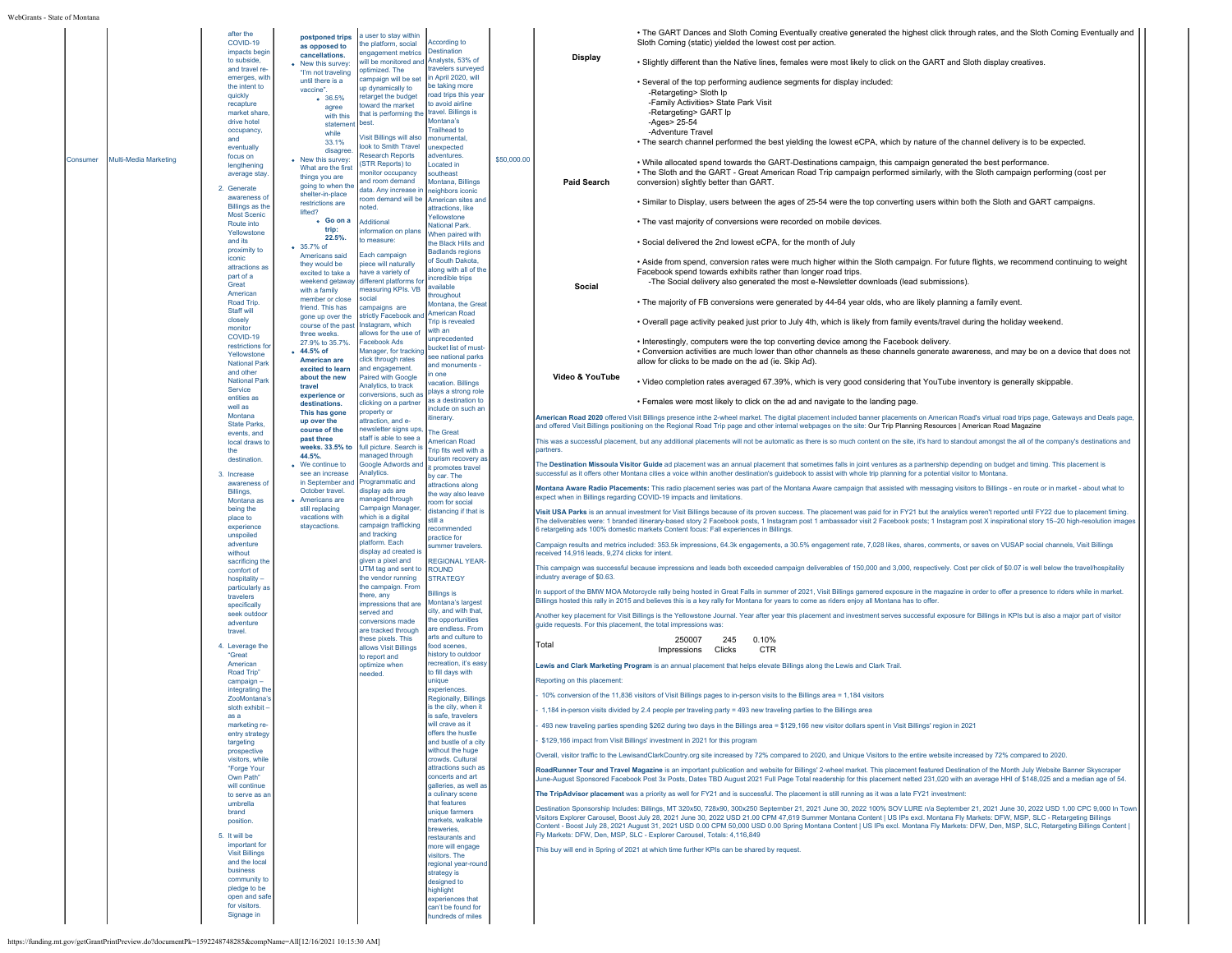|          |                       | after the<br>COVID-19                  | postponed trips                        | a user to stay within<br>the platform, social                   | <b>According to</b>                                  |             |                                                                | • The GART Dances and Sloth Coming Eventually creative generated the highest click through rates, and the Sloth Coming Eventually and<br>Sloth Coming (static) yielded the lowest cost per action.                                                                                                                                                                                                        |
|----------|-----------------------|----------------------------------------|----------------------------------------|-----------------------------------------------------------------|------------------------------------------------------|-------------|----------------------------------------------------------------|-----------------------------------------------------------------------------------------------------------------------------------------------------------------------------------------------------------------------------------------------------------------------------------------------------------------------------------------------------------------------------------------------------------|
|          |                       | impacts begi                           | as opposed to<br>cancellations.        | engagement metrics                                              | <b>Destination</b>                                   |             |                                                                |                                                                                                                                                                                                                                                                                                                                                                                                           |
|          |                       | to subside.<br>and travel re           | • New this survey:                     | will be monitored and Analysts, 53% of                          | travelers surveved                                   |             | <b>Display</b>                                                 | . Slightly different than the Native lines, females were most likely to click on the GART and Sloth display creatives.                                                                                                                                                                                                                                                                                    |
|          |                       | emerges, with                          | "I'm not traveling<br>until there is a | optimized. The<br>campaign will be set                          | in April 2020, will                                  |             |                                                                | . Several of the top performing audience segments for display included:                                                                                                                                                                                                                                                                                                                                   |
|          |                       | the intent to<br>quickly               | vaccine"                               | up dynamically to                                               | be taking more<br>road trips this yea                |             |                                                                | -Retargeting> Sloth Ip                                                                                                                                                                                                                                                                                                                                                                                    |
|          |                       | recapture                              | 0.36.5%<br>agree                       | retarget the budget<br>toward the market                        | to avoid airline                                     |             |                                                                | -Family Activities> State Park Visit                                                                                                                                                                                                                                                                                                                                                                      |
|          |                       | market share<br>drive hotel            | with this                              | that is performing the<br>best.                                 | travel. Billings is<br>Montana's                     |             |                                                                | -Retargeting> GART Ip<br>-Ages> 25-54                                                                                                                                                                                                                                                                                                                                                                     |
|          |                       | occupancy,                             | statement<br>while                     |                                                                 | <b>Trailhead to</b>                                  |             |                                                                | -Adventure Travel                                                                                                                                                                                                                                                                                                                                                                                         |
|          |                       | and<br>eventually                      | 33.1%                                  | Visit Billings will also<br>look to Smith Travel                | monumental<br>unexpected                             |             |                                                                | • The search channel performed the best yielding the lowest eCPA, which by nature of the channel delivery is to be expected.                                                                                                                                                                                                                                                                              |
| Consumer | Multi-Media Marketing | focus on                               | disagree<br>• New this survey:         | <b>Research Reports</b>                                         | adventures.                                          | \$50,000.00 |                                                                |                                                                                                                                                                                                                                                                                                                                                                                                           |
|          |                       | lengthening<br>average stay            | What are the first                     | STR Reports) to<br>nonitor occupancy                            | Located in<br>outheast                               |             |                                                                | . While allocated spend towards the GART-Destinations campaign, this campaign generated the best performance.<br>. The Sloth and the GART - Great American Road Trip campaign performed similarly, with the Sloth campaign performing (cost per                                                                                                                                                           |
|          |                       |                                        | things you are<br>going to when the    | and room demand                                                 | Montana, Billings                                    |             | <b>Paid Search</b>                                             | conversion) slightly better than GART.                                                                                                                                                                                                                                                                                                                                                                    |
|          |                       | 2. Generate<br>awareness o             | shelter-in-place                       | data. Any increase in<br>room demand will be American sites and | neighbors iconic                                     |             |                                                                |                                                                                                                                                                                                                                                                                                                                                                                                           |
|          |                       | Billings as the                        | restrictions are<br>lifted?            | noted                                                           | attractions, like                                    |             |                                                                | . Similar to Display, users between the ages of 25-54 were the top converting users within both the Sloth and GART campaigns.                                                                                                                                                                                                                                                                             |
|          |                       | <b>Most Scenic</b><br>Route into       | . Go on a                              | Additional                                                      | Yellowstone<br>National Park.                        |             |                                                                | · The vast majority of conversions were recorded on mobile devices.                                                                                                                                                                                                                                                                                                                                       |
|          |                       | Yellowstone<br>and its                 | trip:<br>22.5%                         | information on plans<br>to measure:                             | When paired with                                     |             |                                                                |                                                                                                                                                                                                                                                                                                                                                                                                           |
|          |                       | proximity to                           | • 35.7% of                             |                                                                 | the Black Hills and<br><b>Badlands regions</b>       |             |                                                                | . Social delivered the 2nd lowest eCPA, for the month of July                                                                                                                                                                                                                                                                                                                                             |
|          |                       | iconic                                 | Americans said<br>they would be        | Each campaign<br>piece will naturally                           | of South Dakota,                                     |             |                                                                | • Aside from spend, conversion rates were much higher within the Sloth campaign. For future flights, we recommend continuing to weight                                                                                                                                                                                                                                                                    |
|          |                       | attractions as<br>part of a            | excited to take a                      | have a variety of                                               | along with all of the<br>incredible trips            |             |                                                                | Facebook spend towards exhibits rather than longer road trips.                                                                                                                                                                                                                                                                                                                                            |
|          |                       | Great<br>American                      | weekend getaway<br>with a family       | different platforms fo<br>measuring KPIs. VB                    | available                                            |             | Social                                                         | -The Social delivery also generated the most e-Newsletter downloads (lead submissions).                                                                                                                                                                                                                                                                                                                   |
|          |                       | Road Trip.                             | member or close                        | social                                                          | throughout<br>Montana, the Grea                      |             |                                                                | . The majority of FB conversions were generated by 44-64 year olds, who are likely planning a family event.                                                                                                                                                                                                                                                                                               |
|          |                       | Staff will                             | friend. This has<br>gone up over the   | campaigns are<br>strictly Facebook and                          | <b>American Road</b>                                 |             |                                                                |                                                                                                                                                                                                                                                                                                                                                                                                           |
|          |                       | closely<br>monitor                     | course of the past                     | Instagram, which                                                | Trip is revealed<br>with an                          |             |                                                                | . Overall page activity peaked just prior to July 4th, which is likely from family events/travel during the holiday weekend.                                                                                                                                                                                                                                                                              |
|          |                       | COVID-19<br>restrictions fo            | three weeks.<br>27.9% to 35.7%.        | allows for the use of<br>Facebook Ads                           | unprecedented                                        |             |                                                                | • Interestingly, computers were the top converting device among the Facebook delivery.                                                                                                                                                                                                                                                                                                                    |
|          |                       | Yellowstone                            | • 44.5% of                             | Manager, for tracking                                           | bucket list of must<br>see national parks            |             |                                                                | • Conversion activities are much lower than other channels as these channels generate awareness, and may be on a device that does not                                                                                                                                                                                                                                                                     |
|          |                       | <b>National Park</b>                   | American are<br>excited to learn       | click through rates<br>and engagement.                          | and monuments -                                      |             |                                                                | allow for clicks to be made on the ad (ie. Skip Ad).                                                                                                                                                                                                                                                                                                                                                      |
|          |                       | and other<br><b>National Park</b>      | about the new                          | Paired with Google                                              | one<br>acation, Billings                             |             | Video & YouTube                                                | . Video completion rates averaged 67.39%, which is very good considering that YouTube inventory is generally skippable.                                                                                                                                                                                                                                                                                   |
|          |                       | Service<br>entities as                 | travel<br>experience or                | Analytics, to track<br>conversions, such as                     | plays a strong role                                  |             |                                                                |                                                                                                                                                                                                                                                                                                                                                                                                           |
|          |                       | well as                                | destinations.<br>This has gone         | clicking on a partner<br>property or                            | as a destination to<br>include on such an            |             |                                                                | . Females were most likely to click on the ad and navigate to the landing page.                                                                                                                                                                                                                                                                                                                           |
|          |                       | Montana<br><b>State Parks</b>          | up over the                            | attraction, and e-                                              | itinerary                                            |             |                                                                | American Road 2020 offered Visit Billings presence inthe 2-wheel market. The digital placement included banner placements on American Road's virtual road trips page, Gateways and Deals page,<br>and offered Visit Billings positioning on the Regional Road Trip page and other internal webpages on the site: Our Trip Planning Resources   American Road Magazine                                     |
|          |                       | events, and                            | course of the<br>past three            | newsletter signs ups,<br>staff is able to see a                 | <b>The Great</b>                                     |             |                                                                |                                                                                                                                                                                                                                                                                                                                                                                                           |
|          |                       | local draws t<br>the                   | weeks, 33.5% to                        | full picture. Search is                                         | <b>American Road</b><br><b>Trip fits well with a</b> |             | partners                                                       | This was a successful placement, but any additional placements will not be automatic as there is so much content on the site, it's hard to standout amongst the all of the company's destinations and                                                                                                                                                                                                     |
|          |                       | destination                            | 44.5%<br>• We continue to              | managed through<br>Google Adwords and                           | tourism recovery as<br>t promotes travel             |             |                                                                | The Destination Missoula Visitor Guide ad placement was an annual placement that sometimes falls in joint ventures as a partnership depending on budget and timing. This placement is                                                                                                                                                                                                                     |
|          |                       | 3. Increase                            | see an increase                        | Analytics.                                                      | by car. The                                          |             |                                                                | successful as it offers other Montana cities a voice within another destination's guidebook to assist with whole trip planning for a potential visitor to Montana.                                                                                                                                                                                                                                        |
|          |                       | awareness o<br>Billings.               | in September and<br>October travel.    | Programmatic and<br>display ads are                             | attractions along<br>the way also leave              |             |                                                                | Montana Aware Radio Placements: This radio placement series was part of the Montana Aware campaign that assisted with messaging visitors to Billings - en route or in market - about what to                                                                                                                                                                                                              |
|          |                       | Montana as                             | • Americans are<br>still replacing     | managed through<br>Campaign Manager,                            | room for social                                      |             |                                                                | expect when in Billings regarding COVID-19 impacts and limitations                                                                                                                                                                                                                                                                                                                                        |
|          |                       | being the<br>place to                  | vacations with                         | which is a digital                                              | distancing if that is<br>still a                     |             |                                                                | Visit USA Parks is an annual investment for Visit Billings because of its proven success. The placement was paid for in FY21 but the analytics weren't reported until FY22 due to placement timing.<br>The deliverables were: 1 branded itinerary-based story 2 Facebook posts, 1 Instagram post 1 ambassador visit 2 Facebook posts; 1 Instagram post X inspirational story 15-20 high-resolution images |
|          |                       | experience<br>unspoiled                | staycactions.                          | campaign trafficking<br>and tracking                            | ecommended<br>practice for                           |             |                                                                | 6 retargeting ads 100% domestic markets Content focus: Fall experiences in Billings.                                                                                                                                                                                                                                                                                                                      |
|          |                       | adventure                              |                                        | platform. Each                                                  | summer travelers                                     |             |                                                                | Campaign results and metrics included: 353.5k impressions, 64.3k engagements, a 30.5% engagement rate, 7,028 likes, shares, comments, or saves on VUSAP social channels, Visit Billings                                                                                                                                                                                                                   |
|          |                       | without<br>sacrificing the             |                                        | display ad created i<br>given a pixel and                       | <b>REGIONAL YEAR</b>                                 |             | received 14,916 leads, 9,274 clicks for intent                 |                                                                                                                                                                                                                                                                                                                                                                                                           |
|          |                       | comfort of                             |                                        | UTM tag and sent to<br>the vendor running                       | <b>ROUND</b><br><b>STRATEGY</b>                      |             | industry average of \$0.63                                     | This campaign was successful because impressions and leads both exceeded campaign deliverables of 150,000 and 3,000, respectively. Cost per click of \$0.07 is well below the travel/hospitality                                                                                                                                                                                                          |
|          |                       | hospitality<br>particularly a          |                                        | the campaign. From                                              |                                                      |             |                                                                | In support of the BMW MOA Motorcycle rally being hosted in Great Falls in summer of 2021, Visit Billings garnered exposure in the magazine in order to offer a presence to riders while in market.                                                                                                                                                                                                        |
|          |                       | travelers<br>specifically              |                                        | there, any<br>impressions that an                               | <b>Billings is</b><br>Montana's largest              |             |                                                                | Billings hosted this rally in 2015 and believes this is a key rally for Montana for years to come as riders enjoy all Montana has to offer                                                                                                                                                                                                                                                                |
|          |                       | seek outdoor                           |                                        | served and                                                      | city, and with that<br>the opportunities             |             |                                                                | Another key placement for Visit Billings is the Yellowstone Journal. Year after year this placement and investment serves successful exposure for Billings in KPIs but is also a major part of visitor                                                                                                                                                                                                    |
|          |                       | adventure<br>travel                    |                                        | conversions made<br>are tracked through                         | are endless. From                                    |             | guide requests. For this placement, the total impressions was: |                                                                                                                                                                                                                                                                                                                                                                                                           |
|          |                       | 4 Leverage the                         |                                        | these pixels. This<br>allows Visit Billings                     | arts and culture to<br>food scenes,                  |             | Total                                                          | 250007<br>245<br>0.10%                                                                                                                                                                                                                                                                                                                                                                                    |
|          |                       | "Great                                 |                                        | to report and                                                   | nistory to outdoor                                   |             |                                                                | Impressions Clicks<br>CTR                                                                                                                                                                                                                                                                                                                                                                                 |
|          |                       | American<br>Road Trip"                 |                                        | optimize when<br>needed.                                        | recreation, it's easy<br>to fill days with           |             |                                                                | Lewis and Clark Marketing Program is an annual placement that helps elevate Billings along the Lewis and Clark Trail.                                                                                                                                                                                                                                                                                     |
|          |                       | campaign-                              |                                        |                                                                 | unique                                               |             | Reporting on this placement:                                   |                                                                                                                                                                                                                                                                                                                                                                                                           |
|          |                       | integrating the<br>ZooMontana'         |                                        |                                                                 | experiences.<br><b>Regionally, Billings</b>          |             |                                                                | 10% conversion of the 11,836 visitors of Visit Billings pages to in-person visits to the Billings area = 1,184 visitors                                                                                                                                                                                                                                                                                   |
|          |                       | sloth exhibit<br>as a                  |                                        |                                                                 | is the city, when it<br>is safe, travelers           |             |                                                                | 1,184 in-person visits divided by 2.4 people per traveling party = 493 new traveling parties to the Billings area                                                                                                                                                                                                                                                                                         |
|          |                       | marketing re-                          |                                        |                                                                 | will crave as it                                     |             |                                                                | 493 new traveling parties spending \$262 during two days in the Billings area = \$129,166 new visitor dollars spent in Visit Billings' region in 2021                                                                                                                                                                                                                                                     |
|          |                       | entry strategy<br>targeting            |                                        |                                                                 | offers the hustle<br>and bustle of a city            |             |                                                                | \$129,166 impact from Visit Billings' investment in 2021 for this program                                                                                                                                                                                                                                                                                                                                 |
|          |                       | prospective                            |                                        |                                                                 | without the huge                                     |             |                                                                | Overall, visitor traffic to the LewisandClarkCountry.org site increased by 72% compared to 2020, and Unique Visitors to the entire website increased by 72% compared to 2020.                                                                                                                                                                                                                             |
|          |                       | visitors, while<br>"Forge Your         |                                        |                                                                 | crowds. Cultural<br>attractions such as              |             |                                                                | RoadRunner Tour and Travel Magazine is an important publication and website for Billings' 2-wheel market. This placement featured Destination of the Month July Website Banner Skyscraper                                                                                                                                                                                                                 |
|          |                       | Own Path'<br>will continue             |                                        |                                                                 | concerts and art<br>galleries, as well as            |             |                                                                | June-August Sponsored Facebook Post 3x Posts, Dates TBD August 2021 Full Page Total readership for this placement netted 231,020 with an average HHI of \$148,025 and a median age of 54.                                                                                                                                                                                                                 |
|          |                       | to serve as a                          |                                        |                                                                 | a culinary scene                                     |             |                                                                | The TripAdvisor placement was a priority as well for FY21 and is successful. The placement is still running as it was a late FY21 investment:                                                                                                                                                                                                                                                             |
|          |                       | umbrella<br>brand                      |                                        |                                                                 | that features<br>unique farmers                      |             |                                                                | Destination Sponsorship Includes: Billings, MT 320x50, 728x90, 300x250 September 21, 2021 June 30, 2022 100% SOV LURE n/a September 21, 2021 June 30, 2022 USD 1.00 CPC 9.000 In Town                                                                                                                                                                                                                     |
|          |                       | position                               |                                        |                                                                 | markets, walkable                                    |             |                                                                | Visitors Explorer Carousel, Boost July 28, 2021 June 30, 2022 USD 21.00 CPM 47,619 Summer Montana Content   US IPs excl. Montana Fly Markets: DFW, MSP, SLC - Retargeting Billings                                                                                                                                                                                                                        |
|          |                       | 5. It will be                          |                                        |                                                                 | breweries.<br>restaurants and                        |             |                                                                | Content - Boost July 28, 2021 August 31, 2021 USD 0.00 CPM 50,000 USD 0.00 Spring Montana Content   US IPs excl. Montana Fly Markets: DFW, Den, MSP, SLC, Retargeting Billings Content  <br>Fly Markets: DFW, Den, MSP, SLC - Explorer Carousel, Totals: 4,116,849                                                                                                                                        |
|          |                       | important for<br><b>Visit Billings</b> |                                        |                                                                 | more will engage<br>visitors. The                    |             |                                                                | This buy will end in Spring of 2021 at which time further KPIs can be shared by request.                                                                                                                                                                                                                                                                                                                  |
|          |                       | and the local                          |                                        |                                                                 | regional year-round                                  |             |                                                                |                                                                                                                                                                                                                                                                                                                                                                                                           |
|          |                       | business<br>community to               |                                        |                                                                 | strategy is<br>designed to                           |             |                                                                |                                                                                                                                                                                                                                                                                                                                                                                                           |
|          |                       | pledge to be                           |                                        |                                                                 | highlight                                            |             |                                                                |                                                                                                                                                                                                                                                                                                                                                                                                           |
|          |                       | open and safe<br>for visitors.         |                                        |                                                                 | experiences that<br>can't be found for               |             |                                                                |                                                                                                                                                                                                                                                                                                                                                                                                           |
|          |                       | Signage in                             |                                        |                                                                 | hundreds of miles                                    |             |                                                                |                                                                                                                                                                                                                                                                                                                                                                                                           |
|          |                       |                                        |                                        |                                                                 |                                                      |             |                                                                |                                                                                                                                                                                                                                                                                                                                                                                                           |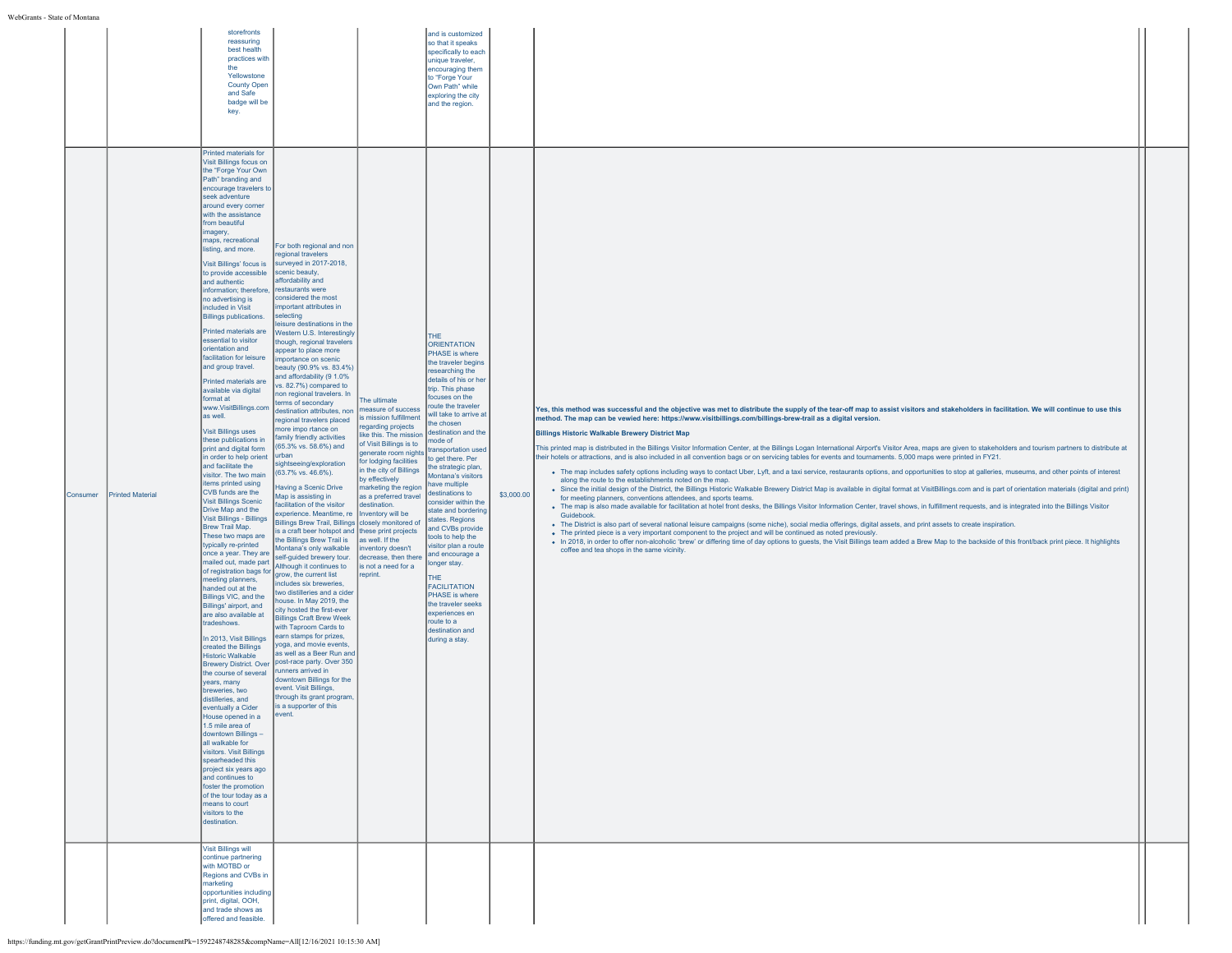|          |                         | storefronts<br>reassuring<br>best health<br>practices with<br>the<br>Yellowstone<br><b>County Open</b><br>and Safe<br>badge will be<br>key.                                                                                                                                                                                                                                                                                                                                                                                                                                                                                                                                                                                                                                                                                                                                                                                                                                                                                                                                                                                                                                                                                                                                                                                                                                                                                                                                                                                                                                                                                                                                                                                                                                                                                                                                                                                                                                                                                                                                                                                                                                                                                                                                                                                                                                                                                                                                                                                                                                                                                                                                                                                                                                                                                                                                                                                                                                                                                                                                                                                                                                                    |                                                                                                                                                                                                                                                                                                                                                                                                                                                                                                                                           | and is customized<br>so that it speaks<br>specifically to each<br>unique traveler,<br>encouraging them<br>to "Forge Your<br>Own Path" while<br>exploring the city<br>and the region.                                                                                                                                                                                                                                                                                                                                                                                                                                                                                                       |            |                                                                                                                                                                                                                                                                                                                                                                                                                                                                                                                                                                                                                                                                                                                                                                                                                                                                                                                                                                                                                                                                                                                                                                                                                                                                                                                                                                                                                                                                                                                                                                                                                                                                                                                                                                                                                                                                                                                                                                                                                                                              |  |
|----------|-------------------------|------------------------------------------------------------------------------------------------------------------------------------------------------------------------------------------------------------------------------------------------------------------------------------------------------------------------------------------------------------------------------------------------------------------------------------------------------------------------------------------------------------------------------------------------------------------------------------------------------------------------------------------------------------------------------------------------------------------------------------------------------------------------------------------------------------------------------------------------------------------------------------------------------------------------------------------------------------------------------------------------------------------------------------------------------------------------------------------------------------------------------------------------------------------------------------------------------------------------------------------------------------------------------------------------------------------------------------------------------------------------------------------------------------------------------------------------------------------------------------------------------------------------------------------------------------------------------------------------------------------------------------------------------------------------------------------------------------------------------------------------------------------------------------------------------------------------------------------------------------------------------------------------------------------------------------------------------------------------------------------------------------------------------------------------------------------------------------------------------------------------------------------------------------------------------------------------------------------------------------------------------------------------------------------------------------------------------------------------------------------------------------------------------------------------------------------------------------------------------------------------------------------------------------------------------------------------------------------------------------------------------------------------------------------------------------------------------------------------------------------------------------------------------------------------------------------------------------------------------------------------------------------------------------------------------------------------------------------------------------------------------------------------------------------------------------------------------------------------------------------------------------------------------------------------------------------------|-------------------------------------------------------------------------------------------------------------------------------------------------------------------------------------------------------------------------------------------------------------------------------------------------------------------------------------------------------------------------------------------------------------------------------------------------------------------------------------------------------------------------------------------|--------------------------------------------------------------------------------------------------------------------------------------------------------------------------------------------------------------------------------------------------------------------------------------------------------------------------------------------------------------------------------------------------------------------------------------------------------------------------------------------------------------------------------------------------------------------------------------------------------------------------------------------------------------------------------------------|------------|--------------------------------------------------------------------------------------------------------------------------------------------------------------------------------------------------------------------------------------------------------------------------------------------------------------------------------------------------------------------------------------------------------------------------------------------------------------------------------------------------------------------------------------------------------------------------------------------------------------------------------------------------------------------------------------------------------------------------------------------------------------------------------------------------------------------------------------------------------------------------------------------------------------------------------------------------------------------------------------------------------------------------------------------------------------------------------------------------------------------------------------------------------------------------------------------------------------------------------------------------------------------------------------------------------------------------------------------------------------------------------------------------------------------------------------------------------------------------------------------------------------------------------------------------------------------------------------------------------------------------------------------------------------------------------------------------------------------------------------------------------------------------------------------------------------------------------------------------------------------------------------------------------------------------------------------------------------------------------------------------------------------------------------------------------------|--|
| Consumer | <b>Printed Material</b> | Printed materials for<br>Visit Billings focus on<br>the "Forge Your Own<br>Path" branding and<br>encourage travelers to<br>seek adventure<br>around every corner<br>with the assistance<br>from beautiful<br>imagery,<br>maps, recreational<br>For both regional and non<br>listing, and more.<br>regional travelers<br>surveyed in 2017-2018,<br>Visit Billings' focus is<br>scenic beauty,<br>to provide accessible<br>affordability and<br>and authentic<br>restaurants were<br>information; therefore,<br>considered the most<br>no advertising is<br>important attributes in<br>included in Visit<br>selecting<br><b>Billings publications.</b><br>sisure destinations in the<br>Printed materials are<br><b>Nestern U.S. Interestingly</b><br>essential to visitor<br>though, regional travelers<br>orientation and<br>appear to place more<br>facilitation for leisure<br>importance on scenic<br>and group travel.<br>beauty (90.9% vs. 83.4%)<br>and affordability (9 1.0%<br>Printed materials are<br>vs. 82.7%) compared to<br>available via digital<br>non regional travelers. In<br>format at<br>erms of secondary<br>www.VisitBillings.com<br>destination attributes, non<br>as well.<br>egional travelers placed<br>more impo rtance on<br><b>Visit Billings uses</b><br>family friendly activities<br>these publications in<br>(65.3% vs. 58.6%) and<br>print and digital form<br>urban<br>in order to help orient<br>sightseeing/exploration<br>and facilitate the<br>(63.7% vs. 46.6%).<br>visitor. The two main<br>items printed using<br>Having a Scenic Drive<br>CVB funds are the<br>Map is assisting in<br><b>Visit Billings Scenic</b><br>facilitation of the visitor<br>Drive Map and the<br>experience. Meantime, re<br>Visit Billings - Billings<br>Brew Trail Map.<br>These two maps are<br>the Billings Brew Trail is<br>typically re-printed<br>Montana's only walkable<br>once a year. They are<br>self-guided brewery tour.<br>mailed out, made part<br>Although it continues to<br>of registration bags for<br>grow, the current list<br>neeting planners,<br>includes six breweries.<br>handed out at the<br>two distilleries and a cider<br>Billings VIC, and the<br>nouse. In May 2019, the<br>Billings' airport, and<br>city hosted the first-ever<br>are also available at<br><b>Billings Craft Brew Week</b><br>tradeshows.<br>with Taproom Cards to<br>earn stamps for prizes,<br>In 2013, Visit Billings<br>yoga, and movie events,<br>created the Billings<br>as well as a Beer Run and<br><b>Historic Walkable</b><br>post-race party. Over 350<br><b>Brewery District. Over</b><br>runners arrived in<br>the course of several<br>downtown Billings for the<br>years, many<br>event. Visit Billings,<br>breweries, two<br>through its grant program,<br>distilleries, and<br>is a supporter of this<br>eventually a Cider<br>event.<br>House opened in a<br>1.5 mile area of<br>downtown Billings -<br>all walkable for<br>visitors. Visit Billings<br>spearheaded this<br>project six years ago<br>and continues to<br>foster the promotion<br>of the tour today as a<br>means to court<br>visitors to the<br>destination.<br>Visit Billings will | The ultimate<br>measure of success<br>is mission fulfillment<br>regarding projects<br>like this. The mission<br>of Visit Billings is to<br>generate room nights<br>for lodging facilities<br>in the city of Billings<br>by effectively<br>marketing the region<br>as a preferred travel<br>destination.<br>Inventory will be<br>Billings Brew Trail, Billings closely monitored of<br>is a craft beer hotspot and these print projects<br>as well. If the<br>inventory doesn't<br>decrease, then there<br>is not a need for a<br>reprint. | THE<br>ORIENTATION<br>PHASE is where<br>the traveler begins<br>researching the<br>details of his or her<br>trip. This phase<br>focuses on the<br>route the traveler<br>will take to arrive at<br>the chosen<br>destination and the<br>mode of<br>transportation used<br>to get there. Per<br>the strategic plan,<br>Montana's visitors<br>have multiple<br>destinations to<br>consider within the<br>state and bordering<br>states. Regions<br>and CVBs provide<br>tools to help the<br>visitor plan a route<br>and encourage a<br>longer stay.<br>THE<br><b>FACILITATION</b><br>PHASE is where<br>the traveler seeks<br>experiences en<br>route to a<br>destination and<br>during a stay. | \$3,000.00 | Yes, this method was successful and the objective was met to distribute the supply of the tear-off map to assist visitors and stakeholders in facilitation. We will continue to use this<br>method. The map can be vewied here: https://www.visitbillings.com/billings-brew-trail as a digital version.<br><b>Billings Historic Walkable Brewery District Map</b><br>This printed map is distributed in the Billings Visitor Information Center, at the Billings Logan International Airport's Visitor Area, maps are given to stakeholders and tourism partners to distribute at<br>their hotels or attractions, and is also included in all convention bags or on servicing tables for events and tournaments. 5,000 maps were printed in FY21.<br>· The map includes safety options including ways to contact Uber, Lyft, and a taxi service, restaurants options, and opportunities to stop at galleries, museums, and other points of interest<br>along the route to the establishments noted on the map.<br>. Since the initial design of the District, the Billings Historic Walkable Brewery District Map is available in digital format at VisitBillings.com and is part of orientation materials (digital and print)<br>for meeting planners, conventions attendees, and sports teams.<br>. The map is also made available for facilitation at hotel front desks, the Billings Visitor Information Center, travel shows, in fulfillment requests, and is integrated into the Billings Visitor<br>Guidebook<br>• The District is also part of several national leisure campaigns (some niche), social media offerings, digital assets, and print assets to create inspiration.<br>• The printed piece is a very important component to the project and will be continued as noted previously.<br>. In 2018, in order to offer non-alcoholic 'brew' or differing time of day options to guests, the Visit Billings team added a Brew Map to the backside of this front/back print piece. It highlights<br>coffee and tea shops in the same vicinity. |  |
|          |                         | continue partnering<br>with MOTBD or<br>Regions and CVBs in<br>marketing<br>opportunities including<br>print, digital, OOH,<br>and trade shows as<br>offered and feasible.                                                                                                                                                                                                                                                                                                                                                                                                                                                                                                                                                                                                                                                                                                                                                                                                                                                                                                                                                                                                                                                                                                                                                                                                                                                                                                                                                                                                                                                                                                                                                                                                                                                                                                                                                                                                                                                                                                                                                                                                                                                                                                                                                                                                                                                                                                                                                                                                                                                                                                                                                                                                                                                                                                                                                                                                                                                                                                                                                                                                                     |                                                                                                                                                                                                                                                                                                                                                                                                                                                                                                                                           |                                                                                                                                                                                                                                                                                                                                                                                                                                                                                                                                                                                                                                                                                            |            |                                                                                                                                                                                                                                                                                                                                                                                                                                                                                                                                                                                                                                                                                                                                                                                                                                                                                                                                                                                                                                                                                                                                                                                                                                                                                                                                                                                                                                                                                                                                                                                                                                                                                                                                                                                                                                                                                                                                                                                                                                                              |  |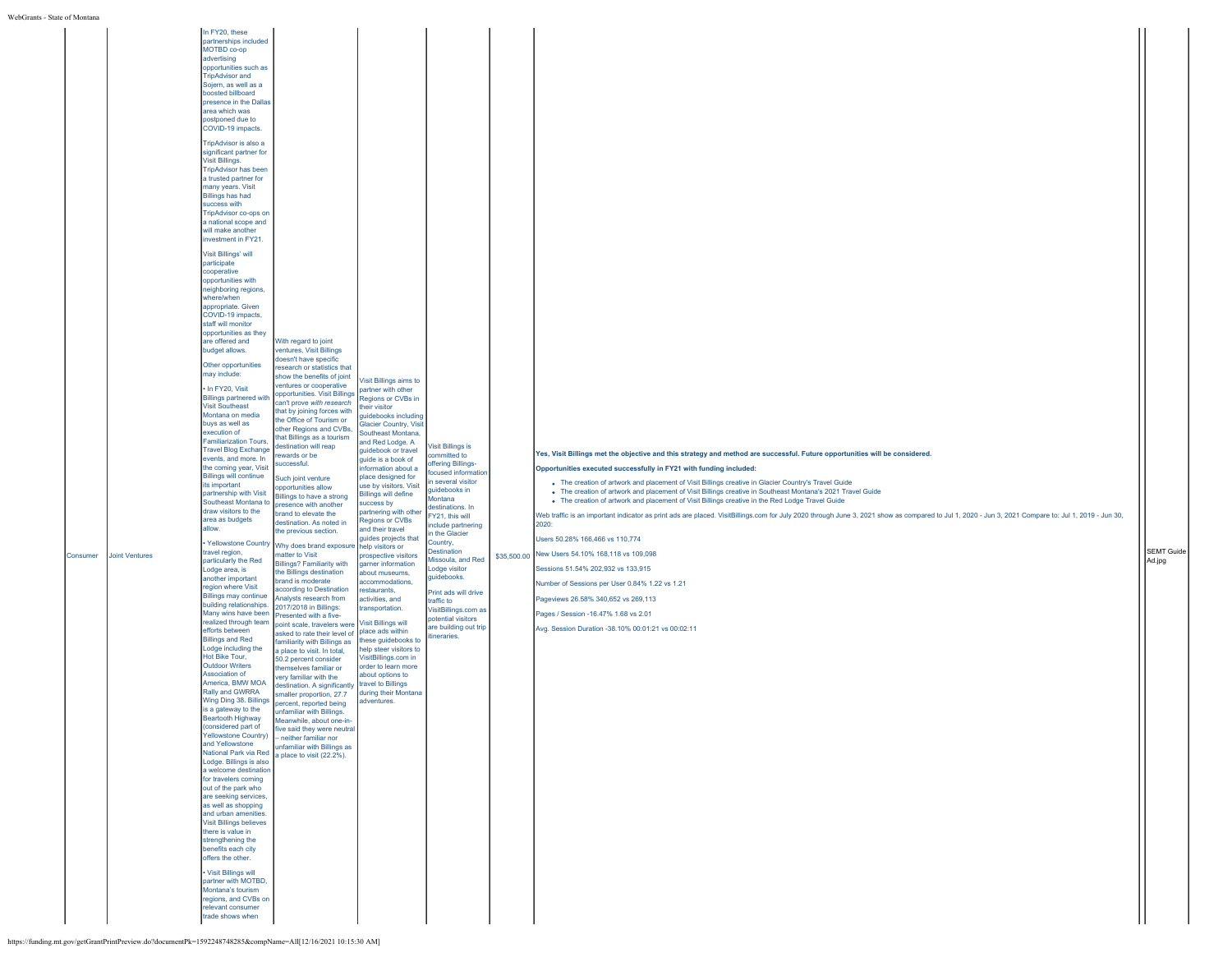| In FY20, these<br>partnerships included<br>MOTBD co-op<br>advertising<br>opportunities such as<br><b>TripAdvisor and</b><br>Sojern, as well as a<br>boosted billboard<br>presence in the Dallas<br>area which was<br>postponed due to<br>COVID-19 impacts.<br>TripAdvisor is also a<br>significant partner for<br>Visit Billings.<br><b>TripAdvisor has been</b><br>a trusted partner for<br>many years. Visit<br><b>Billings has had</b><br>success with<br>TripAdvisor co-ops on<br>a national scope and<br>will make another<br>nvestment in FY21.<br>Visit Billings' will<br>participate<br>cooperative<br>opportunities with<br>heighboring regions,<br>where/when<br>appropriate. Given<br>COVID-19 impacts,<br>staff will monitor<br>opportunities as they<br>are offered and<br>With regard to joint<br>ventures, Visit Billings<br>budget allows.<br>doesn't have specific<br>Other opportunities<br>esearch or statistics that<br>may include:<br>show the benefits of joint<br>ventures or cooperative<br>· In FY20, Visit<br>opportunities. Visit Billings<br><b>Billings partnered with</b><br>can't prove with research<br><b>Visit Southeast</b><br>that by joining forces with<br>Montana on media<br>the Office of Tourism or<br>buys as well as<br>other Regions and CVBs,<br>execution of<br>that Billings as a tourism<br><b>Familiarization Tours,</b><br>estination will reap<br><b>Travel Blog Exchange</b><br>wards or be<br>events, and more. In<br>uccessful.<br>the coming year, Visit<br><b>Billings will continue</b><br>Such joint venture<br>its important<br>opportunities allow<br>partnership with Visit<br>Billings to have a strong<br>Southeast Montana to<br>presence with another<br>draw visitors to the<br>brand to elevate the<br>area as budgets<br>destination. As noted in<br>allow.<br>the previous section.<br>· Yellowstone Country<br>travel region,<br>natter to Visit<br>particularly the Red<br><b>Billings? Familiarity with</b><br>Lodge area, is<br>the Billings destination<br>another important<br>brand is moderate<br>egion where Visit<br>according to Destination<br><b>Billings may continue</b><br>Analysts research from<br>building relationships.<br>2017/2018 in Billings:<br>Many wins have been<br>Presented with a five-<br>realized through team<br>point scale, travelers were<br>efforts between<br>asked to rate their level of<br><b>Billings and Red</b><br>Lodge including the<br>a place to visit. In total,<br>Hot Bike Tour,<br>50.2 percent consider<br><b>Outdoor Writers</b><br>themselves familiar or<br>Association of<br>very familiar with the<br>America, BMW MOA<br>Rally and GWRRA<br>smaller proportion, 27.7<br>Wing Ding 38. Billings percent, reported being<br>is a gateway to the<br>unfamiliar with Billings.<br>Beartooth Highway<br>Meanwhile, about one-in-<br>(considered part of<br>five said they were neutral<br><b>Yellowstone Country)</b><br>- neither familiar nor<br>and Yellowstone<br>unfamiliar with Billings as<br>National Park via Red a place to visit (22.2%).<br>Lodge. Billings is also<br>a welcome destination<br>for travelers coming<br>out of the park who<br>are seeking services,<br>as well as shopping<br>and urban amenities.<br><b>Visit Billings believes</b><br>there is value in<br>strengthening the<br>benefits each city<br>offers the other.<br>• Visit Billings will<br>partner with MOTBD,<br>Montana's tourism<br>regions, and CVBs on | Regions or CVBs in<br>heir visitor<br>isit Billings is<br>ommitted to<br>ffering Billings-<br>ocused information<br>several visitor<br>quidebooks in<br>Montana<br>destinations. In<br>FY21, this will<br><b>Regions or CVBs</b><br>include partnering<br>n the Glacier<br>Country,<br><b>Destination</b><br>prospective visitors<br>Missoula, and Red<br>Lodge visitor<br>guidebooks.<br>accommodations,<br>Print ads will drive<br>traffic to<br>VisitBillings.com as<br>potential visitors<br>are building out trip<br>tineraries. | Yes, Visit Billings met the objective and this strategy and method are successful. Future opportunities will be considered.<br>Opportunities executed successfully in FY21 with funding included:<br>. The creation of artwork and placement of Visit Billings creative in Glacier Country's Travel Guide<br>. The creation of artwork and placement of Visit Billings creative in Southeast Montana's 2021 Travel Guide<br>• The creation of artwork and placement of Visit Billings creative in the Red Lodge Travel Guide<br>Web traffic is an important indicator as print ads are placed. VisitBillings.com for July 2020 through June 3, 2021 show as compared to Jul 1, 2020 - Jun 3, 2021 Compare to: Jul 1, 2019 - Jun 30,<br>2020:<br>Users 50.28% 166,466 vs 110,774<br>New Users 54.10% 168,118 vs 109,098<br>Sessions 51.54% 202,932 vs 133,915<br>Number of Sessions per User 0.84% 1.22 vs 1.21<br>Pageviews 26.58% 340,652 vs 269,113<br>Pages / Session -16.47% 1.68 vs 2.01<br>Avg. Session Duration -38.10% 00:01:21 vs 00:02:11 | <b>SEMT Guide</b><br>Ad.jpg |
|------------------------------------------------------------------------------------------------------------------------------------------------------------------------------------------------------------------------------------------------------------------------------------------------------------------------------------------------------------------------------------------------------------------------------------------------------------------------------------------------------------------------------------------------------------------------------------------------------------------------------------------------------------------------------------------------------------------------------------------------------------------------------------------------------------------------------------------------------------------------------------------------------------------------------------------------------------------------------------------------------------------------------------------------------------------------------------------------------------------------------------------------------------------------------------------------------------------------------------------------------------------------------------------------------------------------------------------------------------------------------------------------------------------------------------------------------------------------------------------------------------------------------------------------------------------------------------------------------------------------------------------------------------------------------------------------------------------------------------------------------------------------------------------------------------------------------------------------------------------------------------------------------------------------------------------------------------------------------------------------------------------------------------------------------------------------------------------------------------------------------------------------------------------------------------------------------------------------------------------------------------------------------------------------------------------------------------------------------------------------------------------------------------------------------------------------------------------------------------------------------------------------------------------------------------------------------------------------------------------------------------------------------------------------------------------------------------------------------------------------------------------------------------------------------------------------------------------------------------------------------------------------------------------------------------------------------------------------------------------------------------------------------------------------------------------------------------------------------------------------------------------------------------------------------------------------------------------------------------------------------------------------------------------------------------------------------------------------------------------------------------------------------------------------------------------------------------------------------------|---------------------------------------------------------------------------------------------------------------------------------------------------------------------------------------------------------------------------------------------------------------------------------------------------------------------------------------------------------------------------------------------------------------------------------------------------------------------------------------------------------------------------------------|-----------------------------------------------------------------------------------------------------------------------------------------------------------------------------------------------------------------------------------------------------------------------------------------------------------------------------------------------------------------------------------------------------------------------------------------------------------------------------------------------------------------------------------------------------------------------------------------------------------------------------------------------------------------------------------------------------------------------------------------------------------------------------------------------------------------------------------------------------------------------------------------------------------------------------------------------------------------------------------------------------------------------------------------------------|-----------------------------|
| relevant consumer                                                                                                                                                                                                                                                                                                                                                                                                                                                                                                                                                                                                                                                                                                                                                                                                                                                                                                                                                                                                                                                                                                                                                                                                                                                                                                                                                                                                                                                                                                                                                                                                                                                                                                                                                                                                                                                                                                                                                                                                                                                                                                                                                                                                                                                                                                                                                                                                                                                                                                                                                                                                                                                                                                                                                                                                                                                                                                                                                                                                                                                                                                                                                                                                                                                                                                                                                                                                                                                                  |                                                                                                                                                                                                                                                                                                                                                                                                                                                                                                                                       |                                                                                                                                                                                                                                                                                                                                                                                                                                                                                                                                                                                                                                                                                                                                                                                                                                                                                                                                                                                                                                                     |                             |
|                                                                                                                                                                                                                                                                                                                                                                                                                                                                                                                                                                                                                                                                                                                                                                                                                                                                                                                                                                                                                                                                                                                                                                                                                                                                                                                                                                                                                                                                                                                                                                                                                                                                                                                                                                                                                                                                                                                                                                                                                                                                                                                                                                                                                                                                                                                                                                                                                                                                                                                                                                                                                                                                                                                                                                                                                                                                                                                                                                                                                                                                                                                                                                                                                                                                                                                                                                                                                                                                                    |                                                                                                                                                                                                                                                                                                                                                                                                                                                                                                                                       | Visit Billings aims to<br>partner with other<br>quidebooks including<br><b>Glacier Country, Visit</b><br>Southeast Montana,<br>and Red Lodge, A<br>guidebook or travel<br>guide is a book of<br>information about a<br>place designed for<br>use by visitors. Visit<br><b>Billings will define</b><br>success by<br>partnering with other<br>and their travel<br>guides projects that<br>Why does brand exposure help visitors or<br>garner information<br>about museums,<br>restaurants.<br>activities, and<br>transportation.<br><b>Visit Billings will</b><br>place ads within<br>amiliarity with Billings as these guidebooks to<br>help steer visitors to<br>VisitBillings.com in<br>order to learn more<br>about options to<br>destination. A significantly travel to Billings<br>during their Montana<br>adventures.                                                                                                                                                                                                                         | \$35,500.00                 |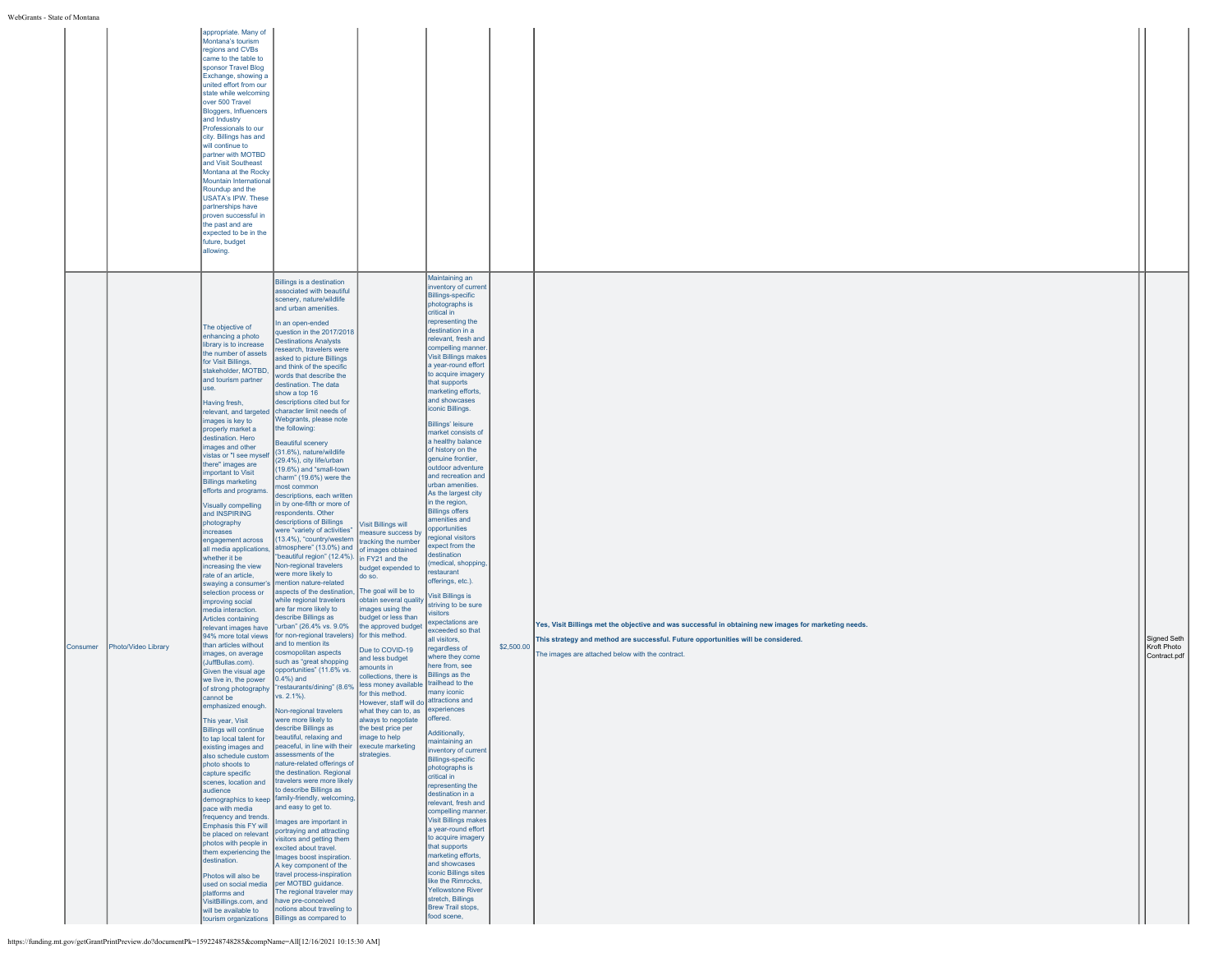|          |                     | appropriate. Many of<br>Montana's tourism<br>regions and CVBs<br>came to the table to<br>sponsor Travel Blog<br>Exchange, showing a<br>united effort from our<br>state while welcoming<br>over 500 Travel<br><b>Bloggers, Influencers</b><br>and Industry<br>Professionals to our<br>city. Billings has and<br>will continue to<br>partner with MOTBD<br>and Visit Southeast<br>Montana at the Rocky<br>Mountain International<br>Roundup and the<br><b>USATA's IPW. These</b><br>partnerships have<br>proven successful in<br>the past and are<br>expected to be in the<br>future, budget<br>allowing.                                                                                                                                                                                                                                                                                                                                                                                                                                                                                                                                                                                                                                                                                                                                                                                                                                                                           |                                                                                                                                                                                                                                                                                                                                                                                                                                                                                                                                                                                                                                                                                                                                                                                                                                                                                                                                                                                                                                                                                                                                                                                                                                                                                                                                                                                                                                                                                                                                                                                                                                                                                                                                                                                                                                                                                                                                                                                                                                 |                                                                                                                                                                                                                                                                                                                                                                                                                                                                                                                                 |                                                                                                                                                                                                                                                                                                                                                                                                                                                                                                                                                                                                                                                                                                                                                                                                                                                                                                                                                                                                                                                                                                                                                                                                                                                                                                                                                                                                                                                                                            |            |                                                                                                                                                                                                                                                |                                            |
|----------|---------------------|-----------------------------------------------------------------------------------------------------------------------------------------------------------------------------------------------------------------------------------------------------------------------------------------------------------------------------------------------------------------------------------------------------------------------------------------------------------------------------------------------------------------------------------------------------------------------------------------------------------------------------------------------------------------------------------------------------------------------------------------------------------------------------------------------------------------------------------------------------------------------------------------------------------------------------------------------------------------------------------------------------------------------------------------------------------------------------------------------------------------------------------------------------------------------------------------------------------------------------------------------------------------------------------------------------------------------------------------------------------------------------------------------------------------------------------------------------------------------------------|---------------------------------------------------------------------------------------------------------------------------------------------------------------------------------------------------------------------------------------------------------------------------------------------------------------------------------------------------------------------------------------------------------------------------------------------------------------------------------------------------------------------------------------------------------------------------------------------------------------------------------------------------------------------------------------------------------------------------------------------------------------------------------------------------------------------------------------------------------------------------------------------------------------------------------------------------------------------------------------------------------------------------------------------------------------------------------------------------------------------------------------------------------------------------------------------------------------------------------------------------------------------------------------------------------------------------------------------------------------------------------------------------------------------------------------------------------------------------------------------------------------------------------------------------------------------------------------------------------------------------------------------------------------------------------------------------------------------------------------------------------------------------------------------------------------------------------------------------------------------------------------------------------------------------------------------------------------------------------------------------------------------------------|---------------------------------------------------------------------------------------------------------------------------------------------------------------------------------------------------------------------------------------------------------------------------------------------------------------------------------------------------------------------------------------------------------------------------------------------------------------------------------------------------------------------------------|--------------------------------------------------------------------------------------------------------------------------------------------------------------------------------------------------------------------------------------------------------------------------------------------------------------------------------------------------------------------------------------------------------------------------------------------------------------------------------------------------------------------------------------------------------------------------------------------------------------------------------------------------------------------------------------------------------------------------------------------------------------------------------------------------------------------------------------------------------------------------------------------------------------------------------------------------------------------------------------------------------------------------------------------------------------------------------------------------------------------------------------------------------------------------------------------------------------------------------------------------------------------------------------------------------------------------------------------------------------------------------------------------------------------------------------------------------------------------------------------|------------|------------------------------------------------------------------------------------------------------------------------------------------------------------------------------------------------------------------------------------------------|--------------------------------------------|
| Consumer | Photo/Video Library | The objective of<br>enhancing a photo<br>library is to increase<br>the number of assets<br>for Visit Billings,<br>stakeholder, MOTBD,<br>and tourism partner<br>use.<br>Having fresh,<br>relevant, and targeted<br>mages is key to<br>properly market a<br>destination, Hero<br>images and other<br>vistas or "I see myself<br>there" images are<br>important to Visit<br><b>Billings marketing</b><br>efforts and programs.<br>Visually compelling<br>and INSPIRING<br>photography<br><i>increases</i><br>engagement across<br>all media applications,<br>whether it be<br>increasing the view<br>rate of an article,<br>swaying a consumer's<br>selection process or<br>improving social<br>media interaction.<br>Articles containing<br>relevant images have<br>94% more total views<br>than articles without<br>mages, on average<br>(JuffBullas.com).<br>Given the visual age<br>we live in, the power<br>of strong photography<br>cannot be<br>emphasized enough.<br>This vear. Visit<br><b>Billings will continue</b><br>to tap local talent for<br>existing images and<br>also schedule custom assessments of the<br>photo shoots to<br>capture specific<br>scenes, location and<br>audience<br>pace with media<br>frequency and trends.<br>Emphasis this FY will<br>be placed on relevant<br>photos with people in<br>them experiencing the<br>destination.<br>Photos will also be<br>platforms and<br>VisitBillings.com, and have pre-conceived<br>will be available to | Billings is a destination<br>associated with beautiful<br>scenery, nature/wildlife<br>and urban amenities.<br>In an open-ended<br>question in the 2017/2018<br><b>Destinations Analysts</b><br>research, travelers were<br>asked to picture Billings<br>and think of the specific<br>words that describe the<br>destination. The data<br>show a top 16<br>descriptions cited but for<br>character limit needs of<br>Webgrants, please note<br>the following:<br>Beautiful scenery<br>(31.6%), nature/wildlife<br>(29.4%), city life/urban<br>(19.6%) and "small-town<br>charm" (19.6%) were the<br>most common<br>descriptions, each written<br>in by one-fifth or more of<br>espondents. Other<br>descriptions of Billings<br>were "variety of activities"<br>(13.4%), "country/western<br>atmosphere" (13.0%) and of images obtained<br>"beautiful region" (12.4%).<br>Non-regional travelers<br>were more likely to<br>mention nature-related<br>aspects of the destination,<br>while regional travelers<br>are far more likely to<br>describe Billings as<br>"urban" (26.4% vs. 9.0%<br>for non-regional travelers) for this method.<br>land to mention its<br>cosmopolitan aspects<br>such as "great shopping<br>opportunities" (11.6% vs.<br>$(0.4% )$ and<br>"restaurants/dining" (8.6%<br>vs. 2.1%).<br>Non-regional travelers<br>vere more likely to<br>describe Billings as<br>beautiful, relaxing and<br>peaceful, in line with their execute marketing<br>nature-related offerings of<br>the destination. Regional<br>travelers were more likely<br>to describe Billings as<br>demographics to keep family-friendly, welcoming,<br>and easy to get to.<br>Images are important in<br>portraying and attracting<br>visitors and getting them<br>excited about travel.<br>Images boost inspiration.<br>A key component of the<br>travel process-inspiration<br>used on social media   per MOTBD guidance.<br>The regional traveler may<br>notions about traveling to<br>tourism organizations Billings as compared to | <b>Visit Billings will</b><br>reasure success by<br>tracking the number<br>in FY21 and the<br>budget expended to<br>do so.<br>The goal will be to<br>obtain several quality<br>images using the<br>budget or less than<br>the approved budget<br>Due to COVID-19<br>and less budget<br>amounts in<br>collections, there is<br>less money available<br>for this method.<br>However, staff will do attractions and<br>what they can to, as experiences<br>ways to negotiate<br>the best price per<br>image to help<br>strategies. | Maintaining an<br>inventory of current<br><b>Billings-specific</b><br>photographs is<br>critical in<br>representing the<br>destination in a<br>relevant, fresh and<br>compelling manner.<br><b>Visit Billings makes</b><br>a year-round effort<br>to acquire imagery<br>that supports<br>marketing efforts,<br>and showcases<br>iconic Billings.<br><b>Billings' leisure</b><br>market consists of<br>a healthy balance<br>of history on the<br>genuine frontier,<br>outdoor adventure<br>and recreation and<br>urban amenities.<br>As the largest city<br>in the region,<br><b>Billings offers</b><br>amenities and<br>opportunities<br>regional visitors<br>expect from the<br>destination<br>(medical, shopping,<br>restaurant<br>offerings, etc.).<br>Visit Billings is<br>striving to be sure<br><i>isitors</i><br>expectations are<br>exceeded so that<br>all visitors,<br>regardless of<br>where they come<br>here from, see<br>Billings as the<br>trailhead to the<br>many iconic<br>offered.<br>Additionally,<br>maintaining an<br>inventory of current<br><b>Billings-specific</b><br>photographs is<br>critical in<br>representing the<br>destination in a<br>relevant, fresh and<br>compelling manner.<br><b>Visit Billings makes</b><br>a year-round effort<br>to acquire imagery<br>that supports<br>marketing efforts,<br>and showcases<br>iconic Billings sites<br>like the Rimrocks.<br><b>Yellowstone River</b><br>stretch, Billings<br>Brew Trail stops,<br>food scene, | \$2,500.00 | Yes, Visit Billings met the objective and was successful in obtaining new images for marketing needs.<br>This strategy and method are successful. Future opportunities will be considered.<br>The images are attached below with the contract. | Signed Seth<br>Kroft Photo<br>Contract.pdf |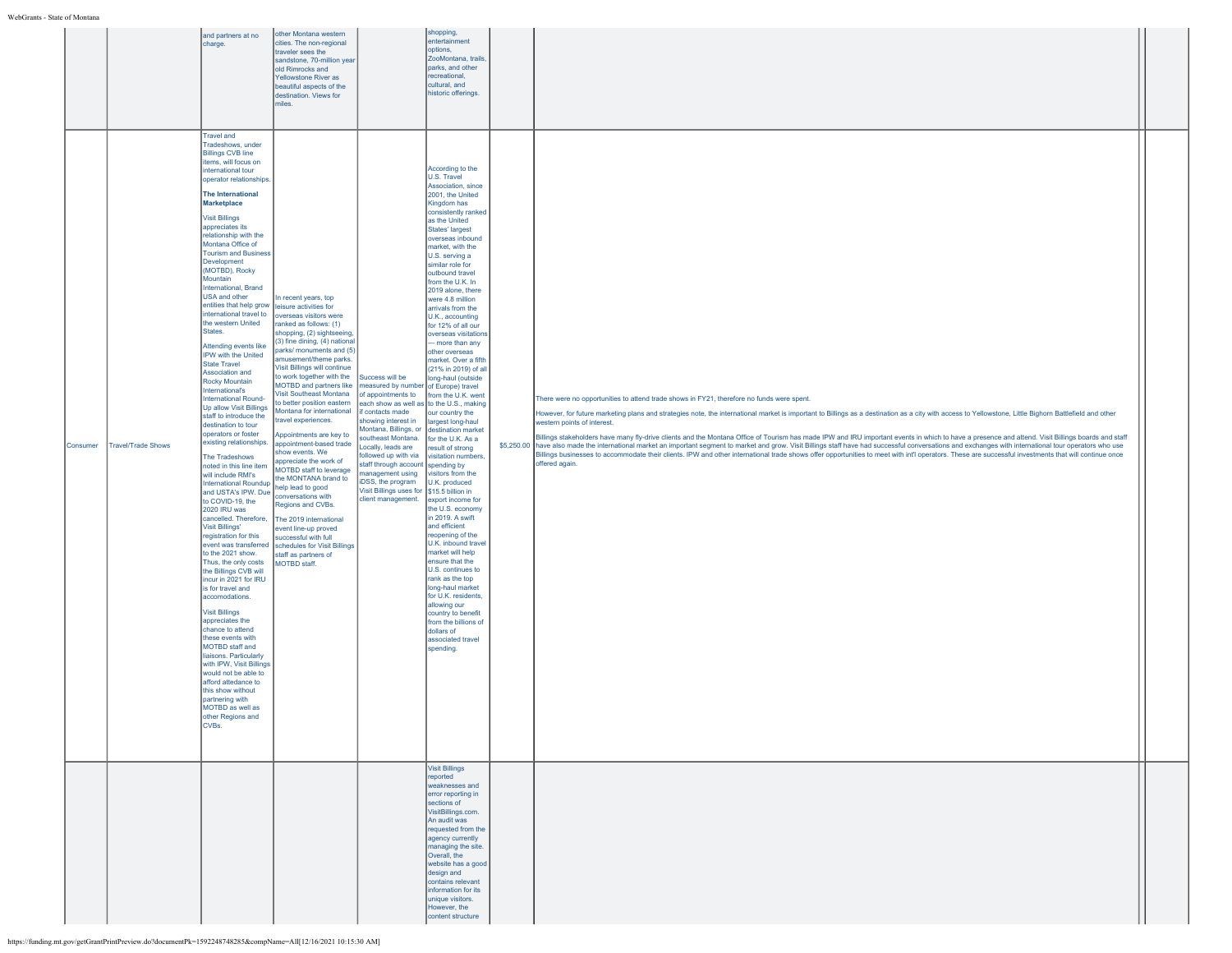|          |                    | and partners at no<br>charge.                                                                                                                                                                                                                                                                                                                                                                                                                                                                                                                                                                                                                                                                                                                                                                                                                                                                                                                                                                                                                                                                                                                                                                                                                                                                                                                                                                                                                                    | other Montana western<br>cities. The non-regional<br>traveler sees the<br>sandstone, 70-million year<br>old Rimrocks and<br><b>Yellowstone River as</b><br>beautiful aspects of the<br>destination. Views for<br>miles.                                                                                                                                                                                                                                                                                                                                                                                                                                                                                                                                                                                                    |                                                                                                                                                                                                                                                                                                                                                                                                                                   | shopping,<br>entertainment<br>options,<br>ZooMontana, trails<br>parks, and other<br>recreational.<br>cultural, and<br>historic offerings.                                                                                                                                                                                                                                                                                                                                                                                                                                                                                                                                                                                                                                                                                                                                                                                                                                                                                                                 |                                                                                                                                                                                                                                                                                                                                                                                                                                                                                                                                                                                                                                                                                                                                                                                                                                                                                                                                                                                |  |
|----------|--------------------|------------------------------------------------------------------------------------------------------------------------------------------------------------------------------------------------------------------------------------------------------------------------------------------------------------------------------------------------------------------------------------------------------------------------------------------------------------------------------------------------------------------------------------------------------------------------------------------------------------------------------------------------------------------------------------------------------------------------------------------------------------------------------------------------------------------------------------------------------------------------------------------------------------------------------------------------------------------------------------------------------------------------------------------------------------------------------------------------------------------------------------------------------------------------------------------------------------------------------------------------------------------------------------------------------------------------------------------------------------------------------------------------------------------------------------------------------------------|----------------------------------------------------------------------------------------------------------------------------------------------------------------------------------------------------------------------------------------------------------------------------------------------------------------------------------------------------------------------------------------------------------------------------------------------------------------------------------------------------------------------------------------------------------------------------------------------------------------------------------------------------------------------------------------------------------------------------------------------------------------------------------------------------------------------------|-----------------------------------------------------------------------------------------------------------------------------------------------------------------------------------------------------------------------------------------------------------------------------------------------------------------------------------------------------------------------------------------------------------------------------------|-----------------------------------------------------------------------------------------------------------------------------------------------------------------------------------------------------------------------------------------------------------------------------------------------------------------------------------------------------------------------------------------------------------------------------------------------------------------------------------------------------------------------------------------------------------------------------------------------------------------------------------------------------------------------------------------------------------------------------------------------------------------------------------------------------------------------------------------------------------------------------------------------------------------------------------------------------------------------------------------------------------------------------------------------------------|--------------------------------------------------------------------------------------------------------------------------------------------------------------------------------------------------------------------------------------------------------------------------------------------------------------------------------------------------------------------------------------------------------------------------------------------------------------------------------------------------------------------------------------------------------------------------------------------------------------------------------------------------------------------------------------------------------------------------------------------------------------------------------------------------------------------------------------------------------------------------------------------------------------------------------------------------------------------------------|--|
| Consumer | Travel/Trade Shows | <b>Travel and</b><br>Tradeshows, under<br><b>Billings CVB line</b><br>items, will focus on<br>international tour<br>operator relationships<br><b>The International</b><br>Marketplace<br><b>Visit Billings</b><br>appreciates its<br>relationship with the<br>Montana Office of<br><b>Tourism and Business</b><br>Development<br>(MOTBD), Rocky<br>Mountain<br>International, Brand<br>USA and other<br>entities that help grow<br>international travel to<br>the western United<br>States.<br>Attending events like<br>IPW with the United<br><b>State Travel</b><br>Association and<br>Rocky Mountain<br>International's<br>International Round-<br>Up allow Visit Billings<br>staff to introduce the<br>destination to tour<br>operators or foster<br>existing relationships.<br>The Tradeshows<br>noted in this line item<br>will include RMI's<br>International Roundup<br>and USTA's IPW. Due<br>to COVID-19, the<br>2020 IRU was<br>cancelled. Therefore,<br><b>Visit Billings'</b><br>registration for this<br>to the 2021 show.<br>Thus, the only costs<br>the Billings CVB will<br>incur in 2021 for IRU<br>is for travel and<br>accomodations.<br><b>Visit Billings</b><br>appreciates the<br>chance to attend<br>these events with<br>MOTBD staff and<br>liaisons. Particularly<br>with IPW, Visit Billings<br>would not be able to<br>afford attedance to<br>this show without<br>partnering with<br>MOTBD as well as<br>other Regions and<br>CVBs. | In recent years, top<br>leisure activities for<br>overseas visitors were<br>ranked as follows: (1)<br>shopping, (2) sightseeing,<br>(3) fine dining, (4) national<br>parks/ monuments and (5)<br>amusement/theme parks.<br>Visit Billings will continue<br>to work together with the<br>MOTBD and partners like<br>Visit Southeast Montana<br>to better position eastern<br>Montana for international<br>travel experiences.<br>Appointments are key to<br>appointment-based trade<br>show events. We<br>appreciate the work of<br>MOTBD staff to leverage<br>the MONTANA brand to<br>help lead to good<br>conversations with<br>Regions and CVBs.<br>The 2019 international<br>event line-up proved<br>successful with full<br>event was transferred schedules for Visit Billings<br>staff as partners of<br>MOTBD staff. | Success will be<br>measured by number of Europe) travel<br>of appointments to<br>each show as well as to the U.S., making<br>f contacts made<br>showing interest in<br>Montana, Billings, or<br>southeast Montana. for the U.K. As a<br>Locally, leads are<br>ollowed up with via<br>staff through account spending by<br>management using<br>DSS, the program<br>Visit Billings uses for \$15.5 billion in<br>client management. | According to the<br>U.S. Travel<br>Association, since<br>2001, the United<br>Kingdom has<br>consistently ranked<br>as the United<br>States' largest<br>overseas inbound<br>market, with the<br>U.S. serving a<br>similar role for<br>outbound travel<br>from the U.K. In<br>2019 alone, there<br>were 4.8 million<br>arrivals from the<br>U.K., accounting<br>for 12% of all our<br>overseas visitations<br>- more than any<br>other overseas<br>market. Over a fifth<br>(21% in 2019) of all<br>long-haul (outside<br>from the U.K. went<br>our country the<br>largest long-haul<br>destination market<br>result of strong<br>visitation numbers,<br>visitors from the<br>U.K. produced<br>export income for<br>the U.S. economy<br>in 2019. A swift<br>and efficient<br>reopening of the<br>U.K. inbound travel<br>market will help<br>ensure that the<br>U.S. continues to<br>rank as the top<br>long-haul market<br>for U.K. residents,<br>allowing our<br>country to benefit<br>from the billions of<br>dollars of<br>associated travel<br>spending. | There were no opportunities to attend trade shows in FY21, therefore no funds were spent.<br>However, for future marketing plans and strategies note, the international market is important to Billings as a destination as a city with access to Yellowstone, Little Bighom Battlefield and other<br>western points of interest.<br>Billings stakeholders have many fly-drive clients and the Montana Office of Tourism has made IPW and IRU important events in which to have a presence and attend. Visit Billings boards and staff<br>\$5,250.00 have also made the international market an important segment to market and grow. Visit Billings staff have had successful conversations and exchanges with international tour operators who use<br>Billings businesses to accommodate their clients. IPW and other international trade shows offer opportunities to meet with int'l operators. These are successful investments that will continue once<br>offered again. |  |
|          |                    |                                                                                                                                                                                                                                                                                                                                                                                                                                                                                                                                                                                                                                                                                                                                                                                                                                                                                                                                                                                                                                                                                                                                                                                                                                                                                                                                                                                                                                                                  |                                                                                                                                                                                                                                                                                                                                                                                                                                                                                                                                                                                                                                                                                                                                                                                                                            |                                                                                                                                                                                                                                                                                                                                                                                                                                   | <b>Visit Billings</b><br>reported<br>weaknesses and<br>error reporting in<br>sections of<br>VisitBillings.com.<br>An audit was<br>requested from the<br>agency currently<br>managing the site.<br>Overall, the<br>website has a good<br>design and<br>contains relevant<br>information for its<br>unique visitors.<br>However, the<br>content structure                                                                                                                                                                                                                                                                                                                                                                                                                                                                                                                                                                                                                                                                                                   |                                                                                                                                                                                                                                                                                                                                                                                                                                                                                                                                                                                                                                                                                                                                                                                                                                                                                                                                                                                |  |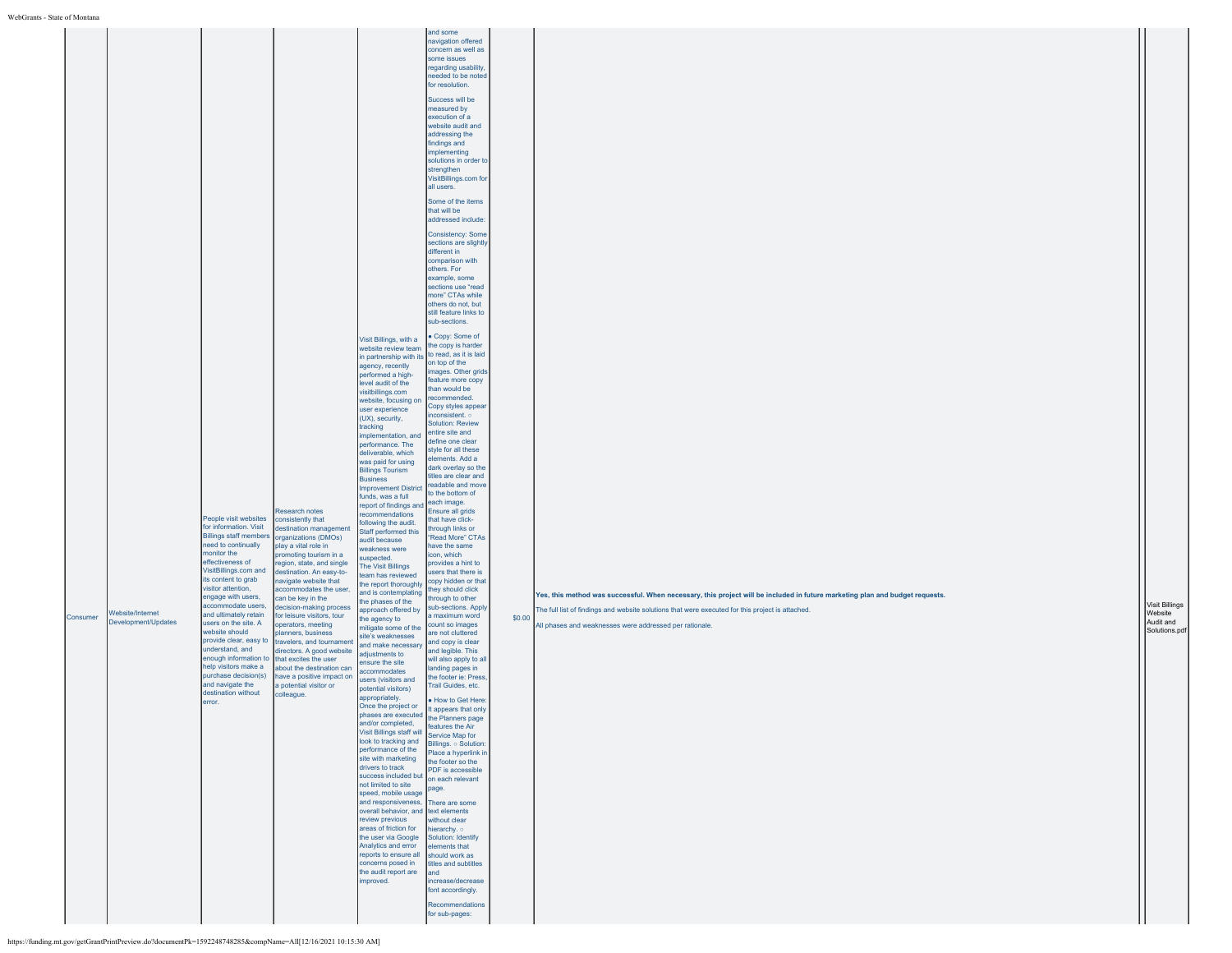| Consumer | monitor the<br><b>Nebsite/Internet</b><br>Development/Updates<br>error. | People visit websites<br>for information. Visit<br><b>Billings staff members</b><br>need to continually<br>effectiveness of<br>VisitBillings.com and<br>its content to grab<br>visitor attention,<br>engage with users,<br>accommodate users,<br>and ultimately retain<br>users on the site. A<br>website should<br>provide clear, easy to<br>understand, and<br>enough information to<br>help visitors make a<br>purchase decision(s)<br>and navigate the<br>destination without | Research notes<br>consistently that<br>destination management<br>organizations (DMOs)<br>play a vital role in<br>promoting tourism in a<br>region, state, and single<br>destination. An easy-to-<br>navigate website that<br>accommodates the user,<br>can be key in the<br>decision-making process<br>for leisure visitors, tour<br>operators, meeting<br>planners, business<br>travelers, and tournament<br>directors. A good website<br>that excites the user<br>about the destination can<br>have a positive impact on<br>a potential visitor or<br>colleague. | Visit Billings, with a<br>website review team<br>in partnership with its<br>agency, recently<br>performed a high-<br>level audit of the<br>visitbillings.com<br>website, focusing on<br>user experience<br>(UX), security,<br>tracking<br>mplementation, and<br>performance. The<br>deliverable, which<br>was paid for using<br><b>Billings Tourism</b><br><b>Business</b><br><b>Improvement District</b><br>funds, was a full<br>report of findings and<br>ecommendations<br>ollowing the audit.<br>Staff performed this<br>audit because<br>weakness were<br>uspected.<br>The Visit Billings<br>eam has reviewed<br>the report thoroughly<br>and is contemplating<br>the phases of the<br>approach offered by<br>the agency to<br>mitigate some of the<br>site's weaknesses<br>and make necessary<br>adjustments to<br>ensure the site<br>accommodates<br>users (visitors and<br>potential visitors)<br>appropriately.<br>Once the project or<br>phases are executed<br>d/or completed,<br>Visit Billings staff will<br>look to tracking and<br>performance of the<br>site with marketing<br>drivers to track<br>success included but<br>not limited to site<br>speed, mobile usage<br>and responsiveness.<br>overall behavior, and text elements<br>review previous<br>areas of friction for<br>the user via Google<br>Analytics and error<br>reports to ensure all<br>concerns posed in<br>the audit report are<br>improved. | and some<br>navigation offered<br>concern as well as<br>some issues<br>regarding usability,<br>needed to be noted<br>for resolution.<br>Success will be<br>measured by<br>execution of a<br>website audit and<br>addressing the<br>findings and<br>implementing<br>solutions in order to<br>strengthen<br>VisitBillings.com for<br>all users.<br>Some of the items<br>that will be<br>addressed include:<br><b>Consistency: Some</b><br>sections are slightly<br>different in<br>comparison with<br>others. For<br>example, some<br>sections use "read<br>more" CTAs while<br>others do not, but<br>still feature links to<br>sub-sections.<br>Copy: Some of<br>the copy is harder<br>to read, as it is laid<br>on top of the<br>images. Other grids<br>feature more copy<br>than would be<br>recommended.<br>Copy styles appear<br>nconsistent. o<br><b>Solution: Review</b><br>entire site and<br>define one clear<br>style for all these<br>elements, Add a<br>dark overlay so the<br>titles are clear and<br>readable and move<br>to the bottom of<br>each image.<br>Ensure all grids<br>that have click-<br>through links or<br>"Read More" CTAs<br>have the same<br>icon, which<br>provides a hint to<br>users that there is<br>copy hidden or that<br>they should click<br>through to other<br>sub-sections. Apply<br>a maximum word<br>count so images<br>are not cluttered<br>and copy is clear<br>and legible. This<br>will also apply to all<br>landing pages in<br>the footer ie: Press<br>Trail Guides, etc.<br>· How to Get Here:<br>It appears that only<br>the Planners page<br>features the Air<br>Service Map for<br>Billings. o Solution:<br>Place a hyperlink in<br>the footer so the<br>PDF is accessible<br>on each relevant<br>page.<br>There are some<br>without clear<br>hierarchy. o<br>Solution: Identify<br>elements that<br>should work as<br>titles and subtitles<br>land<br>increase/decrease<br>font accordingly.<br>Recommendations<br>for sub-pages: | \$0.00 | Yes, this method was successful. When necessary, this project will be included in future marketing plan and budget requests.<br>The full list of findings and website solutions that were executed for this project is attached.<br>All phases and weaknesses were addressed per rationale. | Visit Billings<br>Website<br>Audit and<br>Solutions.pdf |
|----------|-------------------------------------------------------------------------|-----------------------------------------------------------------------------------------------------------------------------------------------------------------------------------------------------------------------------------------------------------------------------------------------------------------------------------------------------------------------------------------------------------------------------------------------------------------------------------|--------------------------------------------------------------------------------------------------------------------------------------------------------------------------------------------------------------------------------------------------------------------------------------------------------------------------------------------------------------------------------------------------------------------------------------------------------------------------------------------------------------------------------------------------------------------|----------------------------------------------------------------------------------------------------------------------------------------------------------------------------------------------------------------------------------------------------------------------------------------------------------------------------------------------------------------------------------------------------------------------------------------------------------------------------------------------------------------------------------------------------------------------------------------------------------------------------------------------------------------------------------------------------------------------------------------------------------------------------------------------------------------------------------------------------------------------------------------------------------------------------------------------------------------------------------------------------------------------------------------------------------------------------------------------------------------------------------------------------------------------------------------------------------------------------------------------------------------------------------------------------------------------------------------------------------------------------------------------------------------------------------|----------------------------------------------------------------------------------------------------------------------------------------------------------------------------------------------------------------------------------------------------------------------------------------------------------------------------------------------------------------------------------------------------------------------------------------------------------------------------------------------------------------------------------------------------------------------------------------------------------------------------------------------------------------------------------------------------------------------------------------------------------------------------------------------------------------------------------------------------------------------------------------------------------------------------------------------------------------------------------------------------------------------------------------------------------------------------------------------------------------------------------------------------------------------------------------------------------------------------------------------------------------------------------------------------------------------------------------------------------------------------------------------------------------------------------------------------------------------------------------------------------------------------------------------------------------------------------------------------------------------------------------------------------------------------------------------------------------------------------------------------------------------------------------------------------------------------------------------------------------------------------------------------------------------------------------------------------------------------------------|--------|---------------------------------------------------------------------------------------------------------------------------------------------------------------------------------------------------------------------------------------------------------------------------------------------|---------------------------------------------------------|
|----------|-------------------------------------------------------------------------|-----------------------------------------------------------------------------------------------------------------------------------------------------------------------------------------------------------------------------------------------------------------------------------------------------------------------------------------------------------------------------------------------------------------------------------------------------------------------------------|--------------------------------------------------------------------------------------------------------------------------------------------------------------------------------------------------------------------------------------------------------------------------------------------------------------------------------------------------------------------------------------------------------------------------------------------------------------------------------------------------------------------------------------------------------------------|----------------------------------------------------------------------------------------------------------------------------------------------------------------------------------------------------------------------------------------------------------------------------------------------------------------------------------------------------------------------------------------------------------------------------------------------------------------------------------------------------------------------------------------------------------------------------------------------------------------------------------------------------------------------------------------------------------------------------------------------------------------------------------------------------------------------------------------------------------------------------------------------------------------------------------------------------------------------------------------------------------------------------------------------------------------------------------------------------------------------------------------------------------------------------------------------------------------------------------------------------------------------------------------------------------------------------------------------------------------------------------------------------------------------------------|----------------------------------------------------------------------------------------------------------------------------------------------------------------------------------------------------------------------------------------------------------------------------------------------------------------------------------------------------------------------------------------------------------------------------------------------------------------------------------------------------------------------------------------------------------------------------------------------------------------------------------------------------------------------------------------------------------------------------------------------------------------------------------------------------------------------------------------------------------------------------------------------------------------------------------------------------------------------------------------------------------------------------------------------------------------------------------------------------------------------------------------------------------------------------------------------------------------------------------------------------------------------------------------------------------------------------------------------------------------------------------------------------------------------------------------------------------------------------------------------------------------------------------------------------------------------------------------------------------------------------------------------------------------------------------------------------------------------------------------------------------------------------------------------------------------------------------------------------------------------------------------------------------------------------------------------------------------------------------------|--------|---------------------------------------------------------------------------------------------------------------------------------------------------------------------------------------------------------------------------------------------------------------------------------------------|---------------------------------------------------------|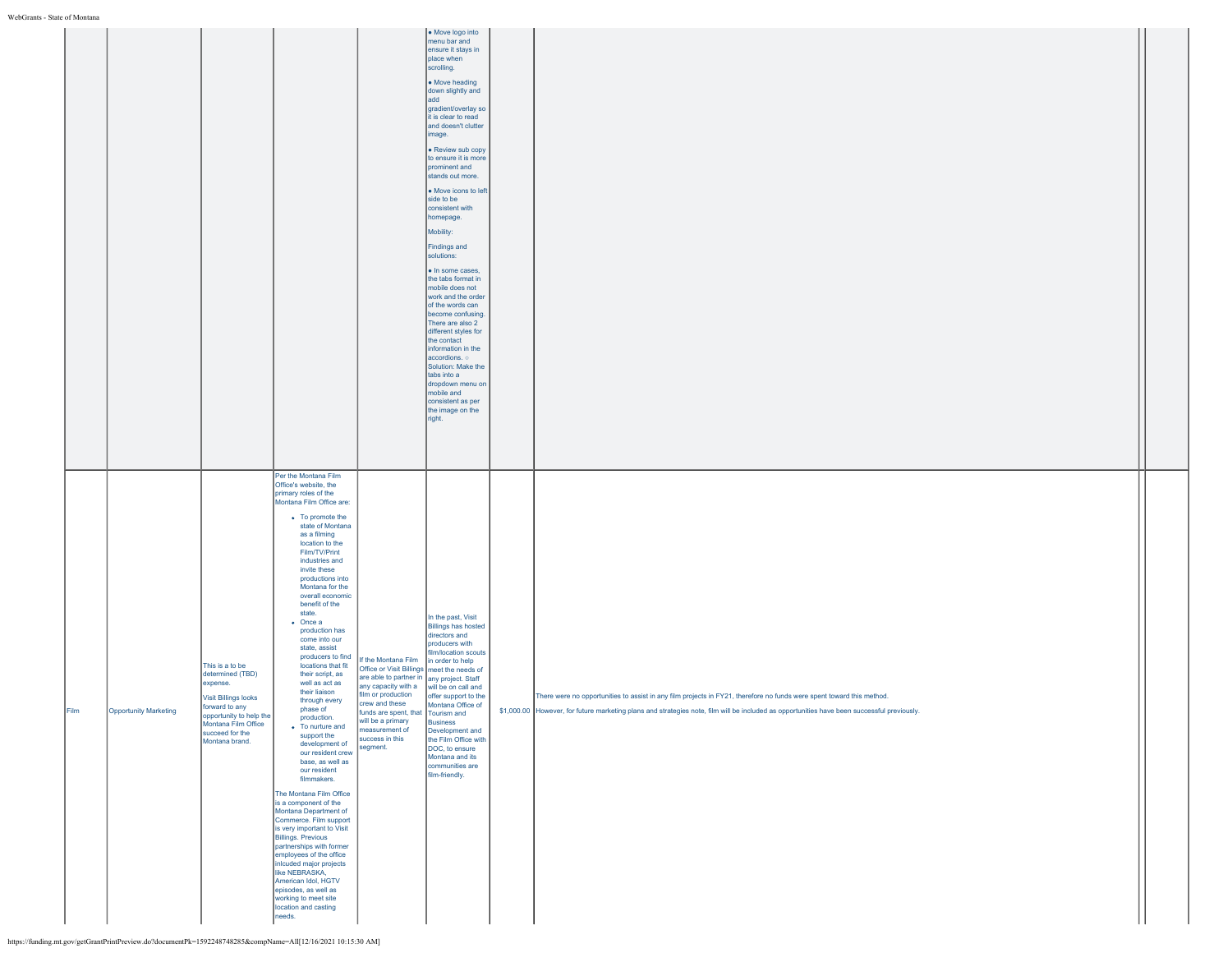|      |                       |                                                                                                                                                                                         | Per the Montana Film<br>Office's website, the<br>primary roles of the<br>Montana Film Office are:<br>• To promote the<br>state of Montana<br>as a filming<br>location to the<br>Film/TV/Print                                                                                                                                                                                                                                                                                                                                                                                                                                                                                                                                                                                                                                      |                                                                                                                                                                                                                                                                                                                                                 | add<br>gradient/overlay so<br>it is clear to read<br>and doesn't clutter<br>image.<br>• Review sub copy<br>to ensure it is more<br>prominent and<br>stands out more.<br>• Move icons to left<br>side to be<br>consistent with<br>homepage.<br>Mobility:<br>Findings and<br>solutions:<br>. In some cases,<br>the tabs format in<br>mobile does not<br>work and the order<br>of the words can<br>become confusing.<br>There are also 2<br>different styles for<br>the contact<br>information in the<br>accordions. o<br>Solution: Make the<br>tabs into a<br>dropdown menu on<br>mobile and<br>consistent as per<br>the image on the<br>right. |                                                                                                                                                                                                                                                                      |  |
|------|-----------------------|-----------------------------------------------------------------------------------------------------------------------------------------------------------------------------------------|------------------------------------------------------------------------------------------------------------------------------------------------------------------------------------------------------------------------------------------------------------------------------------------------------------------------------------------------------------------------------------------------------------------------------------------------------------------------------------------------------------------------------------------------------------------------------------------------------------------------------------------------------------------------------------------------------------------------------------------------------------------------------------------------------------------------------------|-------------------------------------------------------------------------------------------------------------------------------------------------------------------------------------------------------------------------------------------------------------------------------------------------------------------------------------------------|-----------------------------------------------------------------------------------------------------------------------------------------------------------------------------------------------------------------------------------------------------------------------------------------------------------------------------------------------------------------------------------------------------------------------------------------------------------------------------------------------------------------------------------------------------------------------------------------------------------------------------------------------|----------------------------------------------------------------------------------------------------------------------------------------------------------------------------------------------------------------------------------------------------------------------|--|
| Film | Opportunity Marketing | This is a to be<br>determined (TBD)<br>expense.<br><b>Visit Billings looks</b><br>forward to any<br>opportunity to help the<br>Montana Film Office<br>succeed for the<br>Montana brand. | industries and<br>invite these<br>productions into<br>Montana for the<br>overall economic<br>benefit of the<br>state.<br>$\bullet$ Once a<br>production has<br>come into our<br>state, assist<br>locations that fit<br>their script, as<br>well as act as<br>their liaison<br>through every<br>phase of<br>production.<br>• To nurture and<br>support the<br>development of<br>our resident crew<br>base, as well as<br>our resident<br>filmmakers.<br>The Montana Film Office<br>is a component of the<br>Montana Department of<br>Commerce. Film support<br>is very important to Visit<br><b>Billings. Previous</b><br>partnerships with former<br>employees of the office<br>inlcuded major projects<br>like NEBRASKA,<br>American Idol, HGTV<br>episodes, as well as<br>working to meet site<br>location and casting<br>needs. | producers to find If the Montana Film in order to help<br>Office or Visit Billings meet the needs of<br>are able to partner in any project. Staff<br>any capacity with a will be on call and<br>film or production<br>crew and these<br>funds are spent, that Tourism and<br>will be a primary<br>measurement of<br>success in this<br>segment. | In the past, Visit<br><b>Billings has hosted</b><br>directors and<br>producers with<br>film/location scouts<br>offer support to the<br>Montana Office of<br>Business<br>Development and<br>the Film Office with<br>DOC, to ensure<br>Montana and its<br>communities are<br>film-friendly.                                                                                                                                                                                                                                                                                                                                                     | There were no opportunities to assist in any film projects in FY21, therefore no funds were spent toward this method.<br>\$1,000.00 However, for future marketing plans and strategies note, film will be included as opportunities have been successful previously. |  |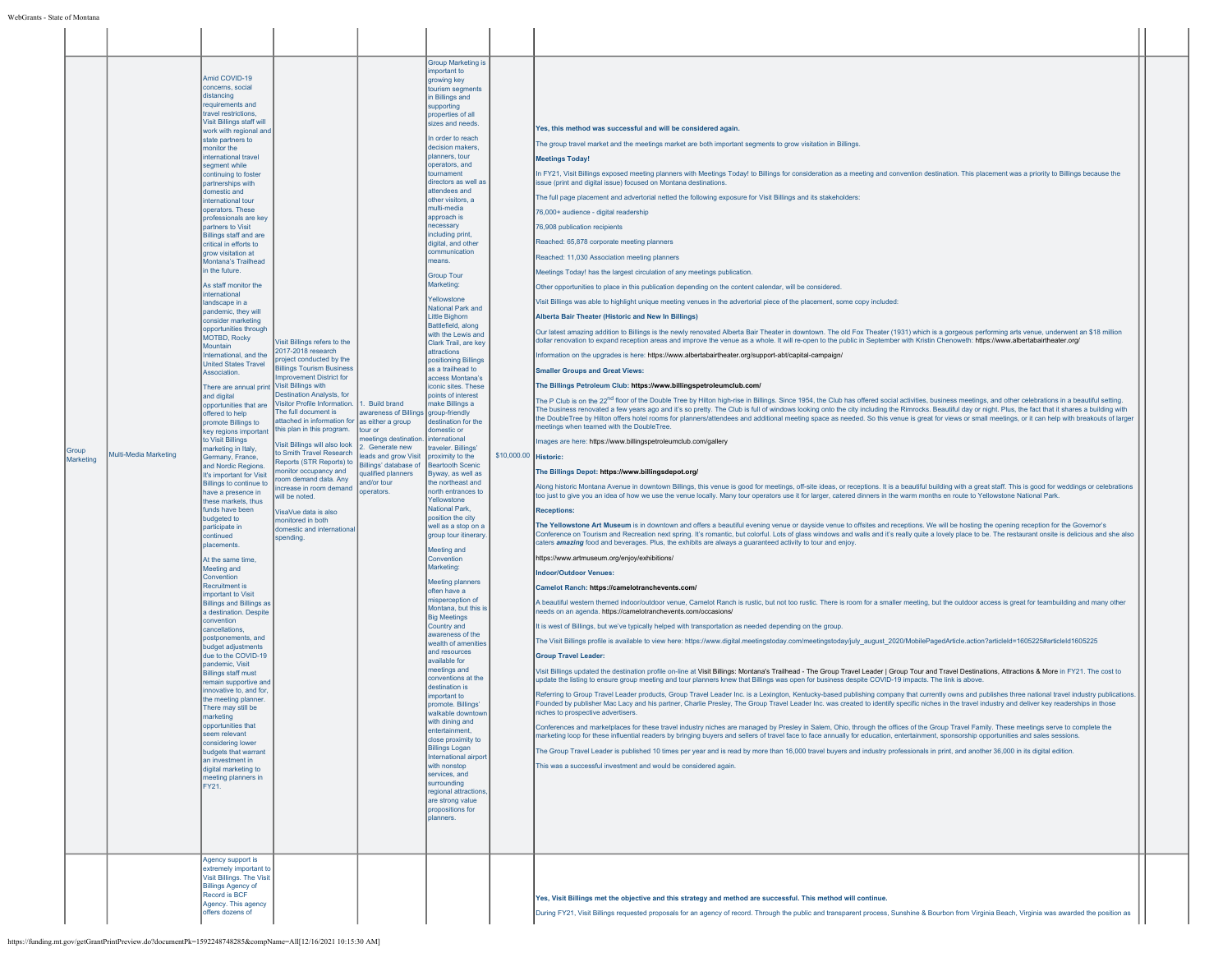| Group<br><b>Marketing</b> | Multi-Media Marketing | Amid COVID-19<br>concerns, social<br>distancing<br>requirements and<br>travel restrictions.<br>Visit Billings staff will<br>work with regional and<br>state partners to<br>monitor the<br>international travel<br>segment while<br>continuing to foster<br>partnerships with<br>domestic and<br>international tour<br>operators. These<br>professionals are key<br>partners to Visit<br><b>Billings staff and are</b><br>critical in efforts to<br>grow visitation at<br>Montana's Trailhead<br>in the future.<br>As staff monitor the<br>international<br>landscape in a<br>pandemic, they will<br>consider marketing<br>opportunities through<br>MOTBD, Rocky<br>Mountain<br>International, and the<br><b>United States Travel</b><br><b>Association</b><br>There are annual print Visit Billings with<br>and digital<br>opportunities that are<br>offered to help<br>promote Billings to<br>key regions important<br>to Visit Billings<br>marketing in Italy,<br>Germany, France,<br>and Nordic Regions.<br>It's important for Visit<br>Billings to continue to<br>have a presence in<br>these markets, thus<br>funds have been<br>budgeted to<br>participate in<br>continued<br>placements.<br>At the same time,<br>Meeting and<br>Convention<br><b>Recruitment is</b><br>important to Visit<br><b>Billings and Billings as</b><br>a destination. Despite<br>convention<br>cancellations<br>postponements, and<br>budget adjustments<br>due to the COVID-19<br>nandemic Visit<br><b>Billings staff must</b><br>remain supportive and<br>innovative to, and for,<br>the meeting planner.<br>There may still be<br>marketing<br>opportunities that<br>seem relevant<br>considering lower<br>budgets that warrant<br>an investment in<br>digital marketing to<br>meeting planners in<br>FY21.<br>Agency support is<br>extremely important to | Visit Billings refers to the<br>2017-2018 research<br>roject conducted by the<br><b>Billings Tourism Business</b><br>mprovement District for<br>Destination Analysts, for<br>Visitor Profile Information.<br>The full document is<br>attached in information for as either a group<br>this plan in this program.<br>Visit Billings will also look<br>to Smith Travel Research<br>Reports (STR Reports) to Billings' database of Beartooth Scenic<br>nonitor occupancy and<br>room demand data. Any<br>increase in room demand<br>will be noted.<br>VisaVue data is also<br>monitored in both<br>domestic and international<br>spending. | 1. Build brand<br>awareness of Billings group-friendly<br>tour or<br>eetings destination.<br>2. Generate new<br>leads and grow Visit proximity to the<br>qualified planners<br>and/or tour<br>operators. | <b>Group Marketing is</b><br>important to<br>growing key<br>tourism segments<br>in Billings and<br>supporting<br>properties of all<br>sizes and needs<br>In order to reach<br>decision makers.<br>planners, tour<br>operators, and<br>tournament<br>directors as well as<br>attendees and<br>other visitors, a<br>multi-media<br>approach is<br>necessary<br>including print,<br>digital, and other<br>communication<br>neans.<br><b>Group Tour</b><br>Marketing:<br>Yellowstone<br>National Park and<br>Little Bighorn<br>Battlefield, along<br>with the Lewis and<br>Clark Trail, are key<br>attractions<br>positioning Billings<br>as a trailhead to<br>access Montana's<br>iconic sites. These<br>points of interest<br>make Billings a<br>destination for the<br>domestic or<br>international<br>traveler Billings'<br>Byway, as well as<br>the northeast and<br>north entrances to<br>Yellowstone<br>National Park.<br>position the city<br>well as a stop on a<br>group tour itinerary<br>Meeting and<br>Convention<br>Marketing:<br><b>Meeting planners</b><br>often have a<br>misperception of<br>Montana, but this<br><b>Big Meetings</b><br>Country and<br>awareness of the<br>wealth of amenitie<br>and resources<br>available for<br>meetings and<br>conventions at the<br>destination is<br>mportant to<br>promote. Billings'<br>walkable downtow<br>with dining and<br>entertainment.<br>close proximity to<br><b>Billings Logan</b><br>International airport<br>with nonstop<br>services, and<br>surrounding<br>regional attractions<br>are strong value<br>propositions for<br>planners. | \$10,000.00 Historic: | Yes, this method was successful and will be considered again.<br>The group travel market and the meetings market are both important segments to grow visitation in Billings<br><b>Meetings Today!</b><br>In FY21, Visit Billings exposed meeting planners with Meetings Today! to Billings for consideration as a meeting and convention destination. This placement was a priority to Billings because the<br>issue (print and digital issue) focused on Montana destinations.<br>The full page placement and advertorial netted the following exposure for Visit Billings and its stakeholders:<br>76,000+ audience - digital readership<br>76,908 publication recipients<br>Reached: 65,878 corporate meeting planners<br>Reached: 11,030 Association meeting planners<br>Meetings Today! has the largest circulation of any meetings publication.<br>Other opportunities to place in this publication depending on the content calendar, will be considered.<br>Visit Billings was able to highlight unique meeting venues in the advertorial piece of the placement, some copy included:<br>Alberta Bair Theater (Historic and New In Billings)<br>Our latest amazing addition to Billings is the newly renovated Alberta Bair Theater in downtown. The old Fox Theater (1931) which is a gorgeous performing arts venue, underwent an \$18 million<br>dollar renovation to expand reception areas and improve the venue as a whole. It will re-open to the public in September with Kristin Chenoweth: https://www.albertabairtheater.org/<br>Information on the upgrades is here: https://www.albertabairtheater.org/support-abt/capital-campaign/<br><b>Smaller Groups and Great Views:</b><br>The Billings Petroleum Club: https://www.billingspetroleumclub.com/<br>The P Club is on the 22 <sup>nd</sup> floor of the Double Tree by Hilton high-rise in Billings. Since 1954, the Club has offered social activities, business meetings, and other celebrations in a beautiful setting.<br>The business renovated a few years ago and it's so pretty. The Club is full of windows looking onto the city including the Rimrocks. Beautiful day or night. Plus, the fact that it shares a building with<br>the DoubleTree by Hilton offers hotel rooms for planners/attendees and additional meeting space as needed. So this venue is great for views or small meetings, or it can help with breakouts of larger<br>meetings when teamed with the DoubleTree.<br>mages are here: https://www.billingspetroleumclub.com/gallery<br>The Billings Depot: https://www.billingsdepot.org/<br>Along historic Montana Avenue in downtown Billings, this venue is good for meetings, off-site ideas, or receptions. It is a beautiful building with a great staff. This is good for weddings or celebrations<br>too just to give you an idea of how we use the venue locally. Many tour operators use it for larger, catered dinners in the warm months en route to Yellowstone National Park.<br><b>Receptions:</b><br>The Yellowstone Art Museum is in downtown and offers a beautiful evening venue or dayside venue to offsites and receptions. We will be hosting the opening reception for the Governor's<br>Conference on Tourism and Recreation next spring. It's romantic, but colorful. Lots of glass windows and walls and it's really quite a lovely place to be. The restaurant onsite is delicious and she also<br>caters amazing food and beverages. Plus, the exhibits are always a guaranteed activity to tour and enjoy.<br>https://www.artmuseum.org/enjoy/exhibitions/<br><b>Indoor/Outdoor Venues:</b><br>Camelot Ranch: https://camelotranchevents.com/<br>A beautiful western themed indoor/outdoor venue, Camelot Ranch is rustic, but not too rustic. There is room for a smaller meeting, but the outdoor access is great for teambuilding and many other<br>needs on an agenda. https://camelotranchevents.com/occasions/<br>It is west of Billings, but we've typically helped with transportation as needed depending on the group.<br>The Visit Billings profile is available to view here: https://www.digital.meetingstoday.com/meetingstoday/july_august_2020/MobilePagedArticle.action?articleId=1605225#articleId1605225<br><b>Group Travel Leader:</b><br>Visit Billings updated the destination profile on-line at Visit Billings: Montana's Trailhead - The Group Travel Leader   Group Tour and Travel Destinations, Attractions & More in FY21. The cost to<br>update the listing to ensure group meeting and tour planners knew that Billings was open for business despite COVID-19 impacts. The link is above.<br>Referring to Group Travel Leader products, Group Travel Leader Inc. is a Lexington, Kentucky-based publishing company that currently owns and publishes three national travel industry publications.<br>Founded by publisher Mac Lacy and his partner, Charlie Presley, The Group Travel Leader Inc. was created to identify specific niches in the travel industry and deliver key readerships in those<br>niches to prospective advertisers<br>onferences and marketplaces for these travel industry niches are managed by Presley in Salem, Ohio, through the offices of the Group Travel Family. These meetings serve to complete the<br>marketing loop for these influential readers by bringing buyers and sellers of travel face to face annually for education, entertainment, sponsorship opportunities and sales sessions.<br>The Group Travel Leader is published 10 times per year and is read by more than 16,000 travel buyers and industry professionals in print, and another 36,000 in its digital edition.<br>This was a successful investment and would be considered again. |  |
|---------------------------|-----------------------|-----------------------------------------------------------------------------------------------------------------------------------------------------------------------------------------------------------------------------------------------------------------------------------------------------------------------------------------------------------------------------------------------------------------------------------------------------------------------------------------------------------------------------------------------------------------------------------------------------------------------------------------------------------------------------------------------------------------------------------------------------------------------------------------------------------------------------------------------------------------------------------------------------------------------------------------------------------------------------------------------------------------------------------------------------------------------------------------------------------------------------------------------------------------------------------------------------------------------------------------------------------------------------------------------------------------------------------------------------------------------------------------------------------------------------------------------------------------------------------------------------------------------------------------------------------------------------------------------------------------------------------------------------------------------------------------------------------------------------------------------------------------------------------------------------------------------------------------------|-----------------------------------------------------------------------------------------------------------------------------------------------------------------------------------------------------------------------------------------------------------------------------------------------------------------------------------------------------------------------------------------------------------------------------------------------------------------------------------------------------------------------------------------------------------------------------------------------------------------------------------------|----------------------------------------------------------------------------------------------------------------------------------------------------------------------------------------------------------|-----------------------------------------------------------------------------------------------------------------------------------------------------------------------------------------------------------------------------------------------------------------------------------------------------------------------------------------------------------------------------------------------------------------------------------------------------------------------------------------------------------------------------------------------------------------------------------------------------------------------------------------------------------------------------------------------------------------------------------------------------------------------------------------------------------------------------------------------------------------------------------------------------------------------------------------------------------------------------------------------------------------------------------------------------------------------------------------------------------------------------------------------------------------------------------------------------------------------------------------------------------------------------------------------------------------------------------------------------------------------------------------------------------------------------------------------------------------------------------------------------------------------------------------------------------------------------------------------------------|-----------------------|-----------------------------------------------------------------------------------------------------------------------------------------------------------------------------------------------------------------------------------------------------------------------------------------------------------------------------------------------------------------------------------------------------------------------------------------------------------------------------------------------------------------------------------------------------------------------------------------------------------------------------------------------------------------------------------------------------------------------------------------------------------------------------------------------------------------------------------------------------------------------------------------------------------------------------------------------------------------------------------------------------------------------------------------------------------------------------------------------------------------------------------------------------------------------------------------------------------------------------------------------------------------------------------------------------------------------------------------------------------------------------------------------------------------------------------------------------------------------------------------------------------------------------------------------------------------------------------------------------------------------------------------------------------------------------------------------------------------------------------------------------------------------------------------------------------------------------------------------------------------------------------------------------------------------------------------------------------------------------------------------------------------------------------------------------------------------------------------------------------------------------------------------------------------------------------------------------------------------------------------------------------------------------------------------------------------------------------------------------------------------------------------------------------------------------------------------------------------------------------------------------------------------------------------------------------------------------------------------------------------------------------------------------------------------------------------------------------------------------------------------------------------------------------------------------------------------------------------------------------------------------------------------------------------------------------------------------------------------------------------------------------------------------------------------------------------------------------------------------------------------------------------------------------------------------------------------------------------------------------------------------------------------------------------------------------------------------------------------------------------------------------------------------------------------------------------------------------------------------------------------------------------------------------------------------------------------------------------------------------------------------------------------------------------------------------------------------------------------------------------------------------------------------------------------------------------------------------------------------------------------------------------------------------------------------------------------------------------------------------------------------------------------------------------------------------------------------------------------------------------------------------------------------------------------------------------------------------------------------------------------------------------------------------------------------------------------------------------------------------------------------------------------------------------------------------------------------------------------------------------------------------------------------------------------------------------------------------------------------------------------------------------------------------------------------------------------------------------------------------------------------------------------------------------------------------------------------------------------------------------------------------------------------------------------------------------------------------------------------------------------------------------------------------------------------------------------------------------------------------------------------------------------------------------------------------------------------------------------------------------------------------------------------------------------------------------------------------------------------------------------------------------------------------------------------------------------------------------------------------------------------------------------------------------------------------------------------------------------------------------------------------------------------------------------------------------------------------------------------------------------------------------|--|
|                           |                       | Visit Billings. The Visit<br><b>Billings Agency of</b><br>Record is BCF<br>Agency. This agency<br>offers dozens of                                                                                                                                                                                                                                                                                                                                                                                                                                                                                                                                                                                                                                                                                                                                                                                                                                                                                                                                                                                                                                                                                                                                                                                                                                                                                                                                                                                                                                                                                                                                                                                                                                                                                                                            |                                                                                                                                                                                                                                                                                                                                                                                                                                                                                                                                                                                                                                         |                                                                                                                                                                                                          |                                                                                                                                                                                                                                                                                                                                                                                                                                                                                                                                                                                                                                                                                                                                                                                                                                                                                                                                                                                                                                                                                                                                                                                                                                                                                                                                                                                                                                                                                                                                                                                                           |                       | Yes, Visit Billings met the objective and this strategy and method are successful. This method will continue.<br>During FY21, Visit Billings requested proposals for an agency of record. Through the public and transparent process, Sunshine & Bourbon from Virginia Beach, Virginia was awarded the position as                                                                                                                                                                                                                                                                                                                                                                                                                                                                                                                                                                                                                                                                                                                                                                                                                                                                                                                                                                                                                                                                                                                                                                                                                                                                                                                                                                                                                                                                                                                                                                                                                                                                                                                                                                                                                                                                                                                                                                                                                                                                                                                                                                                                                                                                                                                                                                                                                                                                                                                                                                                                                                                                                                                                                                                                                                                                                                                                                                                                                                                                                                                                                                                                                                                                                                                                                                                                                                                                                                                                                                                                                                                                                                                                                                                                                                                                                                                                                                                                                                                                                                                                                                                                                                                                                                                                                                                                                                                                                                                                                                                                                                                                                                                                                                                                                                                                                                                                                                                                                                                                                                                                                                                                                                                                                                                                                                                                                                              |  |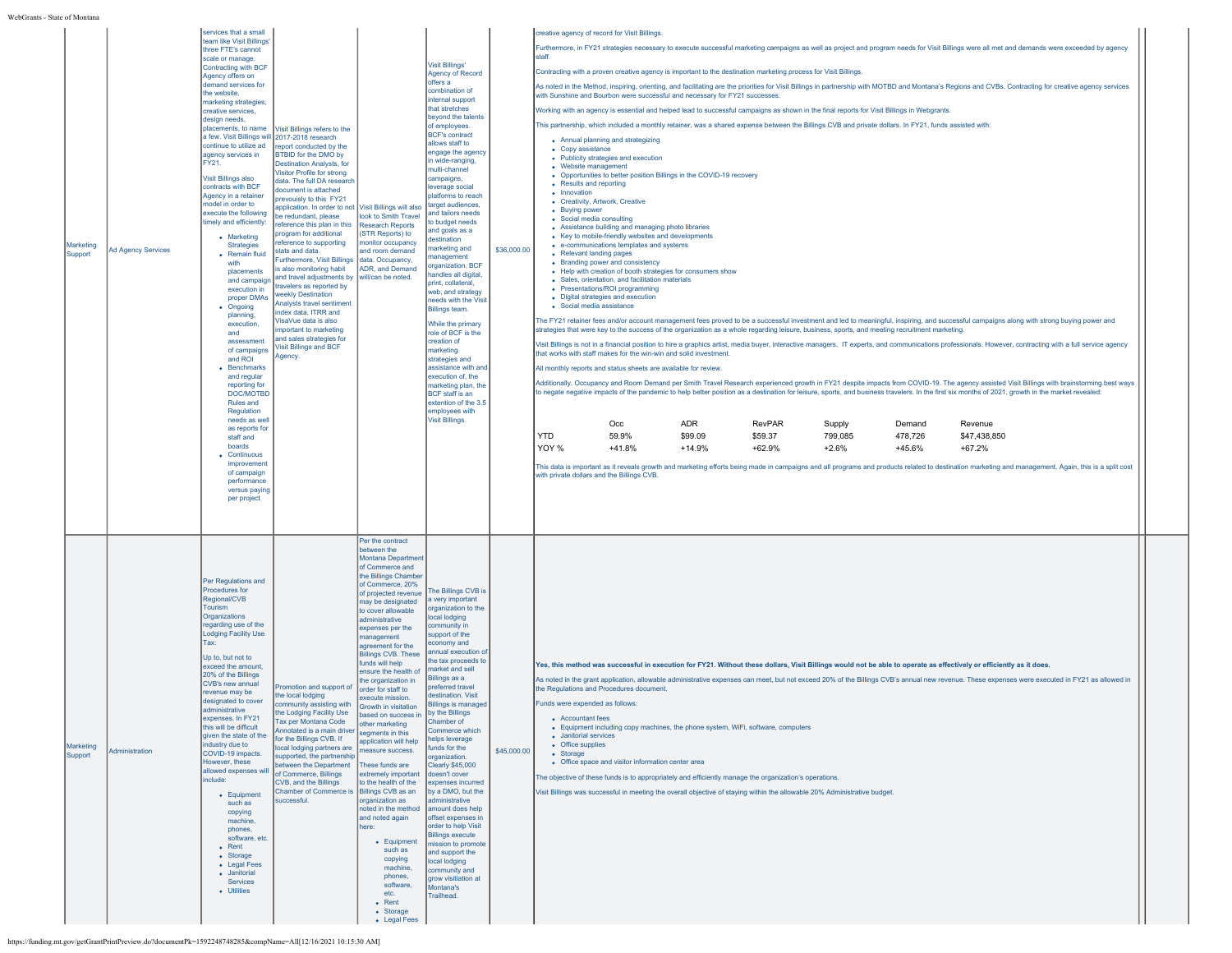| Marketing<br>Support | <b>Ad Agency Services</b> | services that a small<br>team like Visit Billings<br>three FTE's cannot<br>scale or manage<br>Contracting with BCF<br>Agency offers on<br>demand services for<br>the website,<br>marketing strategies,<br>creative services,<br>design needs<br>placements, to name<br>a few. Visit Billings will 2017-2018 research<br>continue to utilize ad<br>agency services in<br>FY21.<br>Visit Billings also<br>contracts with BCF<br>Agency in a retainer<br>model in order to<br>execute the following<br>timely and efficiently:<br>• Marketing<br><b>Strategies</b><br>• Remain fluid<br>with<br>placements<br>and campaign<br>execution in<br>proper DMAs<br>• Ongoing<br>planning,<br>execution.<br>and<br>assessment<br>of campaigns<br>and ROI<br>• Benchmarks<br>and regular<br>reporting for<br>DOC/MOTBD<br>Rules and<br>Regulation<br>needs as well<br>as reports for<br>staff and<br>boards<br>• Continuous<br>improvement<br>of campaign<br>performance<br>versus paying<br>per project | Visit Billings refers to the<br>eport conducted by the<br><b>BTBID</b> for the DMO by<br><b>Destination Analysts, for</b><br>Visitor Profile for strong<br>data. The full DA research<br>document is attached<br>prevouisly to this FY21<br>application. In order to not Visit Billings will also<br>e redundant, please<br>eference this plan in this<br>program for additional<br>eference to supporting<br>tats and data.<br>Furthermore, Visit Billings<br>s also monitoring habit<br>and travel adjustments by<br>travelers as reported by<br>veekly Destination<br>Analysts travel sentiment<br>dex data, ITRR and<br>'isaVue data is also<br>nportant to marketing<br>and sales strategies for<br>isit Billings and BCF<br>Agency. | look to Smith Travel<br><b>Research Reports</b><br>(STR Reports) to<br>monitor occupancy<br>and room demand<br>data. Occupancy,<br>ADR, and Demand<br>will/can be noted.                                                                                                                                                                                                                                                                                                                                                                                                                                                                                                                                                                                                                                                               | <b>Visit Billings'</b><br>Agency of Record<br>offers a<br>combination of<br>internal support<br>that stretches<br>beyond the talents<br>of employees.<br><b>BCF's contract</b><br>allows staff to<br>engage the agency<br>in wide-ranging,<br>multi-channel<br>campaigns,<br>leverage social<br>platforms to reach<br>target audiences,<br>and tailors needs<br>to budget needs<br>and goals as a<br>destination<br>narketing and<br>nanagement<br>organization. BCF<br>andles all digital.<br>print, collateral,<br>web, and strategy<br>needs with the Visit<br>Billings team.<br>While the primary<br>role of BCF is the<br>creation of<br>marketing<br>strategies and<br>assistance with and<br>execution of, the<br>marketing plan, the<br><b>BCF</b> staff is an<br>extention of the 3.5<br>employees with<br>Visit Billings. | \$36,000.00 | creative agency of record for Visit Billings<br>Furthermore, in FY21 strategies necessary to execute successful marketing campaigns as well as project and program needs for Visit Billings were all met and demands were exceeded by agency<br>staff.<br>Contracting with a proven creative agency is important to the destination marketing process for Visit Billings.<br>As noted in the Method, inspiring, orienting, and facilitating are the priorities for Visit Billings in partnership with MOTBD and Montana's Regions and CVBs. Contracting for creative agency services<br>with Sunshine and Bourbon were successful and necessary for FY21 successes.<br>Working with an agency is essential and helped lead to successful campaigns as shown in the final reports for Visit Billings in Webgrants.<br>This partnership, which included a monthly retainer, was a shared expense between the Billings CVB and private dollars. In FY21, funds assisted with:<br>• Annual planning and strategizing<br>• Copy assistance<br>• Publicity strategies and execution<br>• Website management<br>• Opportunities to better position Billings in the COVID-19 recovery<br>• Results and reporting<br>• Innovation<br>• Creativity, Artwork, Creative<br>• Buying power<br>• Social media consulting<br>• Assistance building and managing photo libraries<br>• Key to mobile-friendly websites and developments<br>• e-communications templates and systems<br>• Relevant landing pages<br>• Branding power and consistency<br>• Help with creation of booth strategies for consumers show<br>• Sales, orientation, and facilitation materials<br>• Presentations/ROI programming<br>• Digital strategies and execution<br>• Social media assistance<br>The FY21 retainer fees and/or account management fees proved to be a successful investment and led to meaningful, inspiring, and successful campaigns along with strong buying power and<br>strategies that were key to the success of the organization as a whole regarding leisure, business, sports, and meeting recruitment marketing.<br>Visit Billings is not in a financial position to hire a graphics artist, media buyer, interactive managers, IT experts, and communications professionals. However, contracting with a full service agency<br>that works with staff makes for the win-win and solid investment<br>All monthly reports and status sheets are available for review<br>Additionally, Occupancy and Room Demand per Smith Travel Research experienced growth in FY21 despite impacts from COVID-19. The agency assisted Visit Billings with brainstorming best ways<br>to negate negative impacts of the pandemic to help better position as a destination for leisure, sports, and business travelers. In the first six months of 2021, growth in the market revealed:<br><b>ADR</b><br>Occ<br>RevPAR<br>Supply<br>Demand<br>Revenue<br><b>YTD</b><br>59.9%<br>\$99.09<br>\$59.37<br>799,085<br>478,726<br>\$47,438,850<br>YOY %<br>$+41.8%$<br>$+14.9%$<br>$+62.9%$<br>$+2.6%$<br>+45.6%<br>$+67.2%$<br>This data is important as it reveals growth and marketing efforts being made in campaigns and all programs and products related to destination marketing and management. Again, this is a split cost<br>with private dollars and the Billings CVB |  |
|----------------------|---------------------------|-----------------------------------------------------------------------------------------------------------------------------------------------------------------------------------------------------------------------------------------------------------------------------------------------------------------------------------------------------------------------------------------------------------------------------------------------------------------------------------------------------------------------------------------------------------------------------------------------------------------------------------------------------------------------------------------------------------------------------------------------------------------------------------------------------------------------------------------------------------------------------------------------------------------------------------------------------------------------------------------------|-------------------------------------------------------------------------------------------------------------------------------------------------------------------------------------------------------------------------------------------------------------------------------------------------------------------------------------------------------------------------------------------------------------------------------------------------------------------------------------------------------------------------------------------------------------------------------------------------------------------------------------------------------------------------------------------------------------------------------------------|----------------------------------------------------------------------------------------------------------------------------------------------------------------------------------------------------------------------------------------------------------------------------------------------------------------------------------------------------------------------------------------------------------------------------------------------------------------------------------------------------------------------------------------------------------------------------------------------------------------------------------------------------------------------------------------------------------------------------------------------------------------------------------------------------------------------------------------|-------------------------------------------------------------------------------------------------------------------------------------------------------------------------------------------------------------------------------------------------------------------------------------------------------------------------------------------------------------------------------------------------------------------------------------------------------------------------------------------------------------------------------------------------------------------------------------------------------------------------------------------------------------------------------------------------------------------------------------------------------------------------------------------------------------------------------------|-------------|-----------------------------------------------------------------------------------------------------------------------------------------------------------------------------------------------------------------------------------------------------------------------------------------------------------------------------------------------------------------------------------------------------------------------------------------------------------------------------------------------------------------------------------------------------------------------------------------------------------------------------------------------------------------------------------------------------------------------------------------------------------------------------------------------------------------------------------------------------------------------------------------------------------------------------------------------------------------------------------------------------------------------------------------------------------------------------------------------------------------------------------------------------------------------------------------------------------------------------------------------------------------------------------------------------------------------------------------------------------------------------------------------------------------------------------------------------------------------------------------------------------------------------------------------------------------------------------------------------------------------------------------------------------------------------------------------------------------------------------------------------------------------------------------------------------------------------------------------------------------------------------------------------------------------------------------------------------------------------------------------------------------------------------------------------------------------------------------------------------------------------------------------------------------------------------------------------------------------------------------------------------------------------------------------------------------------------------------------------------------------------------------------------------------------------------------------------------------------------------------------------------------------------------------------------------------------------------------------------------------------------------------------------------------------------------------------------------------------------------------------------------------------------------------------------------------------------------------------------------------------------------------------------------------------------------------------------------------------------------------------------------------------------------------------------------------------------------------------------------------------------------------------------------------------------------------------------------------------------------------------------------------------------------------------------------------------------------------------------|--|
| Marketing<br>Support | Administration            | Per Regulations and<br>Procedures for<br>Regional/CVB<br>Tourism<br>Organizations<br>regarding use of the<br><b>Lodging Facility Use</b><br>Tax:<br>Up to, but not to<br>exceed the amount,<br>20% of the Billings<br>CVB's new annual<br>revenue may be<br>designated to cover<br>administrative<br>expenses. In FY21<br>this will be difficult<br>given the state of the<br>industry due to<br>COVID-19 impacts.<br>However, these<br>allowed expenses will<br>include:<br>• Equipment<br>such as<br>copying<br>machine,<br>phones.<br>software, etc.<br>$\bullet$ Rent<br>• Storage<br>• Legal Fees<br>• Janitorial<br>Services<br>• Utilities                                                                                                                                                                                                                                                                                                                                             | Promotion and support of<br>he local lodging<br>community assisting with<br>the Lodging Facility Use<br>ax per Montana Code<br>Annotated is a main driver<br>for the Billings CVB. If<br>ocal lodging partners are<br>upported, the partnership<br>between the Department<br>of Commerce, Billings<br>CVB, and the Billings<br>Chamber of Commerce is Billings CVB as an<br>successful.                                                                                                                                                                                                                                                                                                                                                   | Per the contract<br>between the<br>Montana Department<br>of Commerce and<br>the Billings Chamber<br>of Commerce, 20%<br>of projected revenue<br>may be designated<br>to cover allowable<br>administrative<br>expenses per the<br>nanagement<br>agreement for the<br><b>Billings CVB. These</b><br>funds will help<br>ensure the health of<br>the organization in<br>order for staff to<br>execute mission.<br>Growth in visitation<br>based on success in<br>other marketing<br>segments in this<br>application will help<br>neasure success.<br>These funds are<br>extremely important<br>to the health of the<br>organization as<br>noted in the method amount does help<br>and noted again<br>here:<br>• Equipment<br>such as<br>copying<br>machine.<br>phones,<br>software,<br>etc.<br>$\bullet$ Rent<br>• Storage<br>• Legal Fees | The Billings CVB is<br>a very important<br>organization to the<br>local lodging<br>community in<br>support of the<br>economy and<br>annual execution o<br>the tax proceeds to<br>market and sell<br>Billings as a<br>preferred travel<br>destination. Visit<br><b>Billings is managed</b><br>by the Billings<br>iamber of<br>Commerce which<br>helps leverage<br>funds for the<br>organization.<br>Clearly \$45,000<br>doesn't cover<br>expenses incurred<br>by a DMO, but the<br>administrative<br>offset expenses in<br>order to help Visit<br><b>Billings execute</b><br>nission to promote<br>and support the<br>local lodging<br>community and<br>grow visitiation at<br>Montana's<br>Trailhead.                                                                                                                               | \$45,000.00 | Yes, this method was successful in execution for FY21. Without these dollars, Visit Billings would not be able to operate as effectively or efficiently as it does.<br>As noted in the grant application, allowable administrative expenses can meet, but not exceed 20% of the Billings CVB's annual new revenue. These expenses were executed in FY21 as allowed in<br>the Regulations and Procedures document<br>Funds were expended as follows:<br>• Accountant fees<br>• Equipment including copy machines, the phone system, WiFi, software, computers<br>• Janitorial services<br>• Office supplies<br>• Storage<br>• Office space and visitor information center area<br>The objective of these funds is to appropriately and efficiently manage the organization's operations.<br>Visit Billings was successful in meeting the overall objective of staying within the allowable 20% Administrative budget.                                                                                                                                                                                                                                                                                                                                                                                                                                                                                                                                                                                                                                                                                                                                                                                                                                                                                                                                                                                                                                                                                                                                                                                                                                                                                                                                                                                                                                                                                                                                                                                                                                                                                                                                                                                                                                                                                                                                                                                                                                                                                                                                                                                                                                                                                                                                                                                                                                |  |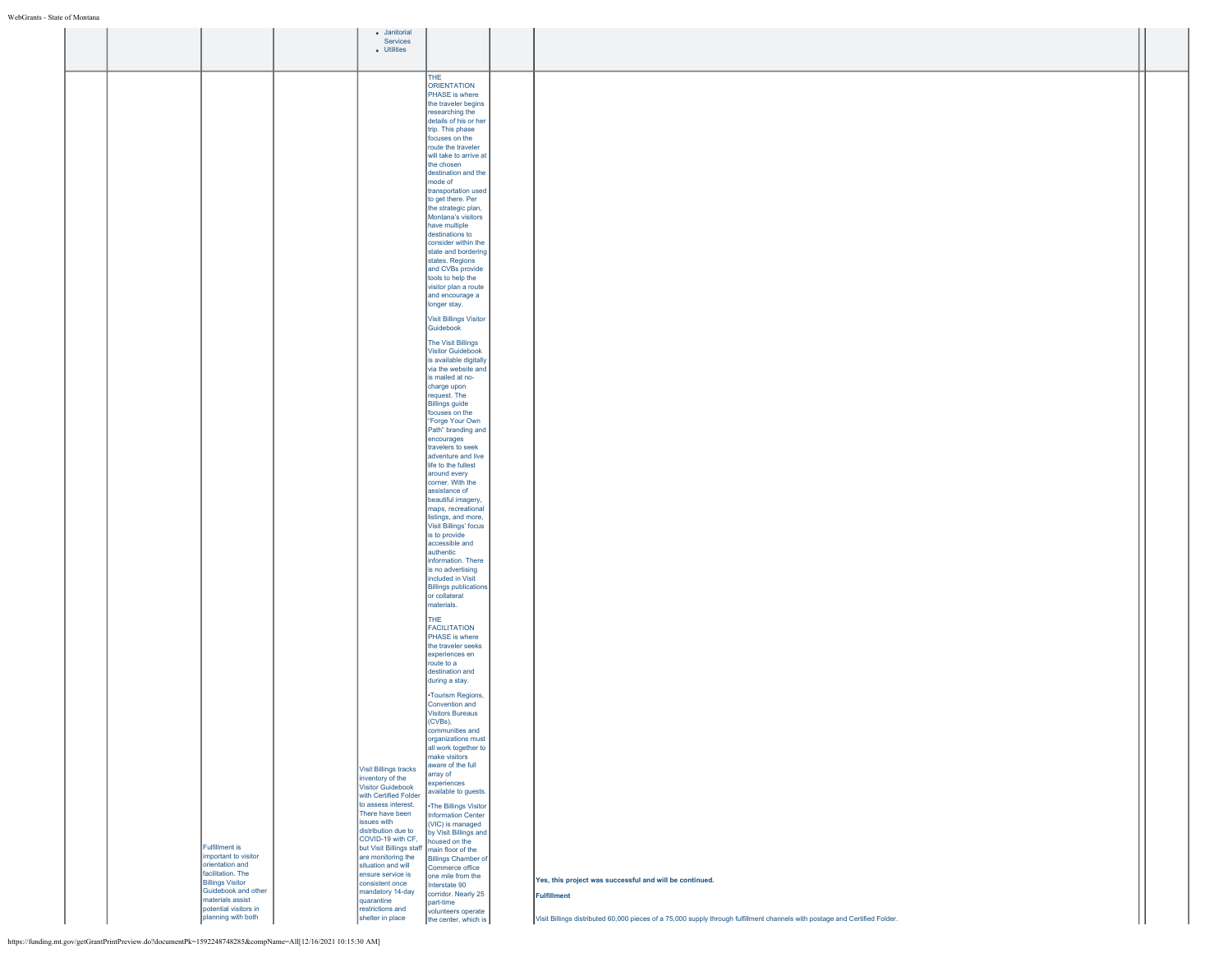|  |                                              | • Janitorial                                     |                                                 |                                                                                                                             |  |
|--|----------------------------------------------|--------------------------------------------------|-------------------------------------------------|-----------------------------------------------------------------------------------------------------------------------------|--|
|  |                                              | Services                                         |                                                 |                                                                                                                             |  |
|  |                                              | • Utilities                                      |                                                 |                                                                                                                             |  |
|  |                                              |                                                  |                                                 |                                                                                                                             |  |
|  |                                              |                                                  | THE                                             |                                                                                                                             |  |
|  |                                              |                                                  | <b>ORIENTATION</b><br>PHASE is where            |                                                                                                                             |  |
|  |                                              |                                                  | the traveler begins                             |                                                                                                                             |  |
|  |                                              |                                                  | researching the                                 |                                                                                                                             |  |
|  |                                              |                                                  | details of his or her                           |                                                                                                                             |  |
|  |                                              |                                                  | trip. This phase<br>focuses on the              |                                                                                                                             |  |
|  |                                              |                                                  | route the traveler                              |                                                                                                                             |  |
|  |                                              |                                                  | will take to arrive at                          |                                                                                                                             |  |
|  |                                              |                                                  | the chosen                                      |                                                                                                                             |  |
|  |                                              |                                                  | destination and the<br>mode of                  |                                                                                                                             |  |
|  |                                              |                                                  | transportation used                             |                                                                                                                             |  |
|  |                                              |                                                  | to get there. Per                               |                                                                                                                             |  |
|  |                                              |                                                  | the strategic plan,<br>Montana's visitors       |                                                                                                                             |  |
|  |                                              |                                                  | have multiple                                   |                                                                                                                             |  |
|  |                                              |                                                  | destinations to                                 |                                                                                                                             |  |
|  |                                              |                                                  | consider within the                             |                                                                                                                             |  |
|  |                                              |                                                  | state and bordering<br>states. Regions          |                                                                                                                             |  |
|  |                                              |                                                  | and CVBs provide                                |                                                                                                                             |  |
|  |                                              |                                                  | tools to help the                               |                                                                                                                             |  |
|  |                                              |                                                  | visitor plan a route<br>and encourage a         |                                                                                                                             |  |
|  |                                              |                                                  | longer stay.                                    |                                                                                                                             |  |
|  |                                              |                                                  | Visit Billings Visitor                          |                                                                                                                             |  |
|  |                                              |                                                  | Guidebook                                       |                                                                                                                             |  |
|  |                                              |                                                  |                                                 |                                                                                                                             |  |
|  |                                              |                                                  | The Visit Billings<br>Visitor Guidebook         |                                                                                                                             |  |
|  |                                              |                                                  | is available digitally                          |                                                                                                                             |  |
|  |                                              |                                                  | via the website and                             |                                                                                                                             |  |
|  |                                              |                                                  | is mailed at no-<br>charge upon                 |                                                                                                                             |  |
|  |                                              |                                                  | request. The                                    |                                                                                                                             |  |
|  |                                              |                                                  | <b>Billings guide</b>                           |                                                                                                                             |  |
|  |                                              |                                                  | focuses on the<br>"Forge Your Own               |                                                                                                                             |  |
|  |                                              |                                                  | Path" branding and                              |                                                                                                                             |  |
|  |                                              |                                                  | encourages                                      |                                                                                                                             |  |
|  |                                              |                                                  | travelers to seek<br>adventure and live         |                                                                                                                             |  |
|  |                                              |                                                  | life to the fullest                             |                                                                                                                             |  |
|  |                                              |                                                  | around every                                    |                                                                                                                             |  |
|  |                                              |                                                  | corner. With the<br>assistance of               |                                                                                                                             |  |
|  |                                              |                                                  | beautiful imagery,                              |                                                                                                                             |  |
|  |                                              |                                                  | maps, recreational                              |                                                                                                                             |  |
|  |                                              |                                                  | listings, and more,<br>Visit Billings' focus    |                                                                                                                             |  |
|  |                                              |                                                  | is to provide                                   |                                                                                                                             |  |
|  |                                              |                                                  | accessible and                                  |                                                                                                                             |  |
|  |                                              |                                                  | authentic<br>information. There                 |                                                                                                                             |  |
|  |                                              |                                                  | is no advertising                               |                                                                                                                             |  |
|  |                                              |                                                  | included in Visit                               |                                                                                                                             |  |
|  |                                              |                                                  | <b>Billings publications</b>                    |                                                                                                                             |  |
|  |                                              |                                                  | or collateral<br>materials.                     |                                                                                                                             |  |
|  |                                              |                                                  | THE                                             |                                                                                                                             |  |
|  |                                              |                                                  | <b>FACILITATION</b>                             |                                                                                                                             |  |
|  |                                              |                                                  | PHASE is where                                  |                                                                                                                             |  |
|  |                                              |                                                  | the traveler seeks                              |                                                                                                                             |  |
|  |                                              |                                                  | experiences en<br>route to a                    |                                                                                                                             |  |
|  |                                              |                                                  | destination and                                 |                                                                                                                             |  |
|  |                                              |                                                  | during a stay.                                  |                                                                                                                             |  |
|  |                                              |                                                  | •Tourism Regions,                               |                                                                                                                             |  |
|  |                                              |                                                  | Convention and                                  |                                                                                                                             |  |
|  |                                              |                                                  | <b>Visitors Bureaus</b><br>(CVBs),              |                                                                                                                             |  |
|  |                                              |                                                  | communities and                                 |                                                                                                                             |  |
|  |                                              |                                                  | organizations must                              |                                                                                                                             |  |
|  |                                              |                                                  | all work together to<br>make visitors           |                                                                                                                             |  |
|  |                                              |                                                  | aware of the full                               |                                                                                                                             |  |
|  |                                              | <b>Visit Billings tracks</b><br>inventory of the | array of                                        |                                                                                                                             |  |
|  |                                              | <b>Visitor Guidebook</b>                         | experiences<br>available to guests.             |                                                                                                                             |  |
|  |                                              | with Certified Folder                            |                                                 |                                                                                                                             |  |
|  |                                              | to assess interest.<br>There have been           | .The Billings Visitor                           |                                                                                                                             |  |
|  |                                              | issues with                                      | <b>Information Center</b><br>(VIC) is managed   |                                                                                                                             |  |
|  |                                              | distribution due to                              | by Visit Billings and                           |                                                                                                                             |  |
|  | <b>Fulfillment is</b>                        | COVID-19 with CF,<br>but Visit Billings staff    | housed on the                                   |                                                                                                                             |  |
|  | important to visitor                         | are monitoring the                               | main floor of the<br><b>Billings Chamber of</b> |                                                                                                                             |  |
|  | orientation and                              | situation and will                               | Commerce office                                 |                                                                                                                             |  |
|  | facilitation. The<br><b>Billings Visitor</b> | ensure service is<br>consistent once             | one mile from the<br>Interstate 90              | Yes, this project was successful and will be continued.                                                                     |  |
|  | Guidebook and other                          | mandatory 14-day                                 | corridor. Nearly 25                             | Fulfillment                                                                                                                 |  |
|  | materials assist                             | quarantine                                       | part-time                                       |                                                                                                                             |  |
|  | potential visitors in<br>planning with both  | restrictions and<br>shelter in place             | volunteers operate<br>the center, which is      | Visit Billings distributed 60,000 pieces of a 75,000 supply through fulfillment channels with postage and Certified Folder. |  |
|  |                                              |                                                  |                                                 |                                                                                                                             |  |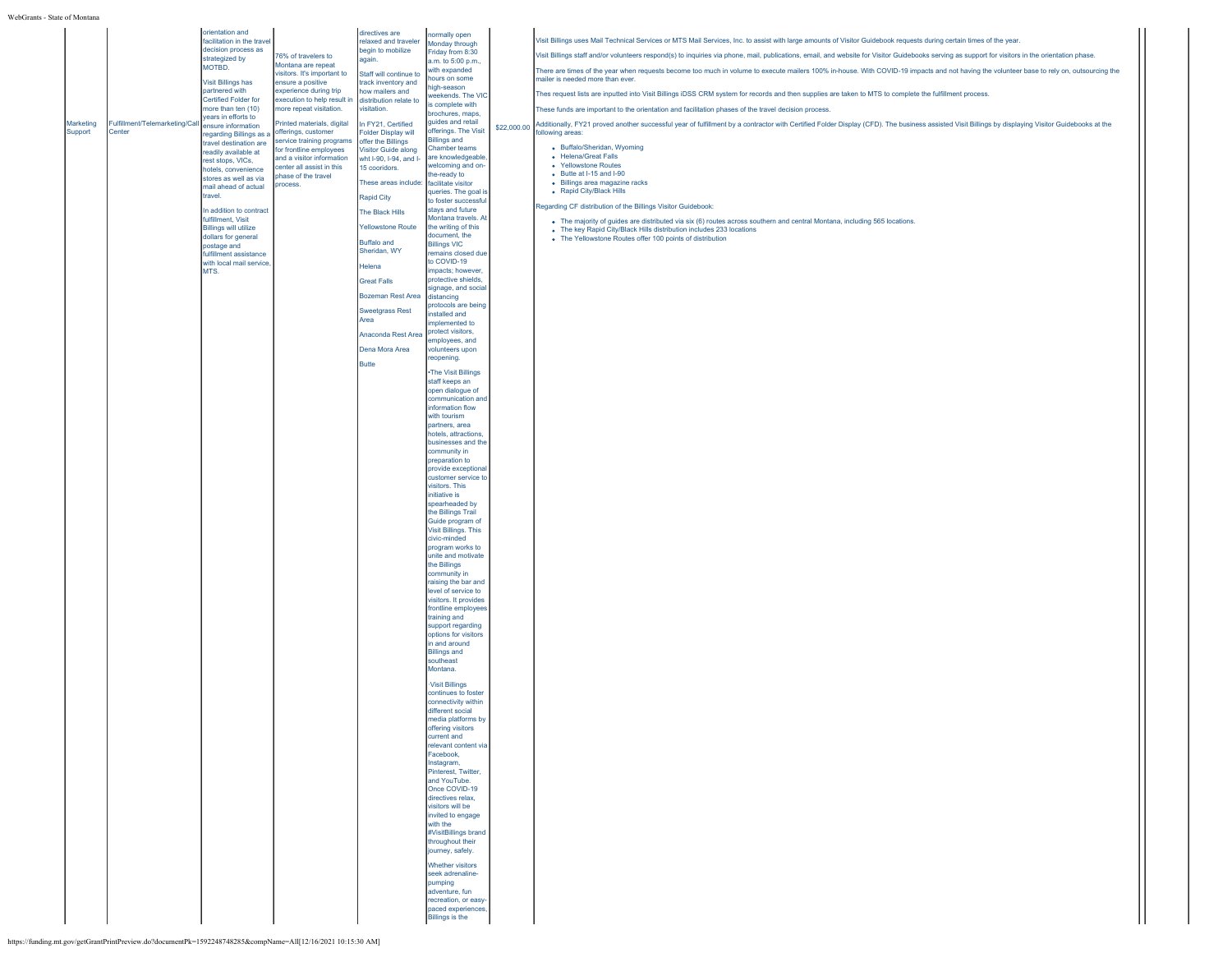|           |                                | orientation and                                     |                                                        | directives are                                   | normally open                                |             |                                                                                                                                                                                                    |
|-----------|--------------------------------|-----------------------------------------------------|--------------------------------------------------------|--------------------------------------------------|----------------------------------------------|-------------|----------------------------------------------------------------------------------------------------------------------------------------------------------------------------------------------------|
|           |                                | facilitation in the travel                          |                                                        | relaxed and traveler                             | Monday through                               |             | Visit Billings uses Mail Technical Services or MTS Mail Services, Inc. to assist with large amounts of Visitor Guidebook requests during certain times of the year.                                |
|           |                                | decision process as<br>strategized by               | 76% of travelers to                                    | begin to mobilize<br>again.                      | Friday from 8:30                             |             | Visit Billings staff and/or volunteers respond(s) to inquiries via phone, mail, publications, email, and website for Visitor Guidebooks serving as support for visitors in the orientation phase.  |
|           |                                | MOTBD.                                              | Montana are repeat                                     |                                                  | a.m. to 5:00 p.m.,<br>with expanded          |             | There are times of the year when requests become too much in volume to execute mailers 100% in-house. With COVID-19 impacts and not having the volunteer base to rely on, outsourcing the          |
|           |                                | <b>Visit Billings has</b>                           | visitors. It's important to<br>ensure a positive       | Staff will continue to<br>track inventory and    | hours on some                                |             | mailer is needed more than ever.                                                                                                                                                                   |
|           |                                | partnered with                                      | experience during trip                                 | how mailers and                                  | high-season<br>weekends. The VIC             |             | Thes request lists are inputted into Visit Billings iDSS CRM system for records and then supplies are taken to MTS to complete the fulfillment process.                                            |
|           |                                | Certified Folder for<br>more than ten (10)          | execution to help result in<br>nore repeat visitation. | distribution relate to                           | s complete with                              |             |                                                                                                                                                                                                    |
|           |                                | years in efforts to                                 |                                                        | visitation.                                      | brochures, maps,                             |             | These funds are important to the orientation and facilitation phases of the travel decision process.                                                                                               |
| Marketing | Fulfillment/Telemarketing/Call | ensure information                                  | Printed materials, digital                             | In FY21, Certified                               | quides and retail<br>offerings. The Visit    | \$22,000.00 | Additionally, FY21 proved another successful year of fulfillment by a contractor with Certified Folder Display (CFD). The business assisted Visit Billings by displaying Visitor Guidebooks at the |
| Support   | Center                         | regarding Billings as a<br>travel destination are   | offerings, customer<br>service training programs       | <b>Folder Display will</b><br>offer the Billings | <b>Billings and</b>                          |             | following areas:                                                                                                                                                                                   |
|           |                                | readily available at                                | for frontline employees                                | Visitor Guide along                              | Chamber teams                                |             | • Buffalo/Sheridan, Wyoming                                                                                                                                                                        |
|           |                                | rest stops, VICs,                                   | and a visitor information<br>center all assist in this | wht I-90, I-94, and I- are knowledgeable         | welcoming and on-                            |             | • Helena/Great Falls<br>• Yellowstone Routes                                                                                                                                                       |
|           |                                | hotels, convenience<br>stores as well as via        | phase of the travel                                    | 15 cooridors.                                    | the-ready to                                 |             | $\bullet$ Butte at I-15 and I-90                                                                                                                                                                   |
|           |                                | mail ahead of actual                                | process.                                               | These areas include: facilitate visitor          |                                              |             | · Billings area magazine racks                                                                                                                                                                     |
|           |                                | travel.                                             |                                                        | Rapid City                                       | queries. The goal is<br>to foster successful |             | • Rapid City/Black Hills                                                                                                                                                                           |
|           |                                | In addition to contract                             |                                                        | The Black Hills                                  | stays and future                             |             | Regarding CF distribution of the Billings Visitor Guidebook:                                                                                                                                       |
|           |                                | fulfillment, Visit                                  |                                                        |                                                  | Montana travels. A                           |             | . The majority of guides are distributed via six (6) routes across southern and central Montana, including 565 locations.                                                                          |
|           |                                | <b>Billings will utilize</b><br>dollars for general |                                                        | <b>Yellowstone Route</b>                         | the writing of this<br>document, the         |             | • The key Rapid City/Black Hills distribution includes 233 locations<br>• The Yellowstone Routes offer 100 points of distribution                                                                  |
|           |                                | postage and                                         |                                                        | <b>Buffalo and</b>                               | <b>Billings VIC</b>                          |             |                                                                                                                                                                                                    |
|           |                                | fulfillment assistance<br>with local mail service   |                                                        | Sheridan, WY                                     | remains closed due<br>to COVID-19            |             |                                                                                                                                                                                                    |
|           |                                | MTS.                                                |                                                        | Helena                                           | impacts; however,                            |             |                                                                                                                                                                                                    |
|           |                                |                                                     |                                                        | <b>Great Falls</b>                               | protective shields,                          |             |                                                                                                                                                                                                    |
|           |                                |                                                     |                                                        | <b>Bozeman Rest Area</b>                         | signage, and social<br>distancing            |             |                                                                                                                                                                                                    |
|           |                                |                                                     |                                                        |                                                  | protocols are being                          |             |                                                                                                                                                                                                    |
|           |                                |                                                     |                                                        | <b>Sweetgrass Rest</b><br>Area                   | installed and                                |             |                                                                                                                                                                                                    |
|           |                                |                                                     |                                                        | Anaconda Rest Area                               | implemented to<br>protect visitors,          |             |                                                                                                                                                                                                    |
|           |                                |                                                     |                                                        |                                                  | employees, and                               |             |                                                                                                                                                                                                    |
|           |                                |                                                     |                                                        | Dena Mora Area                                   | volunteers upon<br>reopening.                |             |                                                                                                                                                                                                    |
|           |                                |                                                     |                                                        | <b>Butte</b>                                     |                                              |             |                                                                                                                                                                                                    |
|           |                                |                                                     |                                                        |                                                  | •The Visit Billings<br>staff keeps an        |             |                                                                                                                                                                                                    |
|           |                                |                                                     |                                                        |                                                  | open dialogue of                             |             |                                                                                                                                                                                                    |
|           |                                |                                                     |                                                        |                                                  | communication an                             |             |                                                                                                                                                                                                    |
|           |                                |                                                     |                                                        |                                                  | information flow<br>with tourism             |             |                                                                                                                                                                                                    |
|           |                                |                                                     |                                                        |                                                  | partners, area                               |             |                                                                                                                                                                                                    |
|           |                                |                                                     |                                                        |                                                  | hotels, attractions,                         |             |                                                                                                                                                                                                    |
|           |                                |                                                     |                                                        |                                                  | businesses and the<br>community in           |             |                                                                                                                                                                                                    |
|           |                                |                                                     |                                                        |                                                  | preparation to                               |             |                                                                                                                                                                                                    |
|           |                                |                                                     |                                                        |                                                  | provide exceptiona                           |             |                                                                                                                                                                                                    |
|           |                                |                                                     |                                                        |                                                  | customer service t<br>visitors. This         |             |                                                                                                                                                                                                    |
|           |                                |                                                     |                                                        |                                                  | initiative is                                |             |                                                                                                                                                                                                    |
|           |                                |                                                     |                                                        |                                                  | spearheaded by<br>the Billings Trail         |             |                                                                                                                                                                                                    |
|           |                                |                                                     |                                                        |                                                  | Guide program of                             |             |                                                                                                                                                                                                    |
|           |                                |                                                     |                                                        |                                                  | <b>Visit Billings. This</b>                  |             |                                                                                                                                                                                                    |
|           |                                |                                                     |                                                        |                                                  | civic-minded<br>program works to             |             |                                                                                                                                                                                                    |
|           |                                |                                                     |                                                        |                                                  | unite and motivate                           |             |                                                                                                                                                                                                    |
|           |                                |                                                     |                                                        |                                                  | the Billings                                 |             |                                                                                                                                                                                                    |
|           |                                |                                                     |                                                        |                                                  | community in<br>raising the bar and          |             |                                                                                                                                                                                                    |
|           |                                |                                                     |                                                        |                                                  | level of service to                          |             |                                                                                                                                                                                                    |
|           |                                |                                                     |                                                        |                                                  | visitors. It provides<br>frontline employee  |             |                                                                                                                                                                                                    |
|           |                                |                                                     |                                                        |                                                  | training and                                 |             |                                                                                                                                                                                                    |
|           |                                |                                                     |                                                        |                                                  | support regarding                            |             |                                                                                                                                                                                                    |
|           |                                |                                                     |                                                        |                                                  | options for visitors<br>in and around        |             |                                                                                                                                                                                                    |
|           |                                |                                                     |                                                        |                                                  | <b>Billings and</b>                          |             |                                                                                                                                                                                                    |
|           |                                |                                                     |                                                        |                                                  | southeast<br>Montana.                        |             |                                                                                                                                                                                                    |
|           |                                |                                                     |                                                        |                                                  |                                              |             |                                                                                                                                                                                                    |
|           |                                |                                                     |                                                        |                                                  | <b>Visit Billings</b><br>continues to foster |             |                                                                                                                                                                                                    |
|           |                                |                                                     |                                                        |                                                  | connectivity within                          |             |                                                                                                                                                                                                    |
|           |                                |                                                     |                                                        |                                                  | different social                             |             |                                                                                                                                                                                                    |
|           |                                |                                                     |                                                        |                                                  | media platforms by<br>offering visitors      |             |                                                                                                                                                                                                    |
|           |                                |                                                     |                                                        |                                                  | current and                                  |             |                                                                                                                                                                                                    |
|           |                                |                                                     |                                                        |                                                  | relevant content via<br>Facebook,            |             |                                                                                                                                                                                                    |
|           |                                |                                                     |                                                        |                                                  | Instagram,                                   |             |                                                                                                                                                                                                    |
|           |                                |                                                     |                                                        |                                                  | Pinterest, Twitter,<br>and YouTube.          |             |                                                                                                                                                                                                    |
|           |                                |                                                     |                                                        |                                                  | Once COVID-19                                |             |                                                                                                                                                                                                    |
|           |                                |                                                     |                                                        |                                                  | directives relax,                            |             |                                                                                                                                                                                                    |
|           |                                |                                                     |                                                        |                                                  | visitors will be<br>invited to engage        |             |                                                                                                                                                                                                    |
|           |                                |                                                     |                                                        |                                                  | with the                                     |             |                                                                                                                                                                                                    |
|           |                                |                                                     |                                                        |                                                  | #VisitBillings brand                         |             |                                                                                                                                                                                                    |
|           |                                |                                                     |                                                        |                                                  | throughout their<br>journey, safely.         |             |                                                                                                                                                                                                    |
|           |                                |                                                     |                                                        |                                                  |                                              |             |                                                                                                                                                                                                    |
|           |                                |                                                     |                                                        |                                                  | Whether visitors<br>seek adrenaline-         |             |                                                                                                                                                                                                    |
|           |                                |                                                     |                                                        |                                                  | pumping                                      |             |                                                                                                                                                                                                    |
|           |                                |                                                     |                                                        |                                                  | adventure, fun<br>recreation, or easy-       |             |                                                                                                                                                                                                    |
|           |                                |                                                     |                                                        |                                                  | paced experiences,                           |             |                                                                                                                                                                                                    |
|           |                                |                                                     |                                                        |                                                  | Billings is the                              |             |                                                                                                                                                                                                    |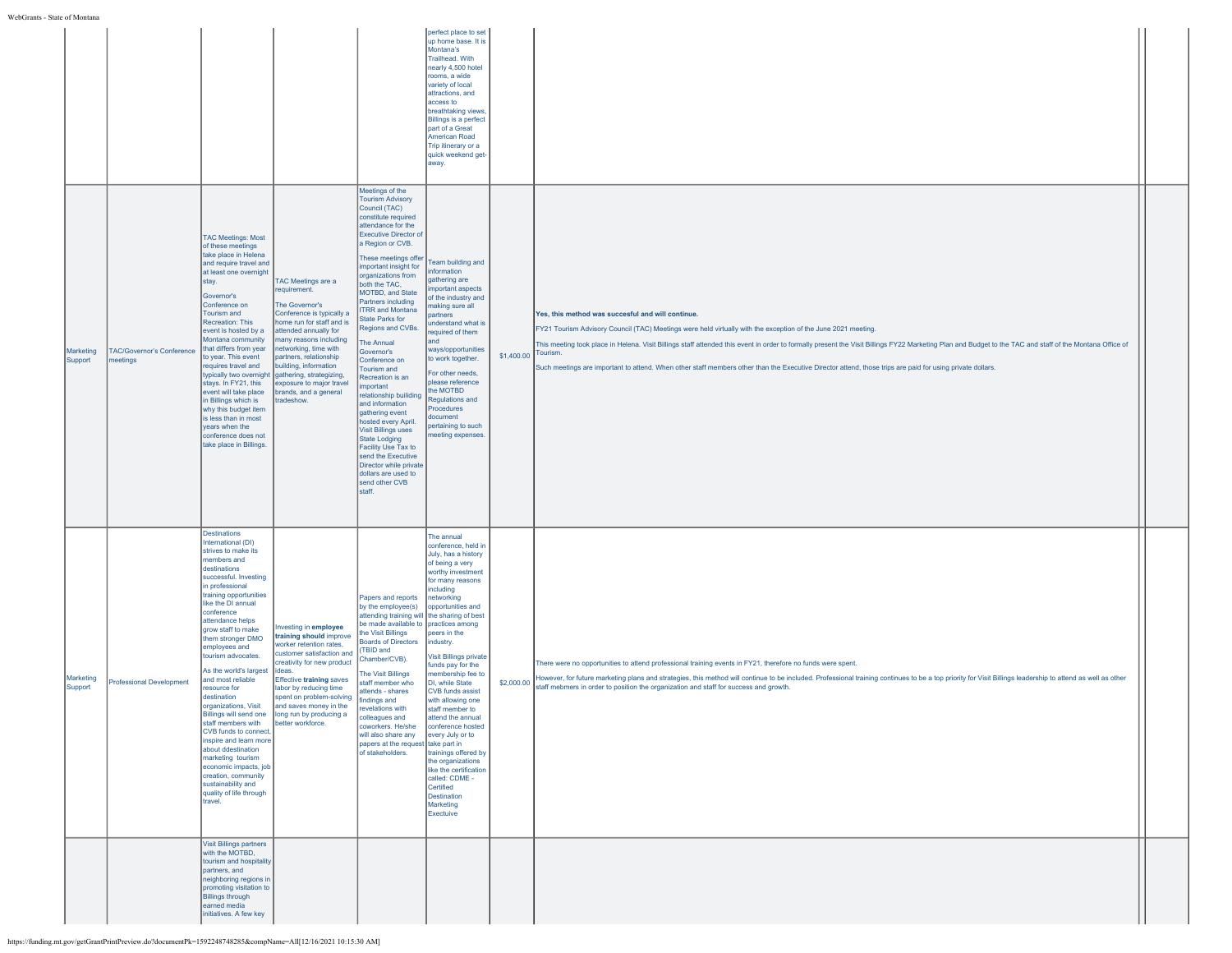|                      |                                              |                                                                                                                                                                                                                                                                                                                                                                                                                                                                                                                                                                                                                                                                          |                                                                                                                                                                                                                                                                                                                                                     |                                                                                                                                                                                                                                                                                                                                                                                                                                                                                                                                                                                                                                                                                                                                                     | perfect place to set<br>up home base. It is<br>Montana's<br>Trailhead. With<br>nearly 4,500 hotel<br>rooms, a wide<br>variety of local<br>attractions, and<br>access to<br>breathtaking views.<br><b>Billings is a perfect</b><br>part of a Great<br><b>American Road</b><br>Trip itinerary or a<br>quick weekend get-<br>away.                                                                                                                                                                                                                                                               |                     |                                                                                                                                                                                                                                                                                                                                                                                                                                                                                                                                             |  |
|----------------------|----------------------------------------------|--------------------------------------------------------------------------------------------------------------------------------------------------------------------------------------------------------------------------------------------------------------------------------------------------------------------------------------------------------------------------------------------------------------------------------------------------------------------------------------------------------------------------------------------------------------------------------------------------------------------------------------------------------------------------|-----------------------------------------------------------------------------------------------------------------------------------------------------------------------------------------------------------------------------------------------------------------------------------------------------------------------------------------------------|-----------------------------------------------------------------------------------------------------------------------------------------------------------------------------------------------------------------------------------------------------------------------------------------------------------------------------------------------------------------------------------------------------------------------------------------------------------------------------------------------------------------------------------------------------------------------------------------------------------------------------------------------------------------------------------------------------------------------------------------------------|-----------------------------------------------------------------------------------------------------------------------------------------------------------------------------------------------------------------------------------------------------------------------------------------------------------------------------------------------------------------------------------------------------------------------------------------------------------------------------------------------------------------------------------------------------------------------------------------------|---------------------|---------------------------------------------------------------------------------------------------------------------------------------------------------------------------------------------------------------------------------------------------------------------------------------------------------------------------------------------------------------------------------------------------------------------------------------------------------------------------------------------------------------------------------------------|--|
| Marketing<br>Support | <b>TAC/Governor's Conference</b><br>meetings | <b>TAC Meetings: Most</b><br>of these meetings<br>take place in Helena<br>and require travel and<br>at least one overnight<br>stay.<br>Governor's<br>Conference on<br>Tourism and<br>Recreation: This<br>event is hosted by a<br>Montana community<br>that differs from year<br>to year. This event<br>requires travel and<br>typically two overnight<br>stays. In FY21, this<br>event will take place<br>in Billings which is<br>why this budget item<br>is less than in most<br>years when the<br>conference does not<br>take place in Billings.                                                                                                                       | <b>TAC Meetings are a</b><br>requirement.<br>The Governor's<br>Conference is typically a<br>nome run for staff and is<br>attended annually for<br>nany reasons including<br>networking, time with<br>partners, relationship<br>building, information<br>gathering, strategizing,<br>exposure to major travel<br>brands, and a general<br>tradeshow. | Meetings of the<br><b>Tourism Advisory</b><br>Council (TAC)<br>constitute required<br>attendance for the<br><b>Executive Director of</b><br>a Region or CVB.<br>These meetings offer<br>important insight for<br>organizations from<br>both the TAC,<br>MOTBD, and State<br>Partners including<br><b>ITRR and Montana</b><br><b>State Parks for</b><br>Regions and CVBs.<br>The Annual<br>Governor's<br>Conference on<br>Tourism and<br>Recreation is an<br><i>important</i><br>relationship builiding<br>and information<br>gathering event<br>hosted every April.<br><b>Visit Billings uses</b><br><b>State Lodging</b><br>Facility Use Tax to<br>send the Executive<br>Director while private<br>dollars are used to<br>send other CVB<br>staff. | Team building and<br>information<br>athering are<br>nportant aspects<br>of the industry and<br>aking sure all<br>artners<br>inderstand what is<br>required of them<br>and<br>ways/opportunities<br>to work together.<br>For other needs,<br>blease reference<br>he MOTBD<br><b>Regulations and</b><br>Procedures<br>ocument<br>pertaining to such<br>neeting expenses.                                                                                                                                                                                                                        | \$1,400.00 Tourism. | Yes, this method was succesful and will continue.<br>FY21 Tourism Advisory Council (TAC) Meetings were held virtually with the exception of the June 2021 meeting.<br>This meeting took place in Helena. Visit Billings staff attended this event in order to formally present the Visit Billings FY22 Marketing Plan and Budget to the TAC and staff of the Montana Office of<br>Such meetings are important to attend. When other staff members other than the Executive Director attend, those trips are paid for using private dollars. |  |
| Marketing<br>Support | Professional Development                     | Destinations<br>International (DI)<br>strives to make its<br>nembers and<br>destinations<br>successful. Investing<br>in professional<br>training opportunities<br>like the DI annual<br>conference<br>attendance helps<br>grow staff to make<br>them stronger DMO<br>employees and<br>tourism advocates.<br>As the world's largest<br>and most reliable<br>resource for<br>destination<br>organizations, Visit<br>Billings will send one<br>staff members with<br>CVB funds to connect,<br>inspire and learn more<br>about ddestination<br>marketing tourism<br>economic impacts, job<br>creation, community<br>sustainability and<br>quality of life through<br>travel. | nvesting in employee<br>training should improve<br>worker retention rates,<br>ustomer satisfaction and<br>creativity for new product<br>ideas.<br><b>Effective training saves</b><br>labor by reducing time<br>spent on problem-solving<br>and saves money in the<br>long run by producing a<br>better workforce.                                   | Papers and reports<br>by the employee(s)<br>attending training will the sharing of best<br>be made available to practices among<br>the Visit Billings<br><b>Boards of Directors</b><br>(TBID and<br>Chamber/CVB).<br>The Visit Billings<br>staff member who<br>attends - shares<br>findings and<br>revelations with<br>hne zeuneallo<br>coworkers. He/she<br>will also share any<br>papers at the request take part in<br>of stakeholders.                                                                                                                                                                                                                                                                                                          | The annual<br>conference, held in<br>July, has a history<br>of being a very<br>worthy investment<br>for many reasons<br>including<br><b>networking</b><br>opportunities and<br>peers in the<br>industry.<br><b>Visit Billings private</b><br>funds pay for the<br>nembership fee to<br>DI, while State<br><b>CVB</b> funds assist<br>with allowing one<br>staff member to<br>attend the annual<br>conference hosted<br>every July or to<br>trainings offered by<br>the organizations<br>like the certification<br>called: CDME -<br>Certified<br><b>Destination</b><br>Marketing<br>Exectuive | \$2,000.00          | There were no opportunities to attend professional training events in FY21, therefore no funds were spent.<br>However, for future marketing plans and strategies, this method will continue to be included. Professional training continues to be a top priority for Visit Billings leadership to attend as well as other<br>staff mebmers in order to position the organization and staff for success and growth.                                                                                                                          |  |
|                      |                                              | Visit Billings partners<br>with the MOTBD.<br>tourism and hospitality<br>partners, and<br>neighboring regions in<br>promoting visitation to<br><b>Billings through</b><br>earned media<br>initiatives. A few key                                                                                                                                                                                                                                                                                                                                                                                                                                                         |                                                                                                                                                                                                                                                                                                                                                     |                                                                                                                                                                                                                                                                                                                                                                                                                                                                                                                                                                                                                                                                                                                                                     |                                                                                                                                                                                                                                                                                                                                                                                                                                                                                                                                                                                               |                     |                                                                                                                                                                                                                                                                                                                                                                                                                                                                                                                                             |  |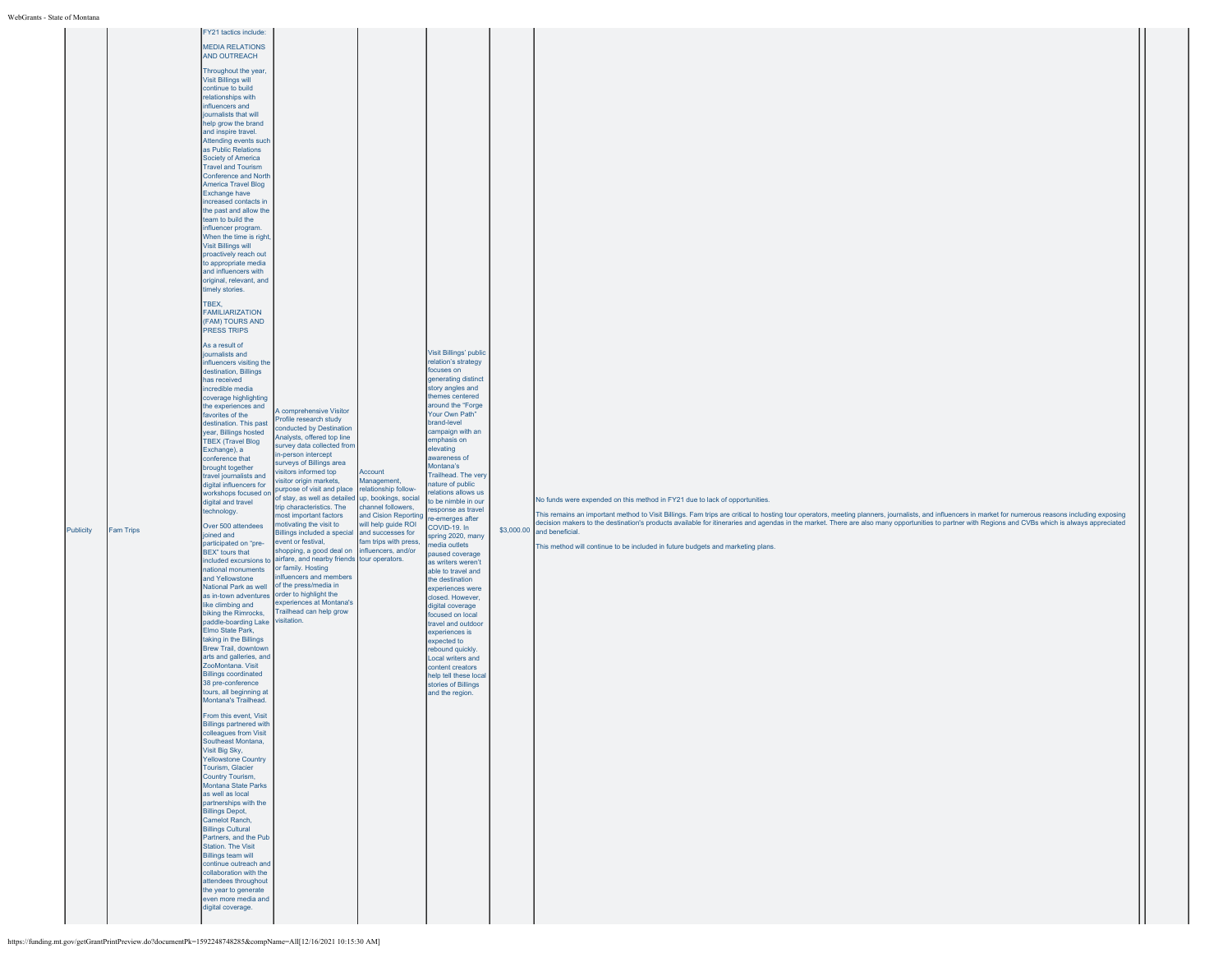| Publicity | <b>Fam Trips</b> | <b>MEDIA RELATIONS</b><br>AND OUTREACH<br>Throughout the year,<br><b>Visit Billings will</b><br>continue to build<br>relationships with<br>influencers and<br>journalists that will<br>help grow the brand<br>and inspire travel.<br>Attending events such<br>as Public Relations<br>Society of America<br><b>Travel and Tourism</b><br><b>Conference and North</b><br><b>America Travel Blog</b><br><b>Exchange have</b><br>increased contacts in<br>the past and allow the<br>team to build the<br>influencer program.<br>When the time is right,<br><b>Visit Billings will</b><br>proactively reach out<br>to appropriate media<br>and influencers with<br>original, relevant, and<br>timely stories.<br>TBEX,<br><b>FAMILIARIZATION</b><br>(FAM) TOURS AND<br>PRESS TRIPS<br>As a result of<br>journalists and<br>influencers visiting the<br>destination, Billings<br>has received<br>incredible media<br>coverage highlighting<br>the experiences and<br>favorites of the<br>destination. This past<br>year, Billings hosted<br><b>TBEX (Travel Blog</b><br>Exchange), a<br>conference that<br>brought together<br>travel journalists and<br>digital influencers for<br>workshops focused on<br>digital and travel<br>technology.<br>Over 500 attendees<br>joined and<br>participated on "pre-<br>BEX" tours that<br>included excursions to<br>national monuments<br>and Yellowstone<br>National Park as well<br>like climbing and<br>biking the Rimrocks,<br>paddle-boarding Lake<br>Elmo State Park,<br>taking in the Billings<br>Brew Trail, downtown<br>arts and galleries, and<br>ZooMontana. Visit<br><b>Billings coordinated</b><br>38 pre-conference<br>tours, all beginning at<br>Montana's Trailhead.<br>From this event, Visit<br><b>Billings partnered with</b><br>colleagues from Visit<br>Southeast Montana,<br>Visit Big Sky,<br><b>Yellowstone Country</b><br>Tourism, Glacier<br>Country Tourism,<br>Montana State Parks<br>as well as local<br>partnerships with the<br><b>Billings Depot,</b><br>Camelot Ranch,<br><b>Billings Cultural</b><br>Partners, and the Pub<br>Station. The Visit<br><b>Billings team will</b><br>continue outreach and<br>collaboration with the<br>attendees throughout<br>the year to generate<br>even more media and<br>digital coverage. | A comprehensive Visitor<br>Profile research study<br>conducted by Destination<br>Analysts, offered top line<br>survey data collected from<br>in-person intercept<br>surveys of Billings area<br>isitors informed top<br>isitor origin markets,<br>purpose of visit and place<br>of stay, as well as detailed<br>rip characteristics. The<br>nost important factors<br>motivating the visit to<br>Billings included a special and successes for<br>event or festival,<br>shopping, a good deal on<br>airfare, and nearby friends tour operators.<br>or family. Hosting<br>nlfuencers and members<br>of the press/media in<br>as in-town adventures order to highlight the<br>experiences at Montana's<br>Trailhead can help grow<br>visitation. | Account<br>Management,<br>relationship follow-<br>up, bookings, social<br>channel followers,<br>and Cision Reporting<br>will help guide ROI<br>fam trips with press,<br>influencers, and/or | <b>Visit Billings' public</b><br>relation's strategy<br>focuses on<br>generating distinct<br>story angles and<br>themes centered<br>around the "Forge<br>Your Own Path"<br>brand-level<br>campaign with an<br>emphasis on<br>elevating<br>awareness of<br>Montana's<br>Trailhead. The very<br>nature of public<br>relations allows us<br>to be nimble in our<br>response as travel<br>re-emerges after<br>COVID-19. In<br>spring 2020, many<br>media outlets<br>paused coverage<br>as writers weren't<br>able to travel and<br>the destination<br>experiences were<br>closed. However,<br>digital coverage<br>focused on local<br>travel and outdoor<br>experiences is<br>expected to<br>rebound quickly.<br>Local writers and<br>content creators<br>help tell these local<br>stories of Billings<br>and the region. |  | No funds were expended on this method in FY21 due to lack of opportunities.<br>This remains an important method to Visit Billings. Fam trips are critical to hosting tour operators, meeting planners, journalists, and influencers in market for numerous reasons including exposing<br>decision makers to the destination's products available for itineraries and agendas in the market. There are also many opportunities to partner with Regions and CVBs which is always appreciated<br>\$3,000.00 and beneficial.<br>This method will continue to be included in future budgets and marketing plans. |  |
|-----------|------------------|-------------------------------------------------------------------------------------------------------------------------------------------------------------------------------------------------------------------------------------------------------------------------------------------------------------------------------------------------------------------------------------------------------------------------------------------------------------------------------------------------------------------------------------------------------------------------------------------------------------------------------------------------------------------------------------------------------------------------------------------------------------------------------------------------------------------------------------------------------------------------------------------------------------------------------------------------------------------------------------------------------------------------------------------------------------------------------------------------------------------------------------------------------------------------------------------------------------------------------------------------------------------------------------------------------------------------------------------------------------------------------------------------------------------------------------------------------------------------------------------------------------------------------------------------------------------------------------------------------------------------------------------------------------------------------------------------------------------------------------------------------------------------------------------------------------------------------------------------------------------------------------------------------------------------------------------------------------------------------------------------------------------------------------------------------------------------------------------------------------------------------------------------------------------------------------------------------------------------------------------------------------------------------------------------|------------------------------------------------------------------------------------------------------------------------------------------------------------------------------------------------------------------------------------------------------------------------------------------------------------------------------------------------------------------------------------------------------------------------------------------------------------------------------------------------------------------------------------------------------------------------------------------------------------------------------------------------------------------------------------------------------------------------------------------------|---------------------------------------------------------------------------------------------------------------------------------------------------------------------------------------------|-----------------------------------------------------------------------------------------------------------------------------------------------------------------------------------------------------------------------------------------------------------------------------------------------------------------------------------------------------------------------------------------------------------------------------------------------------------------------------------------------------------------------------------------------------------------------------------------------------------------------------------------------------------------------------------------------------------------------------------------------------------------------------------------------------------------------|--|-------------------------------------------------------------------------------------------------------------------------------------------------------------------------------------------------------------------------------------------------------------------------------------------------------------------------------------------------------------------------------------------------------------------------------------------------------------------------------------------------------------------------------------------------------------------------------------------------------------|--|
|-----------|------------------|-------------------------------------------------------------------------------------------------------------------------------------------------------------------------------------------------------------------------------------------------------------------------------------------------------------------------------------------------------------------------------------------------------------------------------------------------------------------------------------------------------------------------------------------------------------------------------------------------------------------------------------------------------------------------------------------------------------------------------------------------------------------------------------------------------------------------------------------------------------------------------------------------------------------------------------------------------------------------------------------------------------------------------------------------------------------------------------------------------------------------------------------------------------------------------------------------------------------------------------------------------------------------------------------------------------------------------------------------------------------------------------------------------------------------------------------------------------------------------------------------------------------------------------------------------------------------------------------------------------------------------------------------------------------------------------------------------------------------------------------------------------------------------------------------------------------------------------------------------------------------------------------------------------------------------------------------------------------------------------------------------------------------------------------------------------------------------------------------------------------------------------------------------------------------------------------------------------------------------------------------------------------------------------------------|------------------------------------------------------------------------------------------------------------------------------------------------------------------------------------------------------------------------------------------------------------------------------------------------------------------------------------------------------------------------------------------------------------------------------------------------------------------------------------------------------------------------------------------------------------------------------------------------------------------------------------------------------------------------------------------------------------------------------------------------|---------------------------------------------------------------------------------------------------------------------------------------------------------------------------------------------|-----------------------------------------------------------------------------------------------------------------------------------------------------------------------------------------------------------------------------------------------------------------------------------------------------------------------------------------------------------------------------------------------------------------------------------------------------------------------------------------------------------------------------------------------------------------------------------------------------------------------------------------------------------------------------------------------------------------------------------------------------------------------------------------------------------------------|--|-------------------------------------------------------------------------------------------------------------------------------------------------------------------------------------------------------------------------------------------------------------------------------------------------------------------------------------------------------------------------------------------------------------------------------------------------------------------------------------------------------------------------------------------------------------------------------------------------------------|--|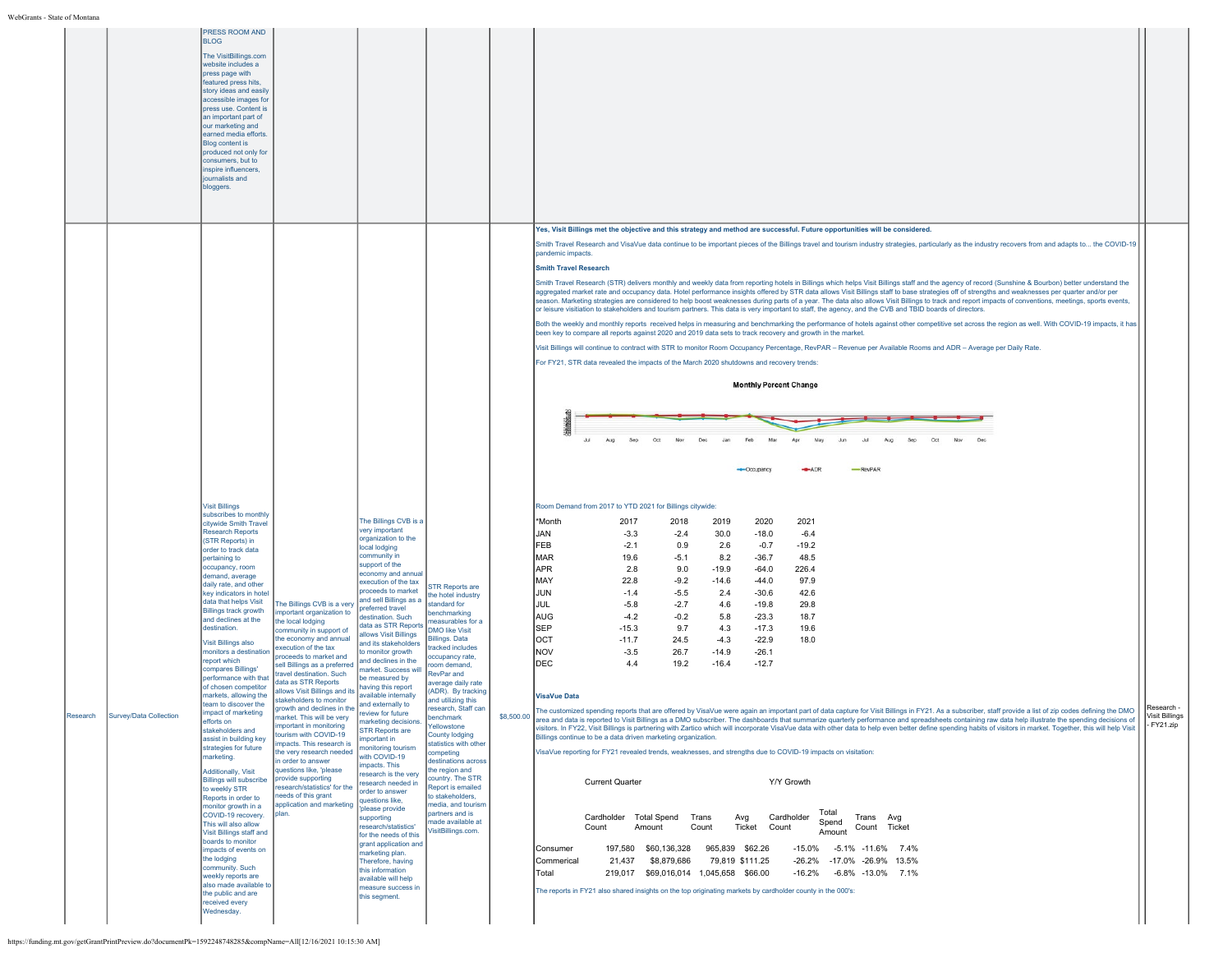|                                    | PRESS ROOM AND<br><b>BLOG</b><br>The VisitBillings.com<br>website includes a<br>press page with<br>featured press hits,<br>story ideas and easily<br>accessible images for<br>press use. Content is<br>an important part of<br>our marketing and<br>earned media efforts.<br>Blog content is<br>produced not only for<br>consumers, but to<br>nspire influencers,<br>journalists and<br>bloggers.                                                                                                                                                                                                                                                                                                                                                                                                                                                                                                                                                                                                                                                                                                                                                                                                                                                                                                                                                                                                                                                                                                                                                                                                                                                                                      |                                                                                                                                                                                                                                                                                                                                                                                                                                                                                                                                                                                                                                                                                                                                                                                                                                                                                                                                                                                                                                                                                                                                                                                                                                                                                                                                                                                                                                                                                                                    |                                                                                                                                                                                                                                                                                                                                                                                                                                                                                                                                                                                                                                                                                                                                                                                                                                                                                                                                                                                                                                                                                                                                                                                                                                                                                                                                                                                                                                                                                                                                                                                                                                                                                                                                                                                                                                                                                                                                                                                                                                                                                                                                                                                    |  |
|------------------------------------|----------------------------------------------------------------------------------------------------------------------------------------------------------------------------------------------------------------------------------------------------------------------------------------------------------------------------------------------------------------------------------------------------------------------------------------------------------------------------------------------------------------------------------------------------------------------------------------------------------------------------------------------------------------------------------------------------------------------------------------------------------------------------------------------------------------------------------------------------------------------------------------------------------------------------------------------------------------------------------------------------------------------------------------------------------------------------------------------------------------------------------------------------------------------------------------------------------------------------------------------------------------------------------------------------------------------------------------------------------------------------------------------------------------------------------------------------------------------------------------------------------------------------------------------------------------------------------------------------------------------------------------------------------------------------------------|--------------------------------------------------------------------------------------------------------------------------------------------------------------------------------------------------------------------------------------------------------------------------------------------------------------------------------------------------------------------------------------------------------------------------------------------------------------------------------------------------------------------------------------------------------------------------------------------------------------------------------------------------------------------------------------------------------------------------------------------------------------------------------------------------------------------------------------------------------------------------------------------------------------------------------------------------------------------------------------------------------------------------------------------------------------------------------------------------------------------------------------------------------------------------------------------------------------------------------------------------------------------------------------------------------------------------------------------------------------------------------------------------------------------------------------------------------------------------------------------------------------------|------------------------------------------------------------------------------------------------------------------------------------------------------------------------------------------------------------------------------------------------------------------------------------------------------------------------------------------------------------------------------------------------------------------------------------------------------------------------------------------------------------------------------------------------------------------------------------------------------------------------------------------------------------------------------------------------------------------------------------------------------------------------------------------------------------------------------------------------------------------------------------------------------------------------------------------------------------------------------------------------------------------------------------------------------------------------------------------------------------------------------------------------------------------------------------------------------------------------------------------------------------------------------------------------------------------------------------------------------------------------------------------------------------------------------------------------------------------------------------------------------------------------------------------------------------------------------------------------------------------------------------------------------------------------------------------------------------------------------------------------------------------------------------------------------------------------------------------------------------------------------------------------------------------------------------------------------------------------------------------------------------------------------------------------------------------------------------------------------------------------------------------------------------------------------------|--|
|                                    |                                                                                                                                                                                                                                                                                                                                                                                                                                                                                                                                                                                                                                                                                                                                                                                                                                                                                                                                                                                                                                                                                                                                                                                                                                                                                                                                                                                                                                                                                                                                                                                                                                                                                        |                                                                                                                                                                                                                                                                                                                                                                                                                                                                                                                                                                                                                                                                                                                                                                                                                                                                                                                                                                                                                                                                                                                                                                                                                                                                                                                                                                                                                                                                                                                    | Yes, Visit Billings met the objective and this strategy and method are successful. Future opportunities will be considered.<br>Smith Travel Research and VisaVue data continue to be important pieces of the Billings travel and tourism industry strategies, particularly as the industry recovers from and adapts to the COVID-19<br>pandemic impacts<br><b>Smith Travel Research</b><br>Smith Travel Research (STR) delivers monthly and weekly data from reporting hotels in Billings which helps Visit Billings staff and the agency of record (Sunshine & Bourbon) better understand the<br>aggregated market rate and occupancy data. Hotel performance insights offered by STR data allows Visit Billings staff to base strategies off of strengths and weaknesses per quarter and/or per<br>season. Marketing strategies are considered to help boost weaknesses during parts of a year. The data also allows Visit Billings to track and report impacts of conventions, meetings, sports events,<br>or leisure visitiation to stakeholders and tourism partners. This data is very important to staff, the agency, and the CVB and TBID boards of directors.<br>Both the weekly and monthly reports received helps in measuring and benchmarking the performance of hotels against other competitive set across the region as well. With COVID-19 impacts, it has<br>been key to compare all reports against 2020 and 2019 data sets to track recovery and growth in the market.<br>Visit Billings will continue to contract with STR to monitor Room Occupancy Percentage, RevPAR - Revenue per Available Rooms and ADR - Average per Daily Rate.<br>For FY21, STR data revealed the impacts of the March 2020 shutdowns and recovery trends:<br><b>Monthly Percent Change</b>                                                                                                                                                                                                                                                                                                                                                                                          |  |
| Research<br>Survey/Data Collection | <b>Visit Billings</b><br>subscribes to monthly<br>citywide Smith Travel<br><b>Research Reports</b><br>(STR Reports) in<br>order to track data<br>pertaining to<br>occupancy, room<br>demand, average<br>daily rate, and other<br>key indicators in hotel<br>data that helps Visit<br>The Billings CVB is a very<br><b>Billings track growth</b><br>mportant organization to<br>and declines at the<br>the local lodging<br>destination.<br>community in support of<br>the economy and annual<br>Visit Billings also<br>execution of the tax<br>monitors a destination<br>roceeds to market and<br>report which<br>sell Billings as a preferred<br>compares Billings'<br>ravel destination. Such<br>performance with that<br>data as STR Reports<br>of chosen competitor<br>allows Visit Billings and its<br>markets, allowing the<br>stakeholders to monitor<br>team to discover the<br>growth and declines in the<br>mpact of marketing<br>market. This will be very<br>fforts on<br>important in monitoring<br>stakeholders and<br>tourism with COVID-19<br>assist in building key<br>impacts. This research is<br>strategies for future<br>the very research needed<br>marketing.<br>in order to answer<br>questions like, 'please<br>Additionally, Visit<br>provide supporting<br><b>Billings will subscribe</b><br>esearch/statistics' for the<br>to weekly STR<br>eeds of this grant<br>Reports in order to<br>application and marketing<br>monitor growth in a<br>plan.<br>COVID-19 recovery.<br>This will also allow<br>Visit Billings staff and<br>boards to monitor<br>mpacts of events on<br>the lodging<br>community. Such<br>weekly reports are<br>also made available to | The Billings CVB is a<br>very important<br>organization to the<br>local lodging<br>community in<br>support of the<br>economy and annual<br>execution of the tax<br>TR Reports are<br>proceeds to market<br>the hotel industry<br>and sell Billings as a<br>standard for<br>referred travel<br>enchmarking<br>lestination. Such<br>easurables for a<br>data as STR Reports<br><b>DMO like Visit</b><br>allows Visit Billings<br>illings. Data<br>and its stakeholders<br>racked includes<br>o monitor growth<br>coupancy rate.<br>and declines in the<br>bom demand,<br>narket. Success will<br>RevPar and<br>be measured by<br>verage daily rate<br>having this report<br>(ADR). By tracking<br>available internally<br>and utilizing this<br>and externally to<br>research, Staff can<br>review for future<br>henchmark<br>iarketing decision<br>ellowstone<br><b>STR Reports are</b><br>County lodging<br>mportant in<br>statistics with other<br>nonitoring tourism<br>ompeting<br>with COVID-19<br>destinations across<br>mpacts. This<br>the region and<br>esearch is the very<br>country. The STR<br>esearch needed in<br>Report is emailed<br>order to answer<br>to stakeholders.<br>questions like,<br>hedia, and tourism<br>please provide<br>partners and is<br>supporting<br>nade available at<br>research/statistics'<br>'isitBillings.com.<br>for the needs of this<br>grant application and<br>marketing plan.<br>Therefore, having<br>this information<br>available will help<br>measure success in | Ap<br>Jul<br>-RevPAR<br>$-ADR$<br>-Occupancy<br>Room Demand from 2017 to YTD 2021 for Billings citywide:<br>*Month<br>2021<br>2017<br>2018<br>2019<br>2020<br>JAN<br>$-3.3$<br>$-2.4$<br>30.0<br>$-18.0$<br>$-6.4$<br>FEB<br>$-2.1$<br>0.9<br>2.6<br>$-0.7$<br>$-19.2$<br>MAR<br>19.6<br>$-5.1$<br>8.2<br>$-36.7$<br>48.5<br>APR<br>2.8<br>$-19.9$<br>226.4<br>9.0<br>-64.0<br>MAY<br>22.8<br>$-9.2$<br>$-14.6$<br>$-44.0$<br>97.9<br>JUN<br>$-1.4$<br>$-5.5$<br>2.4<br>$-30.6$<br>42.6<br>JUL<br>$-5.8$<br>$-2.7$<br>4.6<br>$-19.8$<br>29.8<br>AUG<br>$-4.2$<br>$-0.2$<br>5.8<br>$-23.3$<br>18.7<br>SEP<br>$-15.3$<br>9.7<br>4.3<br>$-17.3$<br>19.6<br>OCT<br>$-11.7$<br>24.5<br>$-4.3$<br>$-22.9$<br>18.0<br>NOV<br>$-3.5$<br>26.7<br>$-14.9$<br>$-26.1$<br>DEC<br>4.4<br>19.2<br>$-16.4$<br>$-12.7$<br><b>VisaVue Data</b><br>l Research -<br>The customized spending reports that are offered by VisaVue were again an important part of data capture for Visit Billings in FY21. As a subscriber, staff provide a list of zip codes defining the DMO<br>\$8,500.00<br><b>Visit Billings</b><br>ea and data is reported to Visit Billings as a DMO subscriber. The dashboards that sum<br>data help illustrate the spending de<br>narize quarterly performance and sprea<br>- FY21.zip<br>visitors. In FY22, Visit Billings is partnering with Zartico which will incorporate VisaVue data with other data to help even better define spending habits of visitors in market. Together, this will help Visit<br>Billings continue to be a data driven marketing organization.<br>VisaVue reporting for FY21 revealed trends, weaknesses, and strengths due to COVID-19 impacts on visitation:<br>Y/Y Growth<br><b>Current Quarter</b><br>Total<br>Cardholder<br>Trans Avg<br>Cardholder Total Spend Trans<br>Avg<br>Spend<br>Count<br>Count<br>Ticket<br>Count<br>Count Ticket<br>Amount<br>Amount<br>Consumer<br>197,580<br>\$60,136,328<br>965,839 \$62.26<br>$-15.0%$<br>-5.1% -11.6% 7.4%<br>13.5%<br>Commerical<br>21,437<br>\$8,879,686<br>79,819 \$111.25<br>-26.2%<br>-17.0% -26.9%<br>Total<br>219,017 \$69,016,014 1,045,658 \$66.00<br>$-16.2%$<br>-6.8% -13.0% 7.1% |  |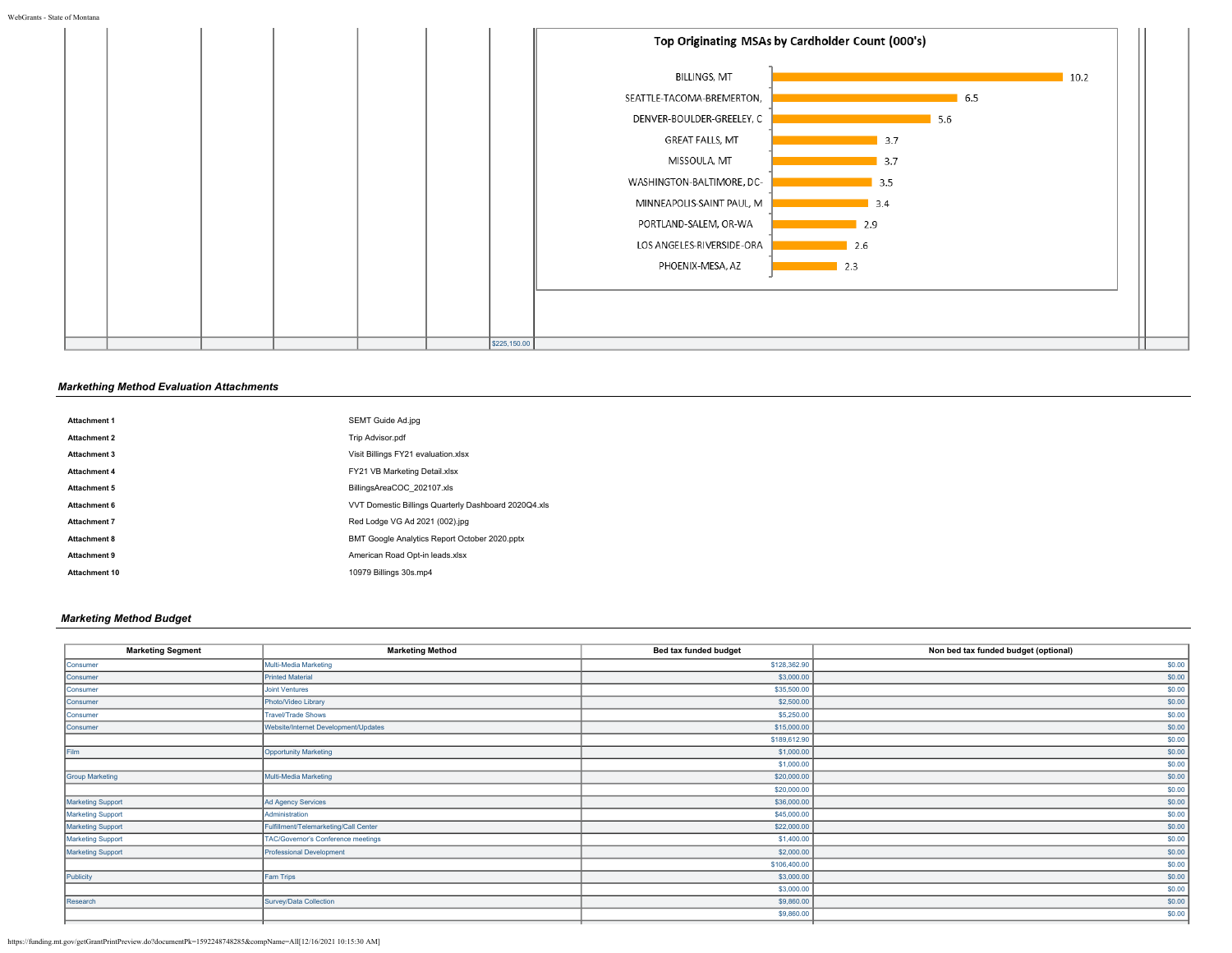

# *Markething Method Evaluation Attachments*

| <b>Attachment 1</b>  | SEMT Guide Ad.jpg                                    |
|----------------------|------------------------------------------------------|
| <b>Attachment 2</b>  | Trip Advisor.pdf                                     |
| Attachment 3         | Visit Billings FY21 evaluation.xlsx                  |
| <b>Attachment 4</b>  | FY21 VB Marketing Detail.xlsx                        |
| <b>Attachment 5</b>  | BillingsAreaCOC 202107.xls                           |
| Attachment 6         | VVT Domestic Billings Quarterly Dashboard 2020Q4.xls |
| <b>Attachment 7</b>  | Red Lodge VG Ad 2021 (002).jpg                       |
| Attachment 8         | BMT Google Analytics Report October 2020.pptx        |
| Attachment 9         | American Road Opt-in leads.xlsx                      |
| <b>Attachment 10</b> | 10979 Billings 30s.mp4                               |

# *Marketing Method Budget*

| <b>Marketing Segment</b> | <b>Marketing Method</b>               | Bed tax funded budget | Non bed tax funded budget (optional) |
|--------------------------|---------------------------------------|-----------------------|--------------------------------------|
| Consumer                 | Multi-Media Marketing                 | \$128,362.90          | \$0.00                               |
| Consumer                 | <b>Printed Material</b>               | \$3,000.00            | \$0.00                               |
| Consumer                 | <b>Joint Ventures</b>                 | \$35,500.00           | \$0.00                               |
| Consumer                 | Photo/Video Library                   | \$2,500.00            | \$0.00                               |
| Consumer                 | <b>Travel/Trade Shows</b>             | \$5,250.00            | \$0.00                               |
| Consumer                 | Website/Internet Development/Updates  | \$15,000.00           | \$0.00                               |
|                          |                                       | \$189,612.90          | \$0.00                               |
| Film                     | Opportunity Marketing                 | \$1,000.00            | \$0.00                               |
|                          |                                       | \$1,000.00            | \$0.00                               |
| <b>Group Marketing</b>   | Multi-Media Marketing                 | \$20,000.00           | \$0.00                               |
|                          |                                       | \$20,000.00           | \$0.00                               |
| <b>Marketing Support</b> | Ad Agency Services                    | \$36,000.00           | \$0.00                               |
| <b>Marketing Support</b> | Administration                        | \$45,000.00           | \$0.00                               |
| <b>Marketing Support</b> | Fulfillment/Telemarketing/Call Center | \$22,000.00           | \$0.00                               |
| <b>Marketing Support</b> | TAC/Governor's Conference meetings    | \$1,400.00            | \$0.00                               |
| <b>Marketing Support</b> | <b>Professional Development</b>       | \$2,000.00            | \$0.00                               |
|                          |                                       | \$106,400.00          | \$0.00                               |
| Publicity                | Fam Trips                             | \$3,000.00            | \$0.00                               |
|                          |                                       | \$3,000.00            | \$0.00                               |
| Research                 | Survey/Data Collection                | \$9,860.00            | \$0.00                               |
|                          |                                       | \$9,860.00            | \$0.00                               |
|                          |                                       |                       |                                      |